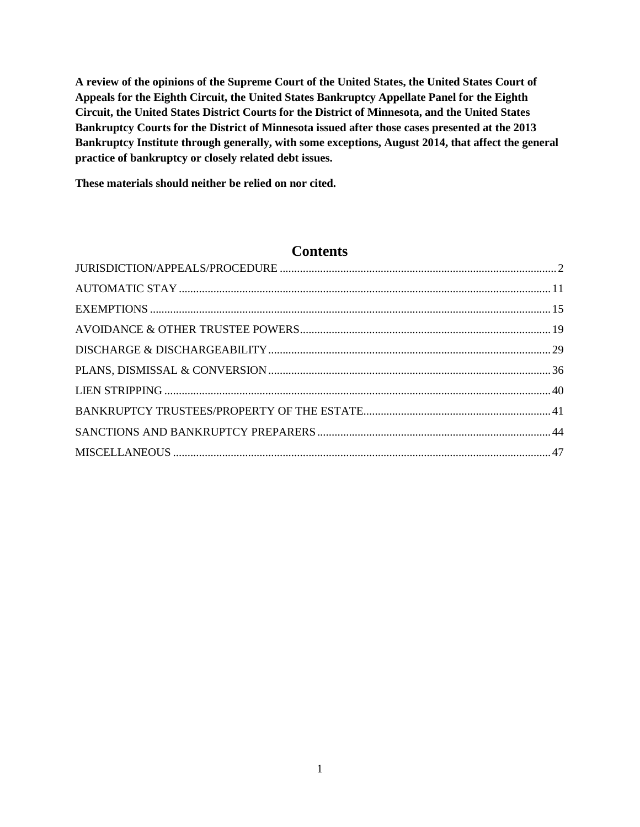**A review of the opinions of the Supreme Court of the United States, the United States Court of Appeals for the Eighth Circuit, the United States Bankruptcy Appellate Panel for the Eighth Circuit, the United States District Courts for the District of Minnesota, and the United States Bankruptcy Courts for the District of Minnesota issued after those cases presented at the 2013 Bankruptcy Institute through generally, with some exceptions, August 2014, that affect the general practice of bankruptcy or closely related debt issues.**

**These materials should neither be relied on nor cited.**

## **Contents**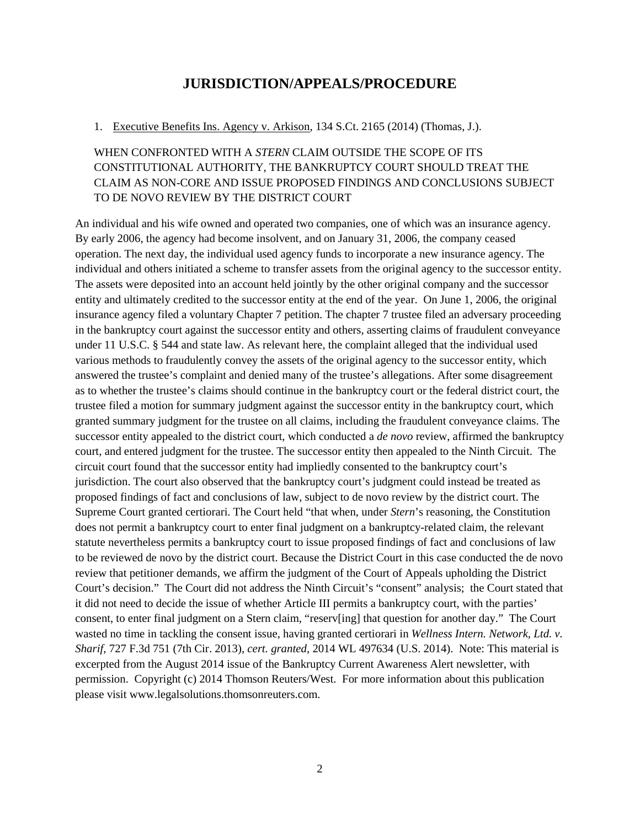## **JURISDICTION/APPEALS/PROCEDURE**

#### <span id="page-1-0"></span>1. Executive Benefits Ins. Agency v. Arkison, 134 S.Ct. 2165 (2014) (Thomas, J.).

### WHEN CONFRONTED WITH A *STERN* CLAIM OUTSIDE THE SCOPE OF ITS CONSTITUTIONAL AUTHORITY, THE BANKRUPTCY COURT SHOULD TREAT THE CLAIM AS NON-CORE AND ISSUE PROPOSED FINDINGS AND CONCLUSIONS SUBJECT TO DE NOVO REVIEW BY THE DISTRICT COURT

An individual and his wife owned and operated two companies, one of which was an insurance agency. By early 2006, the agency had become insolvent, and on January 31, 2006, the company ceased operation. The next day, the individual used agency funds to incorporate a new insurance agency. The individual and others initiated a scheme to transfer assets from the original agency to the successor entity. The assets were deposited into an account held jointly by the other original company and the successor entity and ultimately credited to the successor entity at the end of the year. On June 1, 2006, the original insurance agency filed a voluntary Chapter 7 petition. The chapter 7 trustee filed an adversary proceeding in the bankruptcy court against the successor entity and others, asserting claims of fraudulent conveyance under 11 U.S.C. § 544 and state law. As relevant here, the complaint alleged that the individual used various methods to fraudulently convey the assets of the original agency to the successor entity, which answered the trustee's complaint and denied many of the trustee's allegations. After some disagreement as to whether the trustee's claims should continue in the bankruptcy court or the federal district court, the trustee filed a motion for summary judgment against the successor entity in the bankruptcy court, which granted summary judgment for the trustee on all claims, including the fraudulent conveyance claims. The successor entity appealed to the district court, which conducted a *de novo* review, affirmed the bankruptcy court, and entered judgment for the trustee. The successor entity then appealed to the Ninth Circuit. The circuit court found that the successor entity had impliedly consented to the bankruptcy court's jurisdiction. The court also observed that the bankruptcy court's judgment could instead be treated as proposed findings of fact and conclusions of law, subject to de novo review by the district court. The Supreme Court granted certiorari. The Court held "that when, under *Stern*'s reasoning, the Constitution does not permit a bankruptcy court to enter final judgment on a bankruptcy-related claim, the relevant statute nevertheless permits a bankruptcy court to issue proposed findings of fact and conclusions of law to be reviewed de novo by the district court. Because the District Court in this case conducted the de novo review that petitioner demands, we affirm the judgment of the Court of Appeals upholding the District Court's decision." The Court did not address the Ninth Circuit's "consent" analysis; the Court stated that it did not need to decide the issue of whether Article III permits a bankruptcy court, with the parties' consent, to enter final judgment on a Stern claim, "reserv[ing] that question for another day." The Court wasted no time in tackling the consent issue, having granted certiorari in *Wellness Intern. Network, Ltd. v. Sharif*, 727 F.3d 751 (7th Cir. 2013), *cert. granted*, 2014 WL 497634 (U.S. 2014). Note: This material is excerpted from the August 2014 issue of the Bankruptcy Current Awareness Alert newsletter, with permission. Copyright (c) 2014 Thomson Reuters/West. For more information about this publication please visit www.legalsolutions.thomsonreuters.com.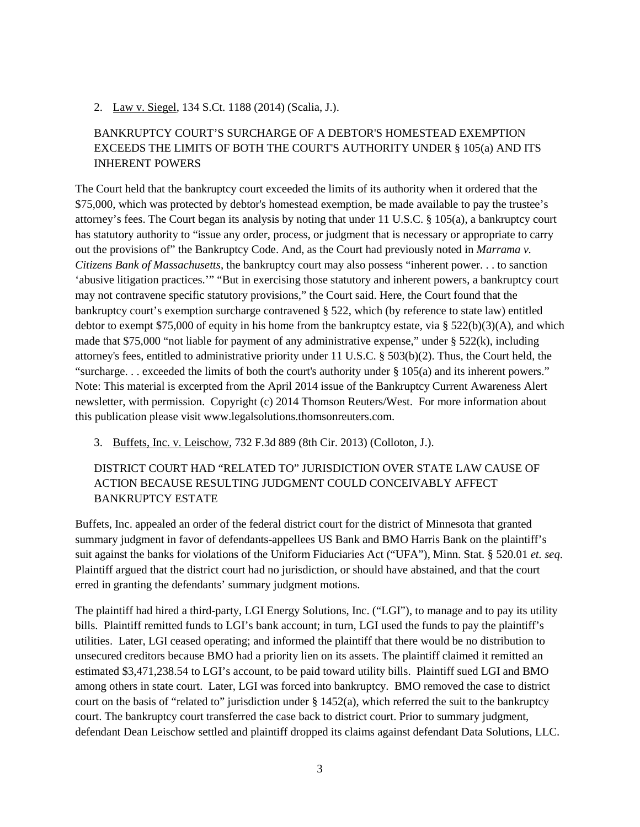2. Law v. Siegel, 134 S.Ct. 1188 (2014) (Scalia, J.).

### BANKRUPTCY COURT'S SURCHARGE OF A DEBTOR'S HOMESTEAD EXEMPTION EXCEEDS THE LIMITS OF BOTH THE COURT'S AUTHORITY UNDER § 105(a) AND ITS INHERENT POWERS

The Court held that the bankruptcy court exceeded the limits of its authority when it ordered that the \$75,000, which was protected by debtor's homestead exemption, be made available to pay the trustee's attorney's fees. The Court began its analysis by noting that under 11 U.S.C. § 105(a), a bankruptcy court has statutory authority to "issue any order, process, or judgment that is necessary or appropriate to carry out the provisions of" the Bankruptcy Code. And, as the Court had previously noted in *Marrama v. Citizens Bank of Massachusetts*, the bankruptcy court may also possess "inherent power. . . to sanction 'abusive litigation practices.'" "But in exercising those statutory and inherent powers, a bankruptcy court may not contravene specific statutory provisions," the Court said. Here, the Court found that the bankruptcy court's exemption surcharge contravened § 522, which (by reference to state law) entitled debtor to exempt \$75,000 of equity in his home from the bankruptcy estate, via § 522(b)(3)(A), and which made that \$75,000 "not liable for payment of any administrative expense," under  $\S$  522(k), including attorney's fees, entitled to administrative priority under 11 U.S.C. § 503(b)(2). Thus, the Court held, the "surcharge. . . exceeded the limits of both the court's authority under § 105(a) and its inherent powers." Note: This material is excerpted from the April 2014 issue of the Bankruptcy Current Awareness Alert newsletter, with permission. Copyright (c) 2014 Thomson Reuters/West. For more information about this publication please visit www.legalsolutions.thomsonreuters.com.

3. Buffets, Inc. v. Leischow, 732 F.3d 889 (8th Cir. 2013) (Colloton, J.).

### DISTRICT COURT HAD "RELATED TO" JURISDICTION OVER STATE LAW CAUSE OF ACTION BECAUSE RESULTING JUDGMENT COULD CONCEIVABLY AFFECT BANKRUPTCY ESTATE

Buffets, Inc. appealed an order of the federal district court for the district of Minnesota that granted summary judgment in favor of defendants-appellees US Bank and BMO Harris Bank on the plaintiff's suit against the banks for violations of the Uniform Fiduciaries Act ("UFA"), Minn. Stat. § 520.01 *et. seq*. Plaintiff argued that the district court had no jurisdiction, or should have abstained, and that the court erred in granting the defendants' summary judgment motions.

The plaintiff had hired a third-party, LGI Energy Solutions, Inc. ("LGI"), to manage and to pay its utility bills. Plaintiff remitted funds to LGI's bank account; in turn, LGI used the funds to pay the plaintiff's utilities. Later, LGI ceased operating; and informed the plaintiff that there would be no distribution to unsecured creditors because BMO had a priority lien on its assets. The plaintiff claimed it remitted an estimated \$3,471,238.54 to LGI's account, to be paid toward utility bills. Plaintiff sued LGI and BMO among others in state court. Later, LGI was forced into bankruptcy. BMO removed the case to district court on the basis of "related to" jurisdiction under  $\S$  1452(a), which referred the suit to the bankruptcy court. The bankruptcy court transferred the case back to district court. Prior to summary judgment, defendant Dean Leischow settled and plaintiff dropped its claims against defendant Data Solutions, LLC.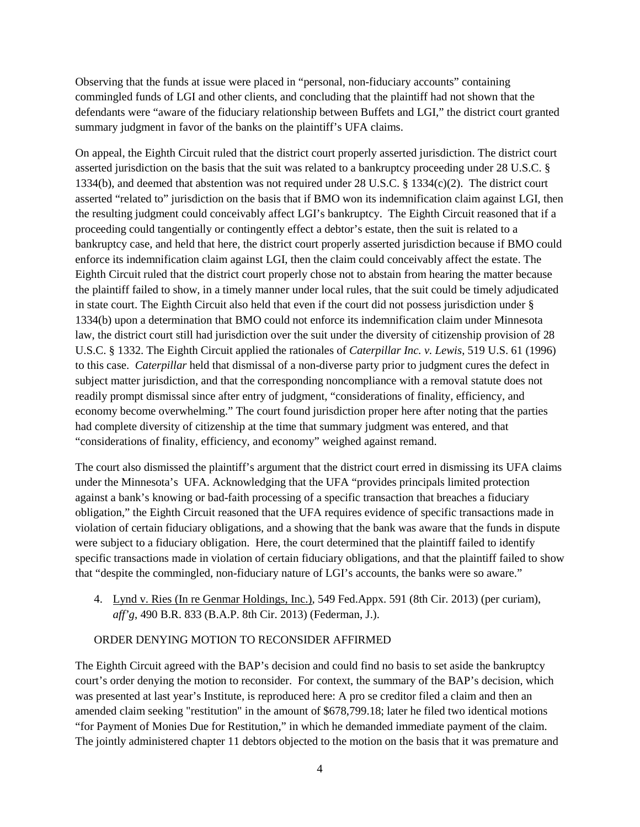Observing that the funds at issue were placed in "personal, non-fiduciary accounts" containing commingled funds of LGI and other clients, and concluding that the plaintiff had not shown that the defendants were "aware of the fiduciary relationship between Buffets and LGI," the district court granted summary judgment in favor of the banks on the plaintiff's UFA claims.

On appeal, the Eighth Circuit ruled that the district court properly asserted jurisdiction. The district court asserted jurisdiction on the basis that the suit was related to a bankruptcy proceeding under 28 U.S.C. § 1334(b), and deemed that abstention was not required under 28 U.S.C. § 1334(c)(2). The district court asserted "related to" jurisdiction on the basis that if BMO won its indemnification claim against LGI, then the resulting judgment could conceivably affect LGI's bankruptcy. The Eighth Circuit reasoned that if a proceeding could tangentially or contingently effect a debtor's estate, then the suit is related to a bankruptcy case, and held that here, the district court properly asserted jurisdiction because if BMO could enforce its indemnification claim against LGI, then the claim could conceivably affect the estate. The Eighth Circuit ruled that the district court properly chose not to abstain from hearing the matter because the plaintiff failed to show, in a timely manner under local rules, that the suit could be timely adjudicated in state court. The Eighth Circuit also held that even if the court did not possess jurisdiction under § 1334(b) upon a determination that BMO could not enforce its indemnification claim under Minnesota law, the district court still had jurisdiction over the suit under the diversity of citizenship provision of 28 U.S.C. § 1332. The Eighth Circuit applied the rationales of *Caterpillar Inc. v. Lewis*, 519 U.S. 61 (1996) to this case. *Caterpillar* held that dismissal of a non-diverse party prior to judgment cures the defect in subject matter jurisdiction, and that the corresponding noncompliance with a removal statute does not readily prompt dismissal since after entry of judgment, "considerations of finality, efficiency, and economy become overwhelming." The court found jurisdiction proper here after noting that the parties had complete diversity of citizenship at the time that summary judgment was entered, and that "considerations of finality, efficiency, and economy" weighed against remand.

The court also dismissed the plaintiff's argument that the district court erred in dismissing its UFA claims under the Minnesota's UFA. Acknowledging that the UFA "provides principals limited protection against a bank's knowing or bad-faith processing of a specific transaction that breaches a fiduciary obligation," the Eighth Circuit reasoned that the UFA requires evidence of specific transactions made in violation of certain fiduciary obligations, and a showing that the bank was aware that the funds in dispute were subject to a fiduciary obligation. Here, the court determined that the plaintiff failed to identify specific transactions made in violation of certain fiduciary obligations, and that the plaintiff failed to show that "despite the commingled, non-fiduciary nature of LGI's accounts, the banks were so aware."

4. Lynd v. Ries (In re Genmar Holdings, Inc.), 549 Fed.Appx. 591 (8th Cir. 2013) (per curiam), *aff'g*, 490 B.R. 833 (B.A.P. 8th Cir. 2013) (Federman, J.).

#### ORDER DENYING MOTION TO RECONSIDER AFFIRMED

The Eighth Circuit agreed with the BAP's decision and could find no basis to set aside the bankruptcy court's order denying the motion to reconsider. For context, the summary of the BAP's decision, which was presented at last year's Institute, is reproduced here: A pro se creditor filed a claim and then an amended claim seeking "restitution" in the amount of \$678,799.18; later he filed two identical motions "for Payment of Monies Due for Restitution," in which he demanded immediate payment of the claim. The jointly administered chapter 11 debtors objected to the motion on the basis that it was premature and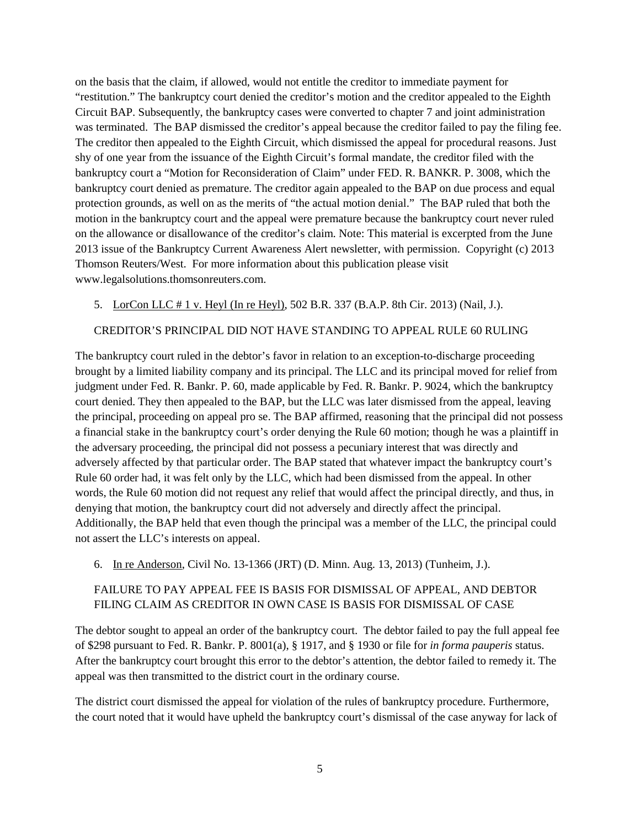on the basis that the claim, if allowed, would not entitle the creditor to immediate payment for "restitution." The bankruptcy court denied the creditor's motion and the creditor appealed to the Eighth Circuit BAP. Subsequently, the bankruptcy cases were converted to chapter 7 and joint administration was terminated. The BAP dismissed the creditor's appeal because the creditor failed to pay the filing fee. The creditor then appealed to the Eighth Circuit, which dismissed the appeal for procedural reasons. Just shy of one year from the issuance of the Eighth Circuit's formal mandate, the creditor filed with the bankruptcy court a "Motion for Reconsideration of Claim" under FED. R. BANKR. P. 3008, which the bankruptcy court denied as premature. The creditor again appealed to the BAP on due process and equal protection grounds, as well on as the merits of "the actual motion denial." The BAP ruled that both the motion in the bankruptcy court and the appeal were premature because the bankruptcy court never ruled on the allowance or disallowance of the creditor's claim. Note: This material is excerpted from the June 2013 issue of the Bankruptcy Current Awareness Alert newsletter, with permission. Copyright (c) 2013 Thomson Reuters/West. For more information about this publication please visit www.legalsolutions.thomsonreuters.com.

5. LorCon LLC # 1 v. Heyl (In re Heyl), 502 B.R. 337 (B.A.P. 8th Cir. 2013) (Nail, J.).

### CREDITOR'S PRINCIPAL DID NOT HAVE STANDING TO APPEAL RULE 60 RULING

The bankruptcy court ruled in the debtor's favor in relation to an exception-to-discharge proceeding brought by a limited liability company and its principal. The LLC and its principal moved for relief from judgment under Fed. R. Bankr. P. 60, made applicable by Fed. R. Bankr. P. 9024, which the bankruptcy court denied. They then appealed to the BAP, but the LLC was later dismissed from the appeal, leaving the principal, proceeding on appeal pro se. The BAP affirmed, reasoning that the principal did not possess a financial stake in the bankruptcy court's order denying the Rule 60 motion; though he was a plaintiff in the adversary proceeding, the principal did not possess a pecuniary interest that was directly and adversely affected by that particular order. The BAP stated that whatever impact the bankruptcy court's Rule 60 order had, it was felt only by the LLC, which had been dismissed from the appeal. In other words, the Rule 60 motion did not request any relief that would affect the principal directly, and thus, in denying that motion, the bankruptcy court did not adversely and directly affect the principal. Additionally, the BAP held that even though the principal was a member of the LLC, the principal could not assert the LLC's interests on appeal.

6. In re Anderson, Civil No. 13-1366 (JRT) (D. Minn. Aug. 13, 2013) (Tunheim, J.).

### FAILURE TO PAY APPEAL FEE IS BASIS FOR DISMISSAL OF APPEAL, AND DEBTOR FILING CLAIM AS CREDITOR IN OWN CASE IS BASIS FOR DISMISSAL OF CASE

The debtor sought to appeal an order of the bankruptcy court. The debtor failed to pay the full appeal fee of \$298 pursuant to Fed. R. Bankr. P. 8001(a), § 1917, and § 1930 or file for *in forma pauperis* status. After the bankruptcy court brought this error to the debtor's attention, the debtor failed to remedy it. The appeal was then transmitted to the district court in the ordinary course.

The district court dismissed the appeal for violation of the rules of bankruptcy procedure. Furthermore, the court noted that it would have upheld the bankruptcy court's dismissal of the case anyway for lack of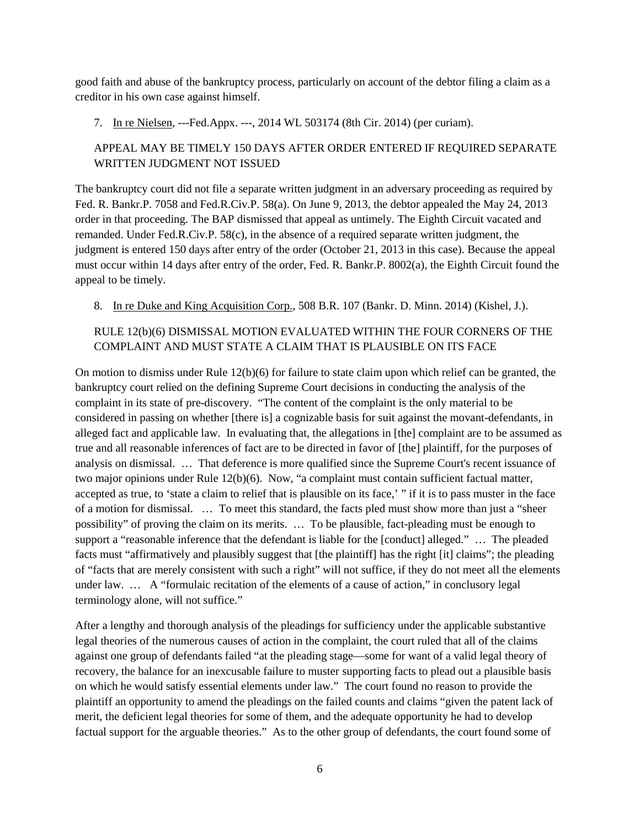good faith and abuse of the bankruptcy process, particularly on account of the debtor filing a claim as a creditor in his own case against himself.

7. In re Nielsen, ---Fed.Appx. ---, 2014 WL 503174 (8th Cir. 2014) (per curiam).

### APPEAL MAY BE TIMELY 150 DAYS AFTER ORDER ENTERED IF REQUIRED SEPARATE WRITTEN JUDGMENT NOT ISSUED

The bankruptcy court did not file a separate written judgment in an adversary proceeding as required by Fed. R. Bankr.P. 7058 and Fed.R.Civ.P. 58(a). On June 9, 2013, the debtor appealed the May 24, 2013 order in that proceeding. The BAP dismissed that appeal as untimely. The Eighth Circuit vacated and remanded. Under Fed.R.Civ.P. 58(c), in the absence of a required separate written judgment, the judgment is entered 150 days after entry of the order (October 21, 2013 in this case). Because the appeal must occur within 14 days after entry of the order, Fed. R. Bankr.P. 8002(a), the Eighth Circuit found the appeal to be timely.

8. In re Duke and King Acquisition Corp., 508 B.R. 107 (Bankr. D. Minn. 2014) (Kishel, J.).

### RULE 12(b)(6) DISMISSAL MOTION EVALUATED WITHIN THE FOUR CORNERS OF THE COMPLAINT AND MUST STATE A CLAIM THAT IS PLAUSIBLE ON ITS FACE

On motion to dismiss under Rule 12(b)(6) for failure to state claim upon which relief can be granted, the bankruptcy court relied on the defining Supreme Court decisions in conducting the analysis of the complaint in its state of pre-discovery. "The content of the complaint is the only material to be considered in passing on whether [there is] a cognizable basis for suit against the movant-defendants, in alleged fact and applicable law. In evaluating that, the allegations in [the] complaint are to be assumed as true and all reasonable inferences of fact are to be directed in favor of [the] plaintiff, for the purposes of analysis on dismissal. … That deference is more qualified since the Supreme Court's recent issuance of two major opinions under Rule 12(b)(6). Now, "a complaint must contain sufficient factual matter, accepted as true, to 'state a claim to relief that is plausible on its face,' " if it is to pass muster in the face of a motion for dismissal. … To meet this standard, the facts pled must show more than just a "sheer possibility" of proving the claim on its merits. … To be plausible, fact-pleading must be enough to support a "reasonable inference that the defendant is liable for the [conduct] alleged." … The pleaded facts must "affirmatively and plausibly suggest that [the plaintiff] has the right [it] claims"; the pleading of "facts that are merely consistent with such a right" will not suffice, if they do not meet all the elements under law. … A "formulaic recitation of the elements of a cause of action," in conclusory legal terminology alone, will not suffice."

After a lengthy and thorough analysis of the pleadings for sufficiency under the applicable substantive legal theories of the numerous causes of action in the complaint, the court ruled that all of the claims against one group of defendants failed "at the pleading stage—some for want of a valid legal theory of recovery, the balance for an inexcusable failure to muster supporting facts to plead out a plausible basis on which he would satisfy essential elements under law." The court found no reason to provide the plaintiff an opportunity to amend the pleadings on the failed counts and claims "given the patent lack of merit, the deficient legal theories for some of them, and the adequate opportunity he had to develop factual support for the arguable theories." As to the other group of defendants, the court found some of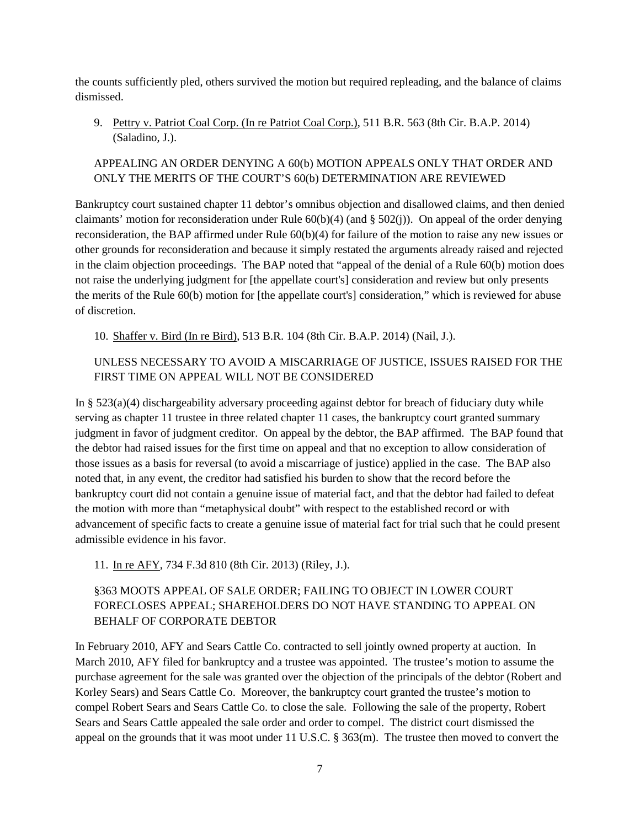the counts sufficiently pled, others survived the motion but required repleading, and the balance of claims dismissed.

9. Pettry v. Patriot Coal Corp. (In re Patriot Coal Corp.), 511 B.R. 563 (8th Cir. B.A.P. 2014) (Saladino, J.).

### APPEALING AN ORDER DENYING A 60(b) MOTION APPEALS ONLY THAT ORDER AND ONLY THE MERITS OF THE COURT'S 60(b) DETERMINATION ARE REVIEWED

Bankruptcy court sustained chapter 11 debtor's omnibus objection and disallowed claims, and then denied claimants' motion for reconsideration under Rule  $60(b)(4)$  (and §  $502(i)$ ). On appeal of the order denying reconsideration, the BAP affirmed under Rule 60(b)(4) for failure of the motion to raise any new issues or other grounds for reconsideration and because it simply restated the arguments already raised and rejected in the claim objection proceedings. The BAP noted that "appeal of the denial of a Rule 60(b) motion does not raise the underlying judgment for [the appellate court's] consideration and review but only presents the merits of the Rule 60(b) motion for [the appellate court's] consideration," which is reviewed for abuse of discretion.

10. Shaffer v. Bird (In re Bird), 513 B.R. 104 (8th Cir. B.A.P. 2014) (Nail, J.).

### UNLESS NECESSARY TO AVOID A MISCARRIAGE OF JUSTICE, ISSUES RAISED FOR THE FIRST TIME ON APPEAL WILL NOT BE CONSIDERED

In § 523(a)(4) dischargeability adversary proceeding against debtor for breach of fiduciary duty while serving as chapter 11 trustee in three related chapter 11 cases, the bankruptcy court granted summary judgment in favor of judgment creditor. On appeal by the debtor, the BAP affirmed. The BAP found that the debtor had raised issues for the first time on appeal and that no exception to allow consideration of those issues as a basis for reversal (to avoid a miscarriage of justice) applied in the case. The BAP also noted that, in any event, the creditor had satisfied his burden to show that the record before the bankruptcy court did not contain a genuine issue of material fact, and that the debtor had failed to defeat the motion with more than "metaphysical doubt" with respect to the established record or with advancement of specific facts to create a genuine issue of material fact for trial such that he could present admissible evidence in his favor.

11. In re AFY, 734 F.3d 810 (8th Cir. 2013) (Riley, J.).

### §363 MOOTS APPEAL OF SALE ORDER; FAILING TO OBJECT IN LOWER COURT FORECLOSES APPEAL; SHAREHOLDERS DO NOT HAVE STANDING TO APPEAL ON BEHALF OF CORPORATE DEBTOR

In February 2010, AFY and Sears Cattle Co. contracted to sell jointly owned property at auction. In March 2010, AFY filed for bankruptcy and a trustee was appointed. The trustee's motion to assume the purchase agreement for the sale was granted over the objection of the principals of the debtor (Robert and Korley Sears) and Sears Cattle Co. Moreover, the bankruptcy court granted the trustee's motion to compel Robert Sears and Sears Cattle Co. to close the sale. Following the sale of the property, Robert Sears and Sears Cattle appealed the sale order and order to compel. The district court dismissed the appeal on the grounds that it was moot under 11 U.S.C. § 363(m). The trustee then moved to convert the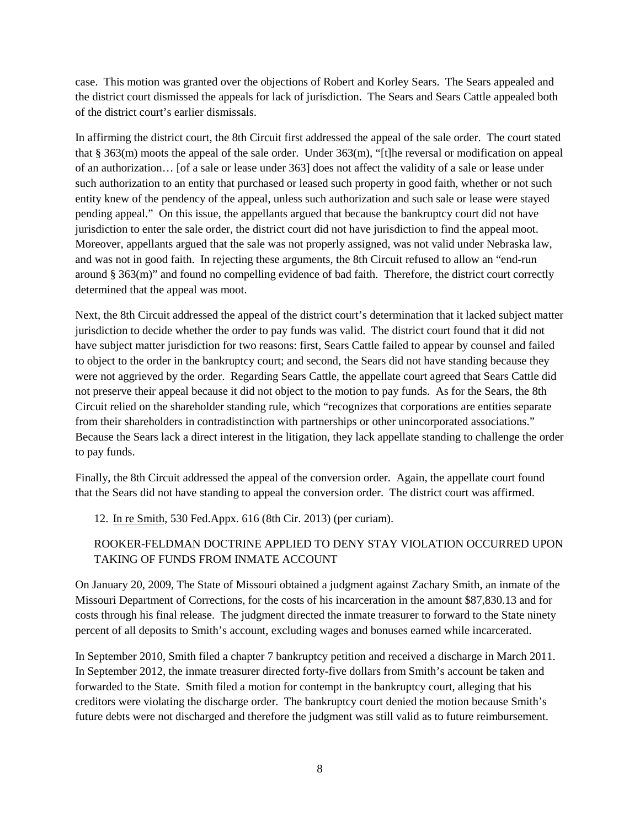case. This motion was granted over the objections of Robert and Korley Sears. The Sears appealed and the district court dismissed the appeals for lack of jurisdiction. The Sears and Sears Cattle appealed both of the district court's earlier dismissals.

In affirming the district court, the 8th Circuit first addressed the appeal of the sale order. The court stated that § 363(m) moots the appeal of the sale order. Under 363(m), "[t]he reversal or modification on appeal of an authorization… [of a sale or lease under 363] does not affect the validity of a sale or lease under such authorization to an entity that purchased or leased such property in good faith, whether or not such entity knew of the pendency of the appeal, unless such authorization and such sale or lease were stayed pending appeal." On this issue, the appellants argued that because the bankruptcy court did not have jurisdiction to enter the sale order, the district court did not have jurisdiction to find the appeal moot. Moreover, appellants argued that the sale was not properly assigned, was not valid under Nebraska law, and was not in good faith. In rejecting these arguments, the 8th Circuit refused to allow an "end-run around § 363(m)" and found no compelling evidence of bad faith. Therefore, the district court correctly determined that the appeal was moot.

Next, the 8th Circuit addressed the appeal of the district court's determination that it lacked subject matter jurisdiction to decide whether the order to pay funds was valid. The district court found that it did not have subject matter jurisdiction for two reasons: first, Sears Cattle failed to appear by counsel and failed to object to the order in the bankruptcy court; and second, the Sears did not have standing because they were not aggrieved by the order. Regarding Sears Cattle, the appellate court agreed that Sears Cattle did not preserve their appeal because it did not object to the motion to pay funds. As for the Sears, the 8th Circuit relied on the shareholder standing rule, which "recognizes that corporations are entities separate from their shareholders in contradistinction with partnerships or other unincorporated associations." Because the Sears lack a direct interest in the litigation, they lack appellate standing to challenge the order to pay funds.

Finally, the 8th Circuit addressed the appeal of the conversion order. Again, the appellate court found that the Sears did not have standing to appeal the conversion order. The district court was affirmed.

12. In re Smith, 530 Fed.Appx. 616 (8th Cir. 2013) (per curiam).

#### ROOKER-FELDMAN DOCTRINE APPLIED TO DENY STAY VIOLATION OCCURRED UPON TAKING OF FUNDS FROM INMATE ACCOUNT

On January 20, 2009, The State of Missouri obtained a judgment against Zachary Smith, an inmate of the Missouri Department of Corrections, for the costs of his incarceration in the amount \$87,830.13 and for costs through his final release. The judgment directed the inmate treasurer to forward to the State ninety percent of all deposits to Smith's account, excluding wages and bonuses earned while incarcerated.

In September 2010, Smith filed a chapter 7 bankruptcy petition and received a discharge in March 2011. In September 2012, the inmate treasurer directed forty-five dollars from Smith's account be taken and forwarded to the State. Smith filed a motion for contempt in the bankruptcy court, alleging that his creditors were violating the discharge order. The bankruptcy court denied the motion because Smith's future debts were not discharged and therefore the judgment was still valid as to future reimbursement.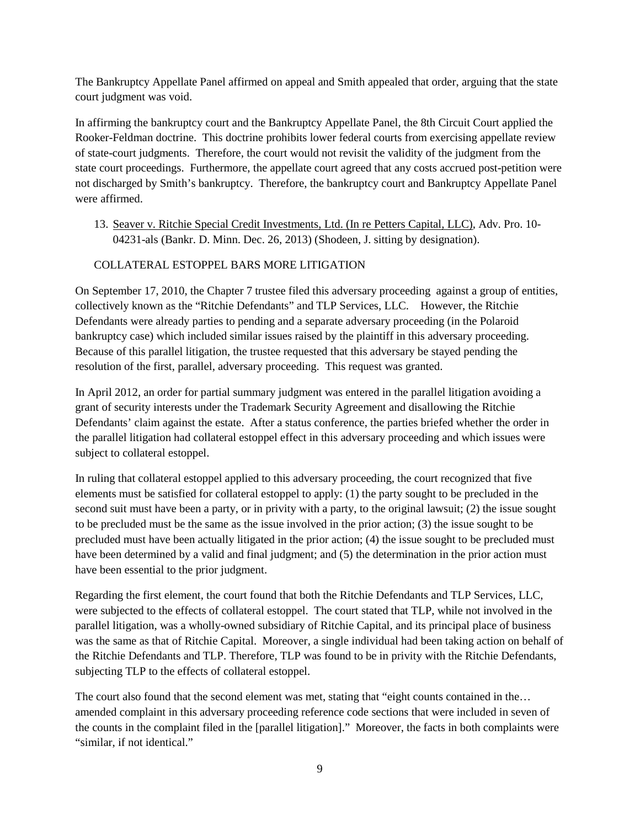The Bankruptcy Appellate Panel affirmed on appeal and Smith appealed that order, arguing that the state court judgment was void.

In affirming the bankruptcy court and the Bankruptcy Appellate Panel, the 8th Circuit Court applied the Rooker-Feldman doctrine. This doctrine prohibits lower federal courts from exercising appellate review of state-court judgments. Therefore, the court would not revisit the validity of the judgment from the state court proceedings. Furthermore, the appellate court agreed that any costs accrued post-petition were not discharged by Smith's bankruptcy. Therefore, the bankruptcy court and Bankruptcy Appellate Panel were affirmed.

13. Seaver v. Ritchie Special Credit Investments, Ltd. (In re Petters Capital, LLC), Adv. Pro. 10- 04231-als (Bankr. D. Minn. Dec. 26, 2013) (Shodeen, J. sitting by designation).

#### COLLATERAL ESTOPPEL BARS MORE LITIGATION

On September 17, 2010, the Chapter 7 trustee filed this adversary proceeding against a group of entities, collectively known as the "Ritchie Defendants" and TLP Services, LLC. However, the Ritchie Defendants were already parties to pending and a separate adversary proceeding (in the Polaroid bankruptcy case) which included similar issues raised by the plaintiff in this adversary proceeding. Because of this parallel litigation, the trustee requested that this adversary be stayed pending the resolution of the first, parallel, adversary proceeding. This request was granted.

In April 2012, an order for partial summary judgment was entered in the parallel litigation avoiding a grant of security interests under the Trademark Security Agreement and disallowing the Ritchie Defendants' claim against the estate. After a status conference, the parties briefed whether the order in the parallel litigation had collateral estoppel effect in this adversary proceeding and which issues were subject to collateral estoppel.

In ruling that collateral estoppel applied to this adversary proceeding, the court recognized that five elements must be satisfied for collateral estoppel to apply: (1) the party sought to be precluded in the second suit must have been a party, or in privity with a party, to the original lawsuit; (2) the issue sought to be precluded must be the same as the issue involved in the prior action; (3) the issue sought to be precluded must have been actually litigated in the prior action; (4) the issue sought to be precluded must have been determined by a valid and final judgment; and (5) the determination in the prior action must have been essential to the prior judgment.

Regarding the first element, the court found that both the Ritchie Defendants and TLP Services, LLC, were subjected to the effects of collateral estoppel. The court stated that TLP, while not involved in the parallel litigation, was a wholly-owned subsidiary of Ritchie Capital, and its principal place of business was the same as that of Ritchie Capital. Moreover, a single individual had been taking action on behalf of the Ritchie Defendants and TLP. Therefore, TLP was found to be in privity with the Ritchie Defendants, subjecting TLP to the effects of collateral estoppel.

The court also found that the second element was met, stating that "eight counts contained in the... amended complaint in this adversary proceeding reference code sections that were included in seven of the counts in the complaint filed in the [parallel litigation]." Moreover, the facts in both complaints were "similar, if not identical."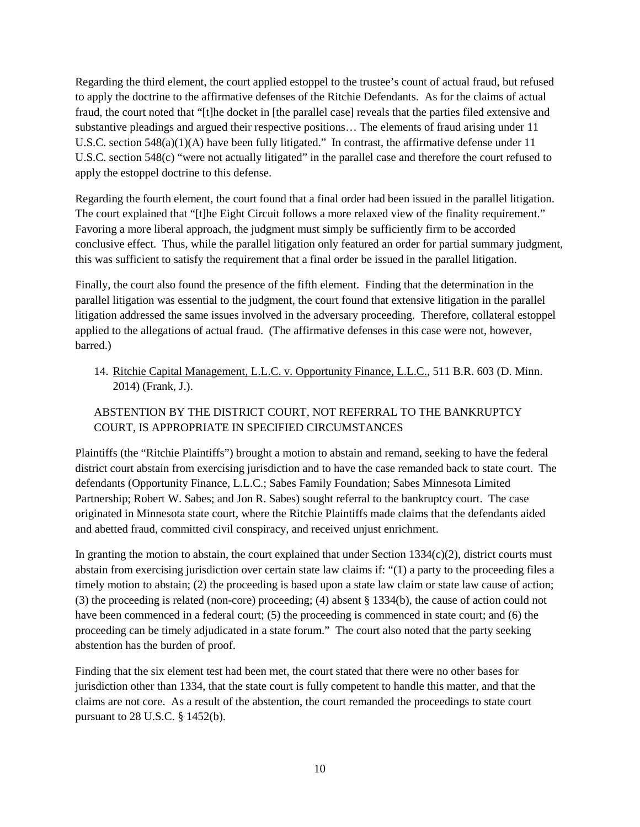Regarding the third element, the court applied estoppel to the trustee's count of actual fraud, but refused to apply the doctrine to the affirmative defenses of the Ritchie Defendants. As for the claims of actual fraud, the court noted that "[t]he docket in [the parallel case] reveals that the parties filed extensive and substantive pleadings and argued their respective positions… The elements of fraud arising under 11 U.S.C. section 548(a)(1)(A) have been fully litigated." In contrast, the affirmative defense under 11 U.S.C. section 548(c) "were not actually litigated" in the parallel case and therefore the court refused to apply the estoppel doctrine to this defense.

Regarding the fourth element, the court found that a final order had been issued in the parallel litigation. The court explained that "[t]he Eight Circuit follows a more relaxed view of the finality requirement." Favoring a more liberal approach, the judgment must simply be sufficiently firm to be accorded conclusive effect. Thus, while the parallel litigation only featured an order for partial summary judgment, this was sufficient to satisfy the requirement that a final order be issued in the parallel litigation.

Finally, the court also found the presence of the fifth element. Finding that the determination in the parallel litigation was essential to the judgment, the court found that extensive litigation in the parallel litigation addressed the same issues involved in the adversary proceeding. Therefore, collateral estoppel applied to the allegations of actual fraud. (The affirmative defenses in this case were not, however, barred.)

14. Ritchie Capital Management, L.L.C. v. Opportunity Finance, L.L.C., 511 B.R. 603 (D. Minn. 2014) (Frank, J.).

### ABSTENTION BY THE DISTRICT COURT, NOT REFERRAL TO THE BANKRUPTCY COURT, IS APPROPRIATE IN SPECIFIED CIRCUMSTANCES

Plaintiffs (the "Ritchie Plaintiffs") brought a motion to abstain and remand, seeking to have the federal district court abstain from exercising jurisdiction and to have the case remanded back to state court. The defendants (Opportunity Finance, L.L.C.; Sabes Family Foundation; Sabes Minnesota Limited Partnership; Robert W. Sabes; and Jon R. Sabes) sought referral to the bankruptcy court. The case originated in Minnesota state court, where the Ritchie Plaintiffs made claims that the defendants aided and abetted fraud, committed civil conspiracy, and received unjust enrichment.

In granting the motion to abstain, the court explained that under Section  $1334(c)(2)$ , district courts must abstain from exercising jurisdiction over certain state law claims if: "(1) a party to the proceeding files a timely motion to abstain; (2) the proceeding is based upon a state law claim or state law cause of action; (3) the proceeding is related (non-core) proceeding; (4) absent § 1334(b), the cause of action could not have been commenced in a federal court; (5) the proceeding is commenced in state court; and (6) the proceeding can be timely adjudicated in a state forum." The court also noted that the party seeking abstention has the burden of proof.

Finding that the six element test had been met, the court stated that there were no other bases for jurisdiction other than 1334, that the state court is fully competent to handle this matter, and that the claims are not core. As a result of the abstention, the court remanded the proceedings to state court pursuant to 28 U.S.C. § 1452(b).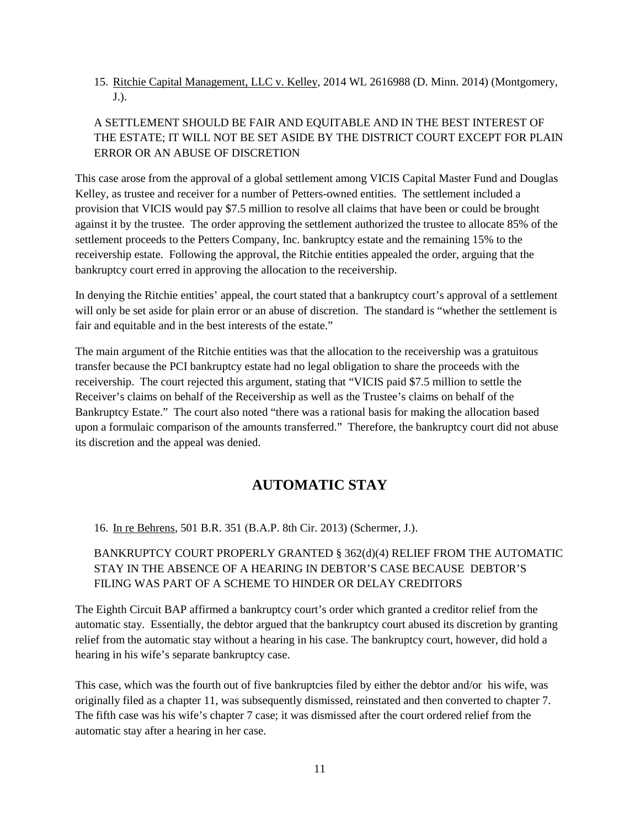15. Ritchie Capital Management, LLC v. Kelley, 2014 WL 2616988 (D. Minn. 2014) (Montgomery, J.).

## A SETTLEMENT SHOULD BE FAIR AND EQUITABLE AND IN THE BEST INTEREST OF THE ESTATE; IT WILL NOT BE SET ASIDE BY THE DISTRICT COURT EXCEPT FOR PLAIN ERROR OR AN ABUSE OF DISCRETION

This case arose from the approval of a global settlement among VICIS Capital Master Fund and Douglas Kelley, as trustee and receiver for a number of Petters-owned entities. The settlement included a provision that VICIS would pay \$7.5 million to resolve all claims that have been or could be brought against it by the trustee. The order approving the settlement authorized the trustee to allocate 85% of the settlement proceeds to the Petters Company, Inc. bankruptcy estate and the remaining 15% to the receivership estate. Following the approval, the Ritchie entities appealed the order, arguing that the bankruptcy court erred in approving the allocation to the receivership.

In denying the Ritchie entities' appeal, the court stated that a bankruptcy court's approval of a settlement will only be set aside for plain error or an abuse of discretion. The standard is "whether the settlement is fair and equitable and in the best interests of the estate."

The main argument of the Ritchie entities was that the allocation to the receivership was a gratuitous transfer because the PCI bankruptcy estate had no legal obligation to share the proceeds with the receivership. The court rejected this argument, stating that "VICIS paid \$7.5 million to settle the Receiver's claims on behalf of the Receivership as well as the Trustee's claims on behalf of the Bankruptcy Estate." The court also noted "there was a rational basis for making the allocation based upon a formulaic comparison of the amounts transferred." Therefore, the bankruptcy court did not abuse its discretion and the appeal was denied.

# **AUTOMATIC STAY**

<span id="page-10-0"></span>16. In re Behrens, 501 B.R. 351 (B.A.P. 8th Cir. 2013) (Schermer, J.).

### BANKRUPTCY COURT PROPERLY GRANTED § 362(d)(4) RELIEF FROM THE AUTOMATIC STAY IN THE ABSENCE OF A HEARING IN DEBTOR'S CASE BECAUSE DEBTOR'S FILING WAS PART OF A SCHEME TO HINDER OR DELAY CREDITORS

The Eighth Circuit BAP affirmed a bankruptcy court's order which granted a creditor relief from the automatic stay. Essentially, the debtor argued that the bankruptcy court abused its discretion by granting relief from the automatic stay without a hearing in his case. The bankruptcy court, however, did hold a hearing in his wife's separate bankruptcy case.

This case, which was the fourth out of five bankruptcies filed by either the debtor and/or his wife, was originally filed as a chapter 11, was subsequently dismissed, reinstated and then converted to chapter 7. The fifth case was his wife's chapter 7 case; it was dismissed after the court ordered relief from the automatic stay after a hearing in her case.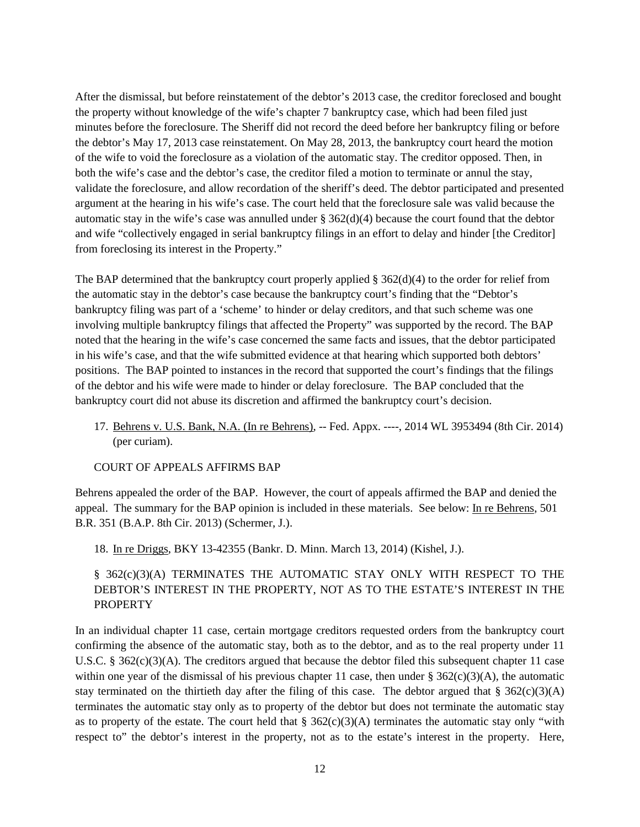After the dismissal, but before reinstatement of the debtor's 2013 case, the creditor foreclosed and bought the property without knowledge of the wife's chapter 7 bankruptcy case, which had been filed just minutes before the foreclosure. The Sheriff did not record the deed before her bankruptcy filing or before the debtor's May 17, 2013 case reinstatement. On May 28, 2013, the bankruptcy court heard the motion of the wife to void the foreclosure as a violation of the automatic stay. The creditor opposed. Then, in both the wife's case and the debtor's case, the creditor filed a motion to terminate or annul the stay, validate the foreclosure, and allow recordation of the sheriff's deed. The debtor participated and presented argument at the hearing in his wife's case. The court held that the foreclosure sale was valid because the automatic stay in the wife's case was annulled under  $\S 362(d)(4)$  because the court found that the debtor and wife "collectively engaged in serial bankruptcy filings in an effort to delay and hinder [the Creditor] from foreclosing its interest in the Property."

The BAP determined that the bankruptcy court properly applied  $\S 362(d)(4)$  to the order for relief from the automatic stay in the debtor's case because the bankruptcy court's finding that the "Debtor's bankruptcy filing was part of a 'scheme' to hinder or delay creditors, and that such scheme was one involving multiple bankruptcy filings that affected the Property" was supported by the record. The BAP noted that the hearing in the wife's case concerned the same facts and issues, that the debtor participated in his wife's case, and that the wife submitted evidence at that hearing which supported both debtors' positions. The BAP pointed to instances in the record that supported the court's findings that the filings of the debtor and his wife were made to hinder or delay foreclosure. The BAP concluded that the bankruptcy court did not abuse its discretion and affirmed the bankruptcy court's decision.

17. Behrens v. U.S. Bank, N.A. (In re Behrens), -- Fed. Appx. ----, 2014 WL 3953494 (8th Cir. 2014) (per curiam).

COURT OF APPEALS AFFIRMS BAP

Behrens appealed the order of the BAP. However, the court of appeals affirmed the BAP and denied the appeal. The summary for the BAP opinion is included in these materials. See below: In re Behrens, 501 B.R. 351 (B.A.P. 8th Cir. 2013) (Schermer, J.).

18. In re Driggs, BKY 13-42355 (Bankr. D. Minn. March 13, 2014) (Kishel, J.).

### § 362(c)(3)(A) TERMINATES THE AUTOMATIC STAY ONLY WITH RESPECT TO THE DEBTOR'S INTEREST IN THE PROPERTY, NOT AS TO THE ESTATE'S INTEREST IN THE PROPERTY

In an individual chapter 11 case, certain mortgage creditors requested orders from the bankruptcy court confirming the absence of the automatic stay, both as to the debtor, and as to the real property under 11 U.S.C. §  $362(c)(3)(A)$ . The creditors argued that because the debtor filed this subsequent chapter 11 case within one year of the dismissal of his previous chapter 11 case, then under  $\S 362(c)(3)(A)$ , the automatic stay terminated on the thirtieth day after the filing of this case. The debtor argued that  $\S 362(c)(3)(A)$ terminates the automatic stay only as to property of the debtor but does not terminate the automatic stay as to property of the estate. The court held that  $\S 362(c)(3)(A)$  terminates the automatic stay only "with respect to" the debtor's interest in the property, not as to the estate's interest in the property. Here,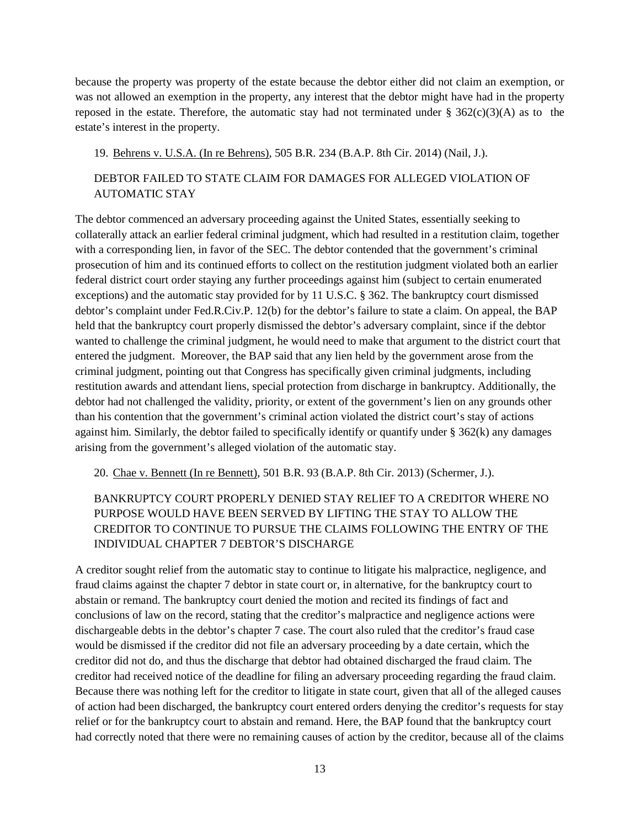because the property was property of the estate because the debtor either did not claim an exemption, or was not allowed an exemption in the property, any interest that the debtor might have had in the property reposed in the estate. Therefore, the automatic stay had not terminated under  $\S 362(c)(3)(A)$  as to the estate's interest in the property.

19. Behrens v. U.S.A. (In re Behrens), 505 B.R. 234 (B.A.P. 8th Cir. 2014) (Nail, J.).

### DEBTOR FAILED TO STATE CLAIM FOR DAMAGES FOR ALLEGED VIOLATION OF AUTOMATIC STAY

The debtor commenced an adversary proceeding against the United States, essentially seeking to collaterally attack an earlier federal criminal judgment, which had resulted in a restitution claim, together with a corresponding lien, in favor of the SEC. The debtor contended that the government's criminal prosecution of him and its continued efforts to collect on the restitution judgment violated both an earlier federal district court order staying any further proceedings against him (subject to certain enumerated exceptions) and the automatic stay provided for by 11 U.S.C. § 362. The bankruptcy court dismissed debtor's complaint under Fed.R.Civ.P. 12(b) for the debtor's failure to state a claim. On appeal, the BAP held that the bankruptcy court properly dismissed the debtor's adversary complaint, since if the debtor wanted to challenge the criminal judgment, he would need to make that argument to the district court that entered the judgment. Moreover, the BAP said that any lien held by the government arose from the criminal judgment, pointing out that Congress has specifically given criminal judgments, including restitution awards and attendant liens, special protection from discharge in bankruptcy. Additionally, the debtor had not challenged the validity, priority, or extent of the government's lien on any grounds other than his contention that the government's criminal action violated the district court's stay of actions against him. Similarly, the debtor failed to specifically identify or quantify under  $\S 362(k)$  any damages arising from the government's alleged violation of the automatic stay.

20. Chae v. Bennett (In re Bennett), 501 B.R. 93 (B.A.P. 8th Cir. 2013) (Schermer, J.).

## BANKRUPTCY COURT PROPERLY DENIED STAY RELIEF TO A CREDITOR WHERE NO PURPOSE WOULD HAVE BEEN SERVED BY LIFTING THE STAY TO ALLOW THE CREDITOR TO CONTINUE TO PURSUE THE CLAIMS FOLLOWING THE ENTRY OF THE INDIVIDUAL CHAPTER 7 DEBTOR'S DISCHARGE

A creditor sought relief from the automatic stay to continue to litigate his malpractice, negligence, and fraud claims against the chapter 7 debtor in state court or, in alternative, for the bankruptcy court to abstain or remand. The bankruptcy court denied the motion and recited its findings of fact and conclusions of law on the record, stating that the creditor's malpractice and negligence actions were dischargeable debts in the debtor's chapter 7 case. The court also ruled that the creditor's fraud case would be dismissed if the creditor did not file an adversary proceeding by a date certain, which the creditor did not do, and thus the discharge that debtor had obtained discharged the fraud claim. The creditor had received notice of the deadline for filing an adversary proceeding regarding the fraud claim. Because there was nothing left for the creditor to litigate in state court, given that all of the alleged causes of action had been discharged, the bankruptcy court entered orders denying the creditor's requests for stay relief or for the bankruptcy court to abstain and remand. Here, the BAP found that the bankruptcy court had correctly noted that there were no remaining causes of action by the creditor, because all of the claims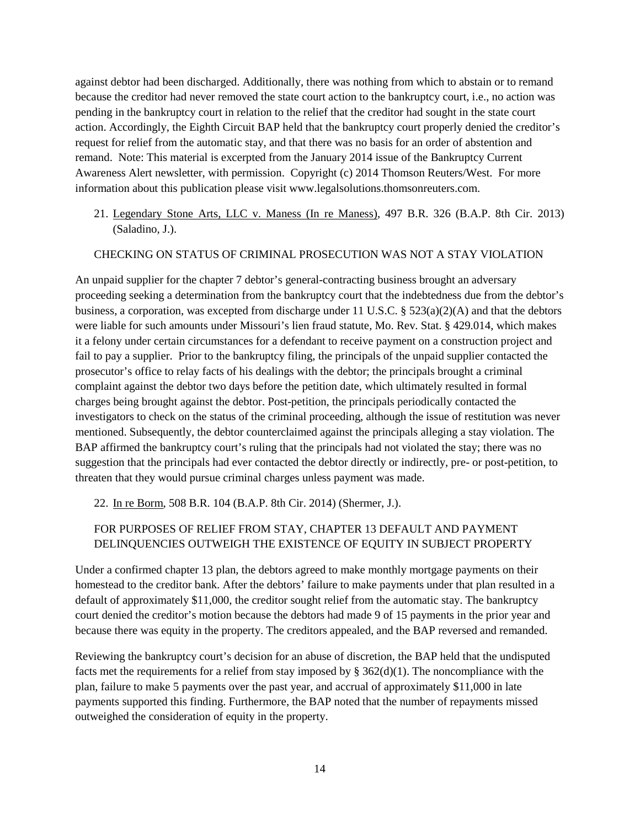against debtor had been discharged. Additionally, there was nothing from which to abstain or to remand because the creditor had never removed the state court action to the bankruptcy court, i.e., no action was pending in the bankruptcy court in relation to the relief that the creditor had sought in the state court action. Accordingly, the Eighth Circuit BAP held that the bankruptcy court properly denied the creditor's request for relief from the automatic stay, and that there was no basis for an order of abstention and remand. Note: This material is excerpted from the January 2014 issue of the Bankruptcy Current Awareness Alert newsletter, with permission. Copyright (c) 2014 Thomson Reuters/West. For more information about this publication please visit www.legalsolutions.thomsonreuters.com.

21. Legendary Stone Arts, LLC v. Maness (In re Maness), 497 B.R. 326 (B.A.P. 8th Cir. 2013) (Saladino, J.).

#### CHECKING ON STATUS OF CRIMINAL PROSECUTION WAS NOT A STAY VIOLATION

An unpaid supplier for the chapter 7 debtor's general-contracting business brought an adversary proceeding seeking a determination from the bankruptcy court that the indebtedness due from the debtor's business, a corporation, was excepted from discharge under 11 U.S.C. § 523(a)(2)(A) and that the debtors were liable for such amounts under Missouri's lien fraud statute, Mo. Rev. Stat. § 429.014, which makes it a felony under certain circumstances for a defendant to receive payment on a construction project and fail to pay a supplier. Prior to the bankruptcy filing, the principals of the unpaid supplier contacted the prosecutor's office to relay facts of his dealings with the debtor; the principals brought a criminal complaint against the debtor two days before the petition date, which ultimately resulted in formal charges being brought against the debtor. Post-petition, the principals periodically contacted the investigators to check on the status of the criminal proceeding, although the issue of restitution was never mentioned. Subsequently, the debtor counterclaimed against the principals alleging a stay violation. The BAP affirmed the bankruptcy court's ruling that the principals had not violated the stay; there was no suggestion that the principals had ever contacted the debtor directly or indirectly, pre- or post-petition, to threaten that they would pursue criminal charges unless payment was made.

22. In re Borm, 508 B.R. 104 (B.A.P. 8th Cir. 2014) (Shermer, J.).

### FOR PURPOSES OF RELIEF FROM STAY, CHAPTER 13 DEFAULT AND PAYMENT DELINQUENCIES OUTWEIGH THE EXISTENCE OF EQUITY IN SUBJECT PROPERTY

Under a confirmed chapter 13 plan, the debtors agreed to make monthly mortgage payments on their homestead to the creditor bank. After the debtors' failure to make payments under that plan resulted in a default of approximately \$11,000, the creditor sought relief from the automatic stay. The bankruptcy court denied the creditor's motion because the debtors had made 9 of 15 payments in the prior year and because there was equity in the property. The creditors appealed, and the BAP reversed and remanded.

Reviewing the bankruptcy court's decision for an abuse of discretion, the BAP held that the undisputed facts met the requirements for a relief from stay imposed by § 362(d)(1). The noncompliance with the plan, failure to make 5 payments over the past year, and accrual of approximately \$11,000 in late payments supported this finding. Furthermore, the BAP noted that the number of repayments missed outweighed the consideration of equity in the property.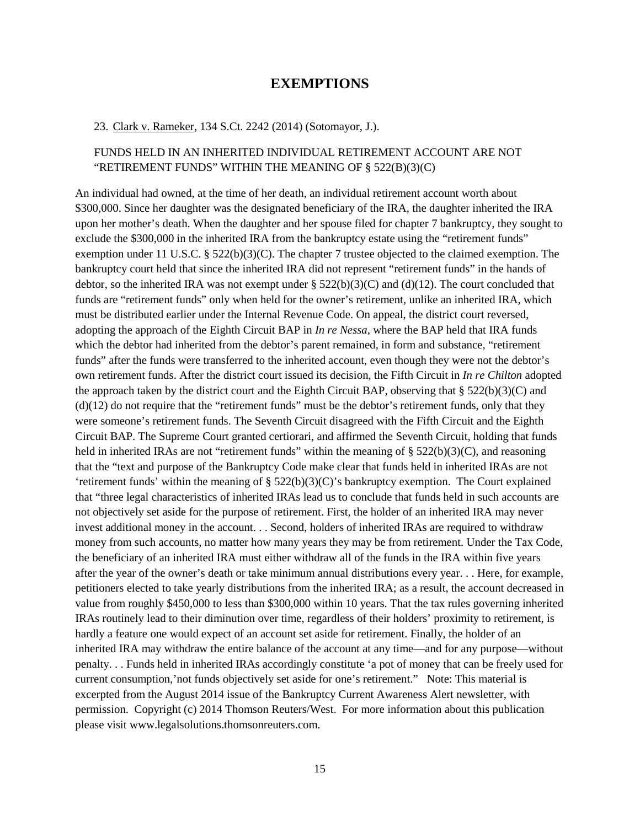### **EXEMPTIONS**

#### <span id="page-14-0"></span>23. Clark v. Rameker, 134 S.Ct. 2242 (2014) (Sotomayor, J.).

### FUNDS HELD IN AN INHERITED INDIVIDUAL RETIREMENT ACCOUNT ARE NOT "RETIREMENT FUNDS" WITHIN THE MEANING OF § 522(B)(3)(C)

An individual had owned, at the time of her death, an individual retirement account worth about \$300,000. Since her daughter was the designated beneficiary of the IRA, the daughter inherited the IRA upon her mother's death. When the daughter and her spouse filed for chapter 7 bankruptcy, they sought to exclude the \$300,000 in the inherited IRA from the bankruptcy estate using the "retirement funds" exemption under 11 U.S.C.  $\S 522(b)(3)(C)$ . The chapter 7 trustee objected to the claimed exemption. The bankruptcy court held that since the inherited IRA did not represent "retirement funds" in the hands of debtor, so the inherited IRA was not exempt under  $\S 522(b)(3)(C)$  and (d)(12). The court concluded that funds are "retirement funds" only when held for the owner's retirement, unlike an inherited IRA, which must be distributed earlier under the Internal Revenue Code. On appeal, the district court reversed, adopting the approach of the Eighth Circuit BAP in *In re Nessa*, where the BAP held that IRA funds which the debtor had inherited from the debtor's parent remained, in form and substance, "retirement funds" after the funds were transferred to the inherited account, even though they were not the debtor's own retirement funds. After the district court issued its decision, the Fifth Circuit in *In re Chilton* adopted the approach taken by the district court and the Eighth Circuit BAP, observing that  $\S 522(b)(3)(C)$  and  $(d)(12)$  do not require that the "retirement funds" must be the debtor's retirement funds, only that they were someone's retirement funds. The Seventh Circuit disagreed with the Fifth Circuit and the Eighth Circuit BAP. The Supreme Court granted certiorari, and affirmed the Seventh Circuit, holding that funds held in inherited IRAs are not "retirement funds" within the meaning of  $\S 522(b)(3)(C)$ , and reasoning that the "text and purpose of the Bankruptcy Code make clear that funds held in inherited IRAs are not 'retirement funds' within the meaning of  $\S$  522(b)(3)(C)'s bankruptcy exemption. The Court explained that "three legal characteristics of inherited IRAs lead us to conclude that funds held in such accounts are not objectively set aside for the purpose of retirement. First, the holder of an inherited IRA may never invest additional money in the account. . . Second, holders of inherited IRAs are required to withdraw money from such accounts, no matter how many years they may be from retirement. Under the Tax Code, the beneficiary of an inherited IRA must either withdraw all of the funds in the IRA within five years after the year of the owner's death or take minimum annual distributions every year. . . Here, for example, petitioners elected to take yearly distributions from the inherited IRA; as a result, the account decreased in value from roughly \$450,000 to less than \$300,000 within 10 years. That the tax rules governing inherited IRAs routinely lead to their diminution over time, regardless of their holders' proximity to retirement, is hardly a feature one would expect of an account set aside for retirement. Finally, the holder of an inherited IRA may withdraw the entire balance of the account at any time—and for any purpose—without penalty. . . Funds held in inherited IRAs accordingly constitute 'a pot of money that can be freely used for current consumption,'not funds objectively set aside for one's retirement." Note: This material is excerpted from the August 2014 issue of the Bankruptcy Current Awareness Alert newsletter, with permission. Copyright (c) 2014 Thomson Reuters/West. For more information about this publication please visit www.legalsolutions.thomsonreuters.com.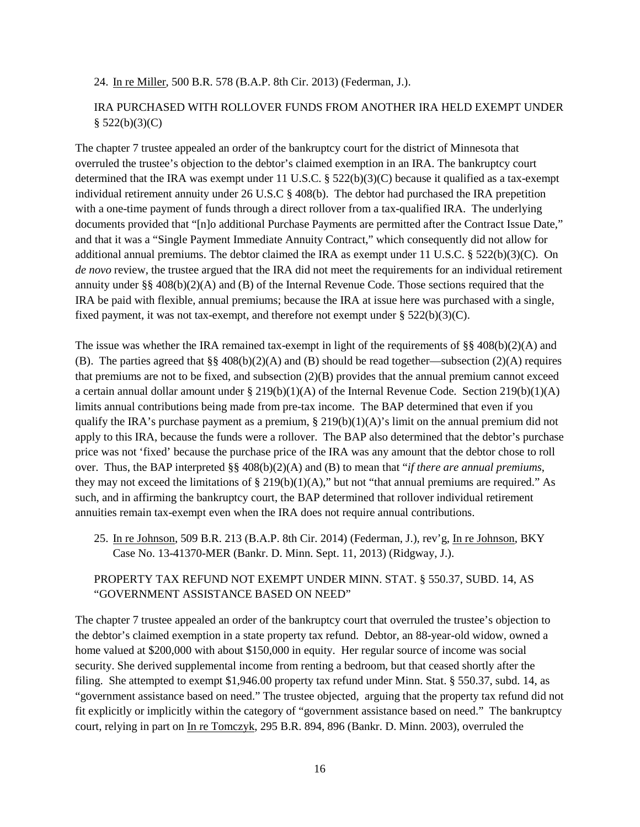#### 24. In re Miller, 500 B.R. 578 (B.A.P. 8th Cir. 2013) (Federman, J.).

#### IRA PURCHASED WITH ROLLOVER FUNDS FROM ANOTHER IRA HELD EXEMPT UNDER  $$522(b)(3)(C)$

The chapter 7 trustee appealed an order of the bankruptcy court for the district of Minnesota that overruled the trustee's objection to the debtor's claimed exemption in an IRA. The bankruptcy court determined that the IRA was exempt under 11 U.S.C.  $\S$  522(b)(3)(C) because it qualified as a tax-exempt individual retirement annuity under 26 U.S.C § 408(b). The debtor had purchased the IRA prepetition with a one-time payment of funds through a direct rollover from a tax-qualified IRA. The underlying documents provided that "[n]o additional Purchase Payments are permitted after the Contract Issue Date," and that it was a "Single Payment Immediate Annuity Contract," which consequently did not allow for additional annual premiums. The debtor claimed the IRA as exempt under 11 U.S.C.  $\S$  522(b)(3)(C). On *de novo* review, the trustee argued that the IRA did not meet the requirements for an individual retirement annuity under §§ 408(b)(2)(A) and (B) of the Internal Revenue Code. Those sections required that the IRA be paid with flexible, annual premiums; because the IRA at issue here was purchased with a single, fixed payment, it was not tax-exempt, and therefore not exempt under  $\S 522(b)(3)(C)$ .

The issue was whether the IRA remained tax-exempt in light of the requirements of §§ 408(b)(2)(A) and (B). The parties agreed that §§ 408(b)(2)(A) and (B) should be read together—subsection (2)(A) requires that premiums are not to be fixed, and subsection (2)(B) provides that the annual premium cannot exceed a certain annual dollar amount under  $\S 219(b)(1)(A)$  of the Internal Revenue Code. Section 219(b)(1)(A) limits annual contributions being made from pre-tax income. The BAP determined that even if you qualify the IRA's purchase payment as a premium,  $\S 219(b)(1)(A)'$  s limit on the annual premium did not apply to this IRA, because the funds were a rollover. The BAP also determined that the debtor's purchase price was not 'fixed' because the purchase price of the IRA was any amount that the debtor chose to roll over. Thus, the BAP interpreted §§ 408(b)(2)(A) and (B) to mean that "*if there are annual premiums*, they may not exceed the limitations of  $\S 219(b)(1)(A)$ ," but not "that annual premiums are required." As such, and in affirming the bankruptcy court, the BAP determined that rollover individual retirement annuities remain tax-exempt even when the IRA does not require annual contributions.

25. In re Johnson, 509 B.R. 213 (B.A.P. 8th Cir. 2014) (Federman, J.), rev'g, In re Johnson, BKY Case No. 13-41370-MER (Bankr. D. Minn. Sept. 11, 2013) (Ridgway, J.).

#### PROPERTY TAX REFUND NOT EXEMPT UNDER MINN. STAT. § 550.37, SUBD. 14, AS "GOVERNMENT ASSISTANCE BASED ON NEED"

The chapter 7 trustee appealed an order of the bankruptcy court that overruled the trustee's objection to the debtor's claimed exemption in a state property tax refund. Debtor, an 88-year-old widow, owned a home valued at \$200,000 with about \$150,000 in equity. Her regular source of income was social security. She derived supplemental income from renting a bedroom, but that ceased shortly after the filing. She attempted to exempt \$1,946.00 property tax refund under Minn. Stat. § 550.37, subd. 14, as "government assistance based on need." The trustee objected, arguing that the property tax refund did not fit explicitly or implicitly within the category of "government assistance based on need." The bankruptcy court, relying in part on In re Tomczyk, 295 B.R. 894, 896 (Bankr. D. Minn. 2003), overruled the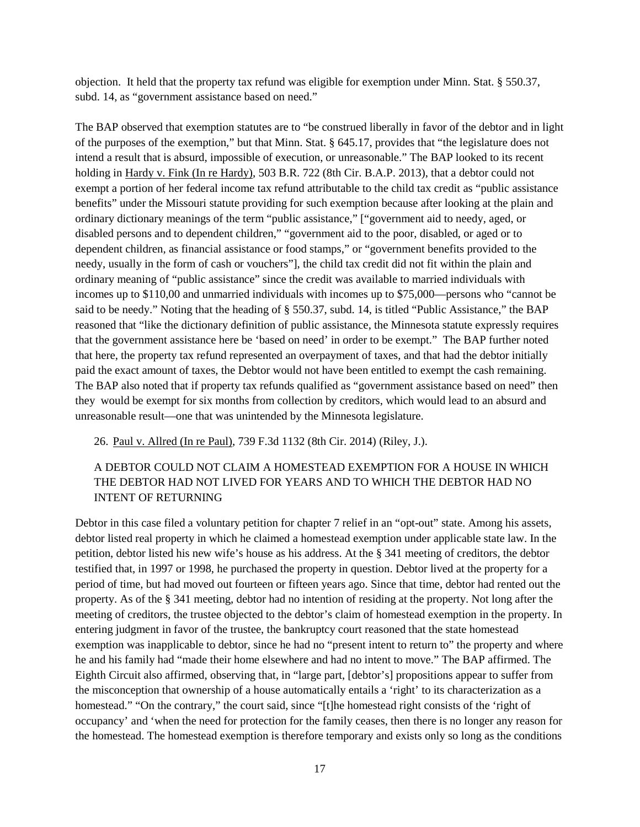objection. It held that the property tax refund was eligible for exemption under Minn. Stat. § 550.37, subd. 14, as "government assistance based on need."

The BAP observed that exemption statutes are to "be construed liberally in favor of the debtor and in light of the purposes of the exemption," but that Minn. Stat. § 645.17, provides that "the legislature does not intend a result that is absurd, impossible of execution, or unreasonable." The BAP looked to its recent holding in Hardy v. Fink (In re Hardy), 503 B.R. 722 (8th Cir. B.A.P. 2013), that a debtor could not exempt a portion of her federal income tax refund attributable to the child tax credit as "public assistance benefits" under the Missouri statute providing for such exemption because after looking at the plain and ordinary dictionary meanings of the term "public assistance," ["government aid to needy, aged, or disabled persons and to dependent children," "government aid to the poor, disabled, or aged or to dependent children, as financial assistance or food stamps," or "government benefits provided to the needy, usually in the form of cash or vouchers"], the child tax credit did not fit within the plain and ordinary meaning of "public assistance" since the credit was available to married individuals with incomes up to \$110,00 and unmarried individuals with incomes up to \$75,000—persons who "cannot be said to be needy." Noting that the heading of § 550.37, subd. 14, is titled "Public Assistance," the BAP reasoned that "like the dictionary definition of public assistance, the Minnesota statute expressly requires that the government assistance here be 'based on need' in order to be exempt." The BAP further noted that here, the property tax refund represented an overpayment of taxes, and that had the debtor initially paid the exact amount of taxes, the Debtor would not have been entitled to exempt the cash remaining. The BAP also noted that if property tax refunds qualified as "government assistance based on need" then they would be exempt for six months from collection by creditors, which would lead to an absurd and unreasonable result—one that was unintended by the Minnesota legislature.

26. Paul v. Allred (In re Paul), 739 F.3d 1132 (8th Cir. 2014) (Riley, J.).

### A DEBTOR COULD NOT CLAIM A HOMESTEAD EXEMPTION FOR A HOUSE IN WHICH THE DEBTOR HAD NOT LIVED FOR YEARS AND TO WHICH THE DEBTOR HAD NO INTENT OF RETURNING

Debtor in this case filed a voluntary petition for chapter 7 relief in an "opt-out" state. Among his assets, debtor listed real property in which he claimed a homestead exemption under applicable state law. In the petition, debtor listed his new wife's house as his address. At the § 341 meeting of creditors, the debtor testified that, in 1997 or 1998, he purchased the property in question. Debtor lived at the property for a period of time, but had moved out fourteen or fifteen years ago. Since that time, debtor had rented out the property. As of the § 341 meeting, debtor had no intention of residing at the property. Not long after the meeting of creditors, the trustee objected to the debtor's claim of homestead exemption in the property. In entering judgment in favor of the trustee, the bankruptcy court reasoned that the state homestead exemption was inapplicable to debtor, since he had no "present intent to return to" the property and where he and his family had "made their home elsewhere and had no intent to move." The BAP affirmed. The Eighth Circuit also affirmed, observing that, in "large part, [debtor's] propositions appear to suffer from the misconception that ownership of a house automatically entails a 'right' to its characterization as a homestead." "On the contrary," the court said, since "[t]he homestead right consists of the 'right of occupancy' and 'when the need for protection for the family ceases, then there is no longer any reason for the homestead. The homestead exemption is therefore temporary and exists only so long as the conditions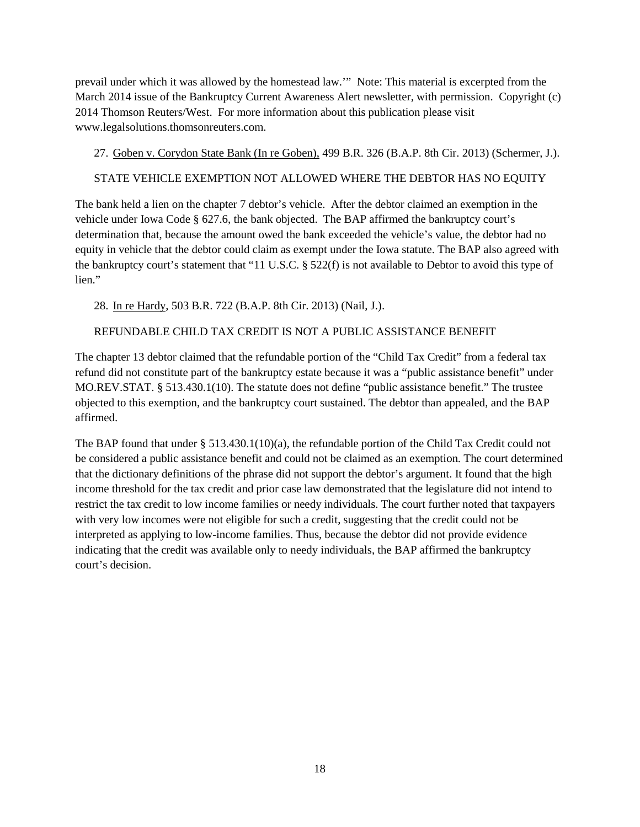prevail under which it was allowed by the homestead law.'" Note: This material is excerpted from the March 2014 issue of the Bankruptcy Current Awareness Alert newsletter, with permission. Copyright (c) 2014 Thomson Reuters/West. For more information about this publication please visit www.legalsolutions.thomsonreuters.com.

27. Goben v. Corydon State Bank (In re Goben), 499 B.R. 326 (B.A.P. 8th Cir. 2013) (Schermer, J.).

#### STATE VEHICLE EXEMPTION NOT ALLOWED WHERE THE DEBTOR HAS NO EQUITY

The bank held a lien on the chapter 7 debtor's vehicle. After the debtor claimed an exemption in the vehicle under Iowa Code § 627.6, the bank objected. The BAP affirmed the bankruptcy court's determination that, because the amount owed the bank exceeded the vehicle's value, the debtor had no equity in vehicle that the debtor could claim as exempt under the Iowa statute. The BAP also agreed with the bankruptcy court's statement that "11 U.S.C. § 522(f) is not available to Debtor to avoid this type of lien."

28. In re Hardy, 503 B.R. 722 (B.A.P. 8th Cir. 2013) (Nail, J.).

#### REFUNDABLE CHILD TAX CREDIT IS NOT A PUBLIC ASSISTANCE BENEFIT

The chapter 13 debtor claimed that the refundable portion of the "Child Tax Credit" from a federal tax refund did not constitute part of the bankruptcy estate because it was a "public assistance benefit" under MO.REV.STAT. § 513.430.1(10). The statute does not define "public assistance benefit." The trustee objected to this exemption, and the bankruptcy court sustained. The debtor than appealed, and the BAP affirmed.

The BAP found that under § 513.430.1(10)(a), the refundable portion of the Child Tax Credit could not be considered a public assistance benefit and could not be claimed as an exemption. The court determined that the dictionary definitions of the phrase did not support the debtor's argument. It found that the high income threshold for the tax credit and prior case law demonstrated that the legislature did not intend to restrict the tax credit to low income families or needy individuals. The court further noted that taxpayers with very low incomes were not eligible for such a credit, suggesting that the credit could not be interpreted as applying to low-income families. Thus, because the debtor did not provide evidence indicating that the credit was available only to needy individuals, the BAP affirmed the bankruptcy court's decision.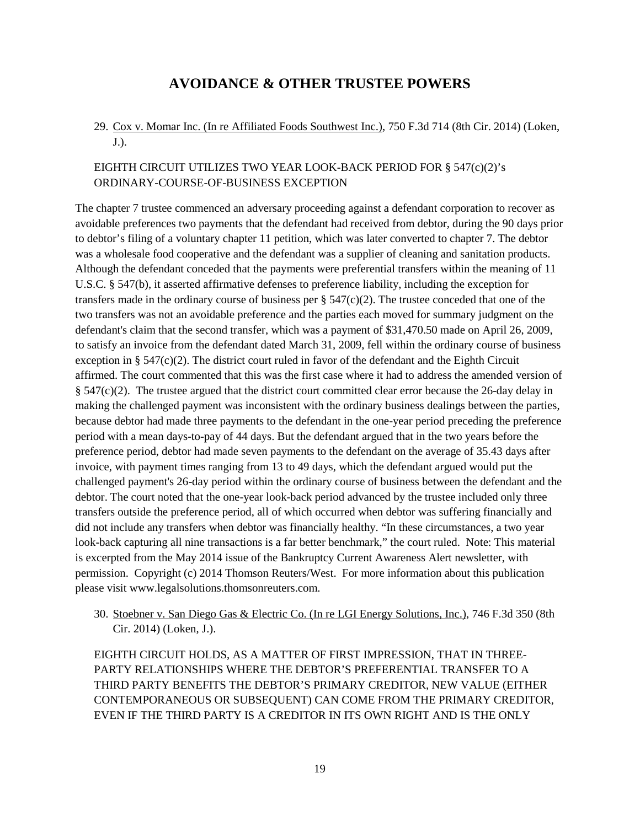## **AVOIDANCE & OTHER TRUSTEE POWERS**

#### <span id="page-18-0"></span>29. Cox v. Momar Inc. (In re Affiliated Foods Southwest Inc.), 750 F.3d 714 (8th Cir. 2014) (Loken, J.).

#### EIGHTH CIRCUIT UTILIZES TWO YEAR LOOK-BACK PERIOD FOR § 547(c)(2)'s ORDINARY-COURSE-OF-BUSINESS EXCEPTION

The chapter 7 trustee commenced an adversary proceeding against a defendant corporation to recover as avoidable preferences two payments that the defendant had received from debtor, during the 90 days prior to debtor's filing of a voluntary chapter 11 petition, which was later converted to chapter 7. The debtor was a wholesale food cooperative and the defendant was a supplier of cleaning and sanitation products. Although the defendant conceded that the payments were preferential transfers within the meaning of 11 U.S.C. § 547(b), it asserted affirmative defenses to preference liability, including the exception for transfers made in the ordinary course of business per  $\S$  547(c)(2). The trustee conceded that one of the two transfers was not an avoidable preference and the parties each moved for summary judgment on the defendant's claim that the second transfer, which was a payment of \$31,470.50 made on April 26, 2009, to satisfy an invoice from the defendant dated March 31, 2009, fell within the ordinary course of business exception in § 547(c)(2). The district court ruled in favor of the defendant and the Eighth Circuit affirmed. The court commented that this was the first case where it had to address the amended version of § 547(c)(2). The trustee argued that the district court committed clear error because the 26-day delay in making the challenged payment was inconsistent with the ordinary business dealings between the parties, because debtor had made three payments to the defendant in the one-year period preceding the preference period with a mean days-to-pay of 44 days. But the defendant argued that in the two years before the preference period, debtor had made seven payments to the defendant on the average of 35.43 days after invoice, with payment times ranging from 13 to 49 days, which the defendant argued would put the challenged payment's 26-day period within the ordinary course of business between the defendant and the debtor. The court noted that the one-year look-back period advanced by the trustee included only three transfers outside the preference period, all of which occurred when debtor was suffering financially and did not include any transfers when debtor was financially healthy. "In these circumstances, a two year look-back capturing all nine transactions is a far better benchmark," the court ruled. Note: This material is excerpted from the May 2014 issue of the Bankruptcy Current Awareness Alert newsletter, with permission. Copyright (c) 2014 Thomson Reuters/West. For more information about this publication please visit www.legalsolutions.thomsonreuters.com.

30. Stoebner v. San Diego Gas & Electric Co. (In re LGI Energy Solutions, Inc.), 746 F.3d 350 (8th Cir. 2014) (Loken, J.).

EIGHTH CIRCUIT HOLDS, AS A MATTER OF FIRST IMPRESSION, THAT IN THREE-PARTY RELATIONSHIPS WHERE THE DEBTOR'S PREFERENTIAL TRANSFER TO A THIRD PARTY BENEFITS THE DEBTOR'S PRIMARY CREDITOR, NEW VALUE (EITHER CONTEMPORANEOUS OR SUBSEQUENT) CAN COME FROM THE PRIMARY CREDITOR, EVEN IF THE THIRD PARTY IS A CREDITOR IN ITS OWN RIGHT AND IS THE ONLY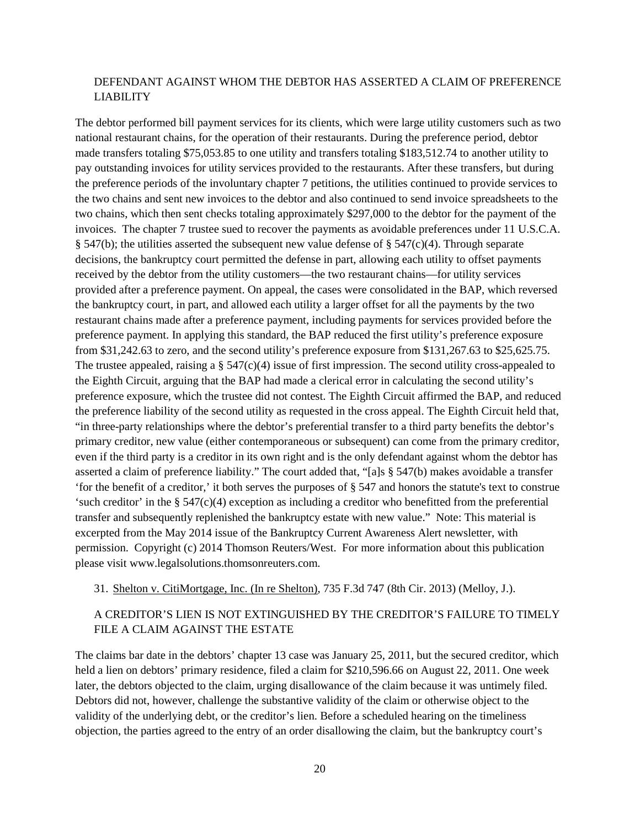#### DEFENDANT AGAINST WHOM THE DEBTOR HAS ASSERTED A CLAIM OF PREFERENCE LIABILITY

The debtor performed bill payment services for its clients, which were large utility customers such as two national restaurant chains, for the operation of their restaurants. During the preference period, debtor made transfers totaling \$75,053.85 to one utility and transfers totaling \$183,512.74 to another utility to pay outstanding invoices for utility services provided to the restaurants. After these transfers, but during the preference periods of the involuntary chapter 7 petitions, the utilities continued to provide services to the two chains and sent new invoices to the debtor and also continued to send invoice spreadsheets to the two chains, which then sent checks totaling approximately \$297,000 to the debtor for the payment of the invoices. The chapter 7 trustee sued to recover the payments as avoidable preferences under 11 U.S.C.A. § 547(b); the utilities asserted the subsequent new value defense of § 547(c)(4). Through separate decisions, the bankruptcy court permitted the defense in part, allowing each utility to offset payments received by the debtor from the utility customers—the two restaurant chains—for utility services provided after a preference payment. On appeal, the cases were consolidated in the BAP, which reversed the bankruptcy court, in part, and allowed each utility a larger offset for all the payments by the two restaurant chains made after a preference payment, including payments for services provided before the preference payment. In applying this standard, the BAP reduced the first utility's preference exposure from \$31,242.63 to zero, and the second utility's preference exposure from \$131,267.63 to \$25,625.75. The trustee appealed, raising a  $\S$  547(c)(4) issue of first impression. The second utility cross-appealed to the Eighth Circuit, arguing that the BAP had made a clerical error in calculating the second utility's preference exposure, which the trustee did not contest. The Eighth Circuit affirmed the BAP, and reduced the preference liability of the second utility as requested in the cross appeal. The Eighth Circuit held that, "in three-party relationships where the debtor's preferential transfer to a third party benefits the debtor's primary creditor, new value (either contemporaneous or subsequent) can come from the primary creditor, even if the third party is a creditor in its own right and is the only defendant against whom the debtor has asserted a claim of preference liability." The court added that, "[a]s § 547(b) makes avoidable a transfer 'for the benefit of a creditor,' it both serves the purposes of § 547 and honors the statute's text to construe 'such creditor' in the  $\S 547(c)(4)$  exception as including a creditor who benefitted from the preferential transfer and subsequently replenished the bankruptcy estate with new value." Note: This material is excerpted from the May 2014 issue of the Bankruptcy Current Awareness Alert newsletter, with permission. Copyright (c) 2014 Thomson Reuters/West. For more information about this publication please visit www.legalsolutions.thomsonreuters.com.

#### 31. Shelton v. CitiMortgage, Inc. (In re Shelton), 735 F.3d 747 (8th Cir. 2013) (Melloy, J.).

### A CREDITOR'S LIEN IS NOT EXTINGUISHED BY THE CREDITOR'S FAILURE TO TIMELY FILE A CLAIM AGAINST THE ESTATE

The claims bar date in the debtors' chapter 13 case was January 25, 2011, but the secured creditor, which held a lien on debtors' primary residence, filed a claim for \$210,596.66 on August 22, 2011. One week later, the debtors objected to the claim, urging disallowance of the claim because it was untimely filed. Debtors did not, however, challenge the substantive validity of the claim or otherwise object to the validity of the underlying debt, or the creditor's lien. Before a scheduled hearing on the timeliness objection, the parties agreed to the entry of an order disallowing the claim, but the bankruptcy court's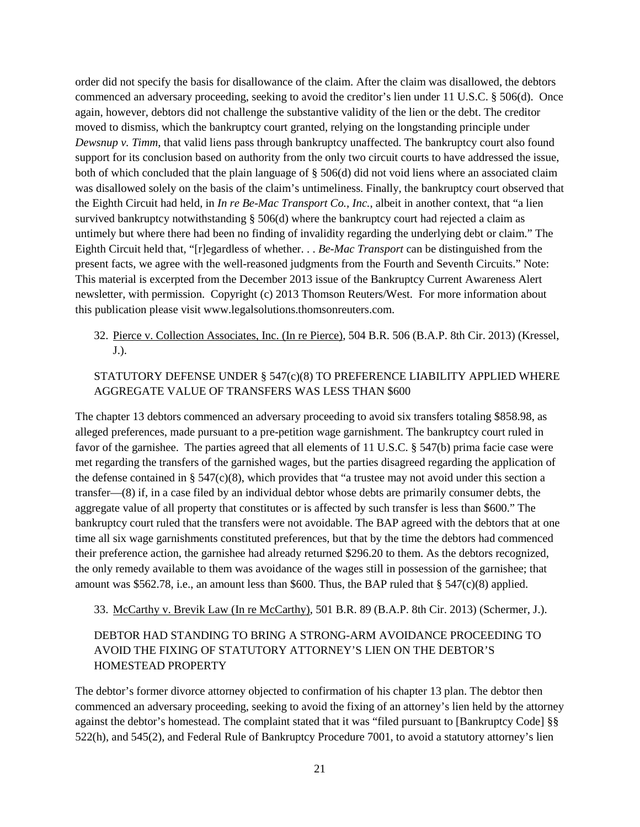order did not specify the basis for disallowance of the claim. After the claim was disallowed, the debtors commenced an adversary proceeding, seeking to avoid the creditor's lien under 11 U.S.C. § 506(d). Once again, however, debtors did not challenge the substantive validity of the lien or the debt. The creditor moved to dismiss, which the bankruptcy court granted, relying on the longstanding principle under *Dewsnup v. Timm*, that valid liens pass through bankruptcy unaffected. The bankruptcy court also found support for its conclusion based on authority from the only two circuit courts to have addressed the issue, both of which concluded that the plain language of § 506(d) did not void liens where an associated claim was disallowed solely on the basis of the claim's untimeliness. Finally, the bankruptcy court observed that the Eighth Circuit had held, in *In re Be-Mac Transport Co., Inc.*, albeit in another context, that "a lien survived bankruptcy notwithstanding § 506(d) where the bankruptcy court had rejected a claim as untimely but where there had been no finding of invalidity regarding the underlying debt or claim." The Eighth Circuit held that, "[r]egardless of whether. . . *Be-Mac Transport* can be distinguished from the present facts, we agree with the well-reasoned judgments from the Fourth and Seventh Circuits." Note: This material is excerpted from the December 2013 issue of the Bankruptcy Current Awareness Alert newsletter, with permission. Copyright (c) 2013 Thomson Reuters/West. For more information about this publication please visit www.legalsolutions.thomsonreuters.com.

32. Pierce v. Collection Associates, Inc. (In re Pierce), 504 B.R. 506 (B.A.P. 8th Cir. 2013) (Kressel, J.).

#### STATUTORY DEFENSE UNDER § 547(c)(8) TO PREFERENCE LIABILITY APPLIED WHERE AGGREGATE VALUE OF TRANSFERS WAS LESS THAN \$600

The chapter 13 debtors commenced an adversary proceeding to avoid six transfers totaling \$858.98, as alleged preferences, made pursuant to a pre-petition wage garnishment. The bankruptcy court ruled in favor of the garnishee. The parties agreed that all elements of 11 U.S.C. § 547(b) prima facie case were met regarding the transfers of the garnished wages, but the parties disagreed regarding the application of the defense contained in §  $547(c)(8)$ , which provides that "a trustee may not avoid under this section a transfer—(8) if, in a case filed by an individual debtor whose debts are primarily consumer debts, the aggregate value of all property that constitutes or is affected by such transfer is less than \$600." The bankruptcy court ruled that the transfers were not avoidable. The BAP agreed with the debtors that at one time all six wage garnishments constituted preferences, but that by the time the debtors had commenced their preference action, the garnishee had already returned \$296.20 to them. As the debtors recognized, the only remedy available to them was avoidance of the wages still in possession of the garnishee; that amount was  $$562.78$ , i.e., an amount less than \$600. Thus, the BAP ruled that §  $547(c)(8)$  applied.

33. McCarthy v. Brevik Law (In re McCarthy), 501 B.R. 89 (B.A.P. 8th Cir. 2013) (Schermer, J.).

### DEBTOR HAD STANDING TO BRING A STRONG-ARM AVOIDANCE PROCEEDING TO AVOID THE FIXING OF STATUTORY ATTORNEY'S LIEN ON THE DEBTOR'S HOMESTEAD PROPERTY

The debtor's former divorce attorney objected to confirmation of his chapter 13 plan. The debtor then commenced an adversary proceeding, seeking to avoid the fixing of an attorney's lien held by the attorney against the debtor's homestead. The complaint stated that it was "filed pursuant to [Bankruptcy Code] §§ 522(h), and 545(2), and Federal Rule of Bankruptcy Procedure 7001, to avoid a statutory attorney's lien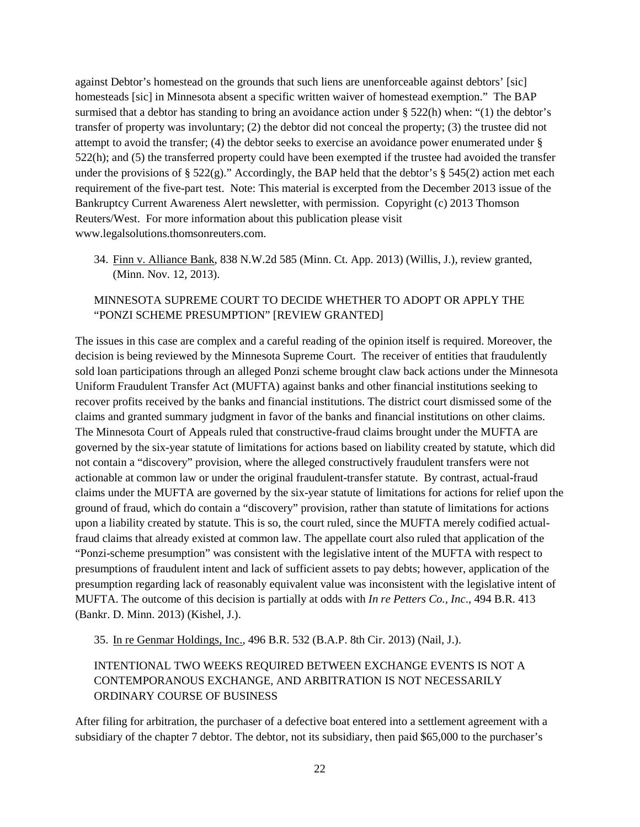against Debtor's homestead on the grounds that such liens are unenforceable against debtors' [sic] homesteads [sic] in Minnesota absent a specific written waiver of homestead exemption." The BAP surmised that a debtor has standing to bring an avoidance action under § 522(h) when: "(1) the debtor's transfer of property was involuntary; (2) the debtor did not conceal the property; (3) the trustee did not attempt to avoid the transfer; (4) the debtor seeks to exercise an avoidance power enumerated under § 522(h); and (5) the transferred property could have been exempted if the trustee had avoided the transfer under the provisions of § 522(g)." Accordingly, the BAP held that the debtor's § 545(2) action met each requirement of the five-part test. Note: This material is excerpted from the December 2013 issue of the Bankruptcy Current Awareness Alert newsletter, with permission. Copyright (c) 2013 Thomson Reuters/West. For more information about this publication please visit www.legalsolutions.thomsonreuters.com.

34. Finn v. Alliance Bank, 838 N.W.2d 585 (Minn. Ct. App. 2013) (Willis, J.), review granted, (Minn. Nov. 12, 2013).

### MINNESOTA SUPREME COURT TO DECIDE WHETHER TO ADOPT OR APPLY THE "PONZI SCHEME PRESUMPTION" [REVIEW GRANTED]

The issues in this case are complex and a careful reading of the opinion itself is required. Moreover, the decision is being reviewed by the Minnesota Supreme Court. The receiver of entities that fraudulently sold loan participations through an alleged Ponzi scheme brought claw back actions under the Minnesota Uniform Fraudulent Transfer Act (MUFTA) against banks and other financial institutions seeking to recover profits received by the banks and financial institutions. The district court dismissed some of the claims and granted summary judgment in favor of the banks and financial institutions on other claims. The Minnesota Court of Appeals ruled that constructive-fraud claims brought under the MUFTA are governed by the six-year statute of limitations for actions based on liability created by statute, which did not contain a "discovery" provision, where the alleged constructively fraudulent transfers were not actionable at common law or under the original fraudulent-transfer statute. By contrast, actual-fraud claims under the MUFTA are governed by the six-year statute of limitations for actions for relief upon the ground of fraud, which do contain a "discovery" provision, rather than statute of limitations for actions upon a liability created by statute. This is so, the court ruled, since the MUFTA merely codified actualfraud claims that already existed at common law. The appellate court also ruled that application of the "Ponzi-scheme presumption" was consistent with the legislative intent of the MUFTA with respect to presumptions of fraudulent intent and lack of sufficient assets to pay debts; however, application of the presumption regarding lack of reasonably equivalent value was inconsistent with the legislative intent of MUFTA. The outcome of this decision is partially at odds with *In re Petters Co., Inc*., 494 B.R. 413 (Bankr. D. Minn. 2013) (Kishel, J.).

35. In re Genmar Holdings, Inc., 496 B.R. 532 (B.A.P. 8th Cir. 2013) (Nail, J.).

### INTENTIONAL TWO WEEKS REQUIRED BETWEEN EXCHANGE EVENTS IS NOT A CONTEMPORANOUS EXCHANGE, AND ARBITRATION IS NOT NECESSARILY ORDINARY COURSE OF BUSINESS

After filing for arbitration, the purchaser of a defective boat entered into a settlement agreement with a subsidiary of the chapter 7 debtor. The debtor, not its subsidiary, then paid \$65,000 to the purchaser's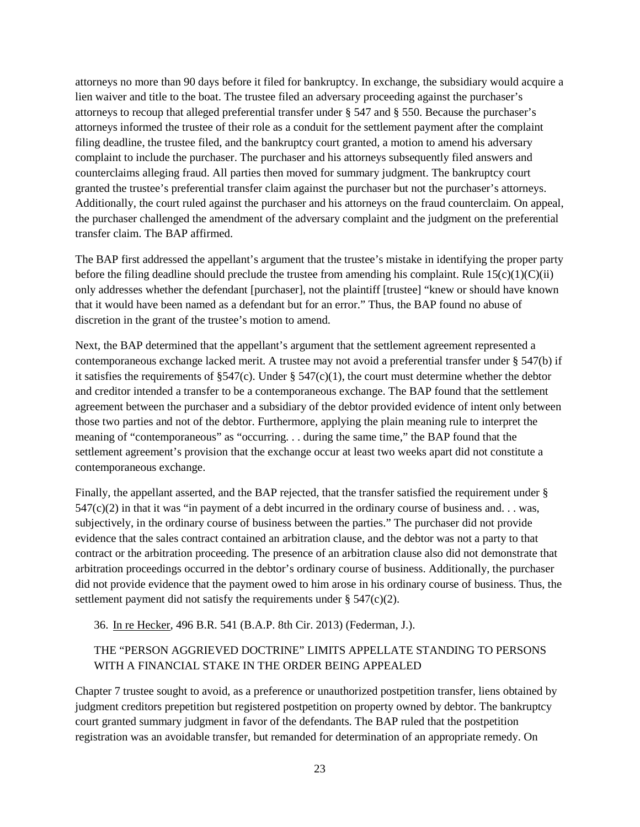attorneys no more than 90 days before it filed for bankruptcy. In exchange, the subsidiary would acquire a lien waiver and title to the boat. The trustee filed an adversary proceeding against the purchaser's attorneys to recoup that alleged preferential transfer under § 547 and § 550. Because the purchaser's attorneys informed the trustee of their role as a conduit for the settlement payment after the complaint filing deadline, the trustee filed, and the bankruptcy court granted, a motion to amend his adversary complaint to include the purchaser. The purchaser and his attorneys subsequently filed answers and counterclaims alleging fraud. All parties then moved for summary judgment. The bankruptcy court granted the trustee's preferential transfer claim against the purchaser but not the purchaser's attorneys. Additionally, the court ruled against the purchaser and his attorneys on the fraud counterclaim. On appeal, the purchaser challenged the amendment of the adversary complaint and the judgment on the preferential transfer claim. The BAP affirmed.

The BAP first addressed the appellant's argument that the trustee's mistake in identifying the proper party before the filing deadline should preclude the trustee from amending his complaint. Rule  $15(c)(1)(C(ii)$ only addresses whether the defendant [purchaser], not the plaintiff [trustee] "knew or should have known that it would have been named as a defendant but for an error." Thus, the BAP found no abuse of discretion in the grant of the trustee's motion to amend.

Next, the BAP determined that the appellant's argument that the settlement agreement represented a contemporaneous exchange lacked merit. A trustee may not avoid a preferential transfer under § 547(b) if it satisfies the requirements of  $\S$ 547(c). Under  $\S$  547(c)(1), the court must determine whether the debtor and creditor intended a transfer to be a contemporaneous exchange. The BAP found that the settlement agreement between the purchaser and a subsidiary of the debtor provided evidence of intent only between those two parties and not of the debtor. Furthermore, applying the plain meaning rule to interpret the meaning of "contemporaneous" as "occurring. . . during the same time," the BAP found that the settlement agreement's provision that the exchange occur at least two weeks apart did not constitute a contemporaneous exchange.

Finally, the appellant asserted, and the BAP rejected, that the transfer satisfied the requirement under §  $547(c)(2)$  in that it was "in payment of a debt incurred in the ordinary course of business and... was, subjectively, in the ordinary course of business between the parties." The purchaser did not provide evidence that the sales contract contained an arbitration clause, and the debtor was not a party to that contract or the arbitration proceeding. The presence of an arbitration clause also did not demonstrate that arbitration proceedings occurred in the debtor's ordinary course of business. Additionally, the purchaser did not provide evidence that the payment owed to him arose in his ordinary course of business. Thus, the settlement payment did not satisfy the requirements under  $\S$  547(c)(2).

36. In re Hecker, 496 B.R. 541 (B.A.P. 8th Cir. 2013) (Federman, J.).

## THE "PERSON AGGRIEVED DOCTRINE" LIMITS APPELLATE STANDING TO PERSONS WITH A FINANCIAL STAKE IN THE ORDER BEING APPEALED

Chapter 7 trustee sought to avoid, as a preference or unauthorized postpetition transfer, liens obtained by judgment creditors prepetition but registered postpetition on property owned by debtor. The bankruptcy court granted summary judgment in favor of the defendants. The BAP ruled that the postpetition registration was an avoidable transfer, but remanded for determination of an appropriate remedy. On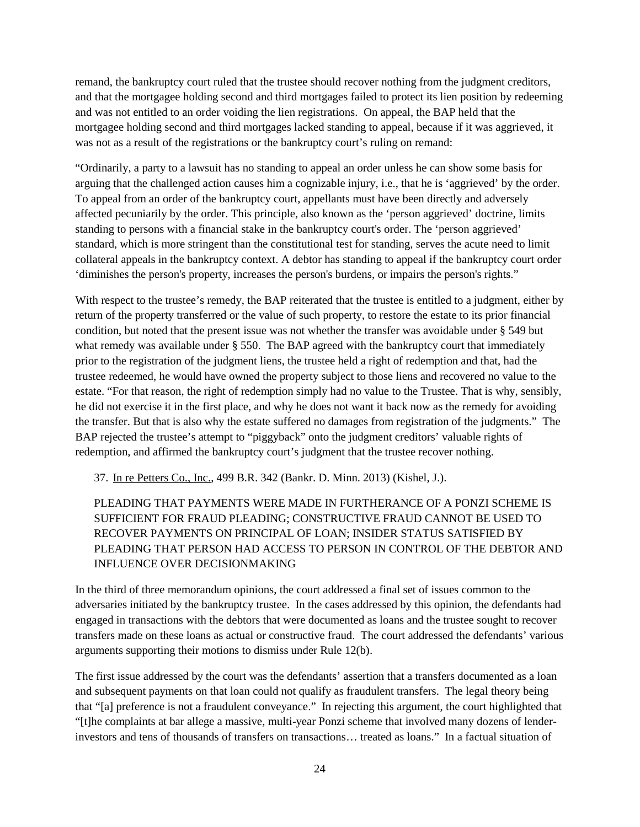remand, the bankruptcy court ruled that the trustee should recover nothing from the judgment creditors, and that the mortgagee holding second and third mortgages failed to protect its lien position by redeeming and was not entitled to an order voiding the lien registrations. On appeal, the BAP held that the mortgagee holding second and third mortgages lacked standing to appeal, because if it was aggrieved, it was not as a result of the registrations or the bankruptcy court's ruling on remand:

"Ordinarily, a party to a lawsuit has no standing to appeal an order unless he can show some basis for arguing that the challenged action causes him a cognizable injury, i.e., that he is 'aggrieved' by the order. To appeal from an order of the bankruptcy court, appellants must have been directly and adversely affected pecuniarily by the order. This principle, also known as the 'person aggrieved' doctrine, limits standing to persons with a financial stake in the bankruptcy court's order. The 'person aggrieved' standard, which is more stringent than the constitutional test for standing, serves the acute need to limit collateral appeals in the bankruptcy context. A debtor has standing to appeal if the bankruptcy court order 'diminishes the person's property, increases the person's burdens, or impairs the person's rights."

With respect to the trustee's remedy, the BAP reiterated that the trustee is entitled to a judgment, either by return of the property transferred or the value of such property, to restore the estate to its prior financial condition, but noted that the present issue was not whether the transfer was avoidable under § 549 but what remedy was available under § 550. The BAP agreed with the bankruptcy court that immediately prior to the registration of the judgment liens, the trustee held a right of redemption and that, had the trustee redeemed, he would have owned the property subject to those liens and recovered no value to the estate. "For that reason, the right of redemption simply had no value to the Trustee. That is why, sensibly, he did not exercise it in the first place, and why he does not want it back now as the remedy for avoiding the transfer. But that is also why the estate suffered no damages from registration of the judgments." The BAP rejected the trustee's attempt to "piggyback" onto the judgment creditors' valuable rights of redemption, and affirmed the bankruptcy court's judgment that the trustee recover nothing.

37. In re Petters Co., Inc., 499 B.R. 342 (Bankr. D. Minn. 2013) (Kishel, J.).

PLEADING THAT PAYMENTS WERE MADE IN FURTHERANCE OF A PONZI SCHEME IS SUFFICIENT FOR FRAUD PLEADING; CONSTRUCTIVE FRAUD CANNOT BE USED TO RECOVER PAYMENTS ON PRINCIPAL OF LOAN; INSIDER STATUS SATISFIED BY PLEADING THAT PERSON HAD ACCESS TO PERSON IN CONTROL OF THE DEBTOR AND INFLUENCE OVER DECISIONMAKING

In the third of three memorandum opinions, the court addressed a final set of issues common to the adversaries initiated by the bankruptcy trustee. In the cases addressed by this opinion, the defendants had engaged in transactions with the debtors that were documented as loans and the trustee sought to recover transfers made on these loans as actual or constructive fraud. The court addressed the defendants' various arguments supporting their motions to dismiss under Rule 12(b).

The first issue addressed by the court was the defendants' assertion that a transfers documented as a loan and subsequent payments on that loan could not qualify as fraudulent transfers. The legal theory being that "[a] preference is not a fraudulent conveyance." In rejecting this argument, the court highlighted that "[t]he complaints at bar allege a massive, multi-year Ponzi scheme that involved many dozens of lenderinvestors and tens of thousands of transfers on transactions… treated as loans." In a factual situation of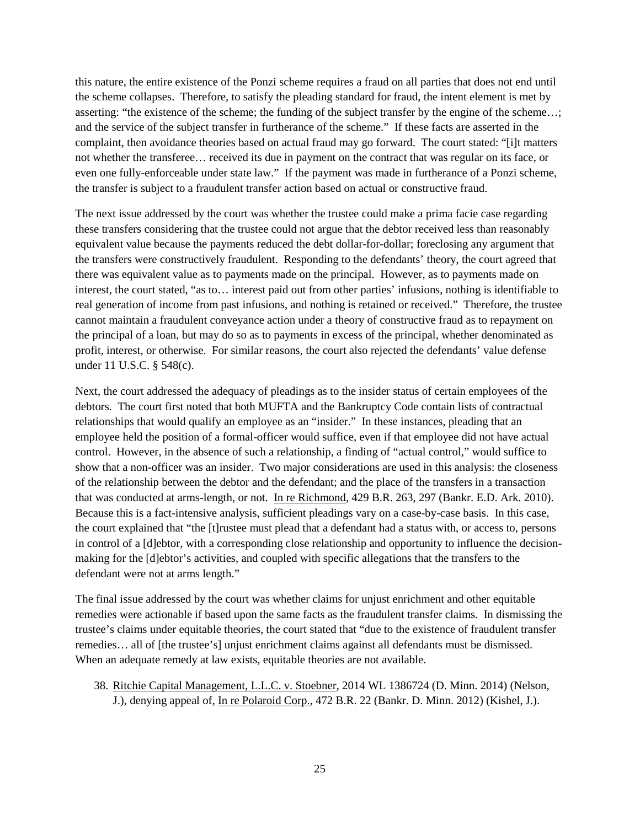this nature, the entire existence of the Ponzi scheme requires a fraud on all parties that does not end until the scheme collapses. Therefore, to satisfy the pleading standard for fraud, the intent element is met by asserting: "the existence of the scheme; the funding of the subject transfer by the engine of the scheme…; and the service of the subject transfer in furtherance of the scheme." If these facts are asserted in the complaint, then avoidance theories based on actual fraud may go forward. The court stated: "[i]t matters not whether the transferee… received its due in payment on the contract that was regular on its face, or even one fully-enforceable under state law." If the payment was made in furtherance of a Ponzi scheme, the transfer is subject to a fraudulent transfer action based on actual or constructive fraud.

The next issue addressed by the court was whether the trustee could make a prima facie case regarding these transfers considering that the trustee could not argue that the debtor received less than reasonably equivalent value because the payments reduced the debt dollar-for-dollar; foreclosing any argument that the transfers were constructively fraudulent. Responding to the defendants' theory, the court agreed that there was equivalent value as to payments made on the principal. However, as to payments made on interest, the court stated, "as to… interest paid out from other parties' infusions, nothing is identifiable to real generation of income from past infusions, and nothing is retained or received." Therefore, the trustee cannot maintain a fraudulent conveyance action under a theory of constructive fraud as to repayment on the principal of a loan, but may do so as to payments in excess of the principal, whether denominated as profit, interest, or otherwise. For similar reasons, the court also rejected the defendants' value defense under 11 U.S.C. § 548(c).

Next, the court addressed the adequacy of pleadings as to the insider status of certain employees of the debtors. The court first noted that both MUFTA and the Bankruptcy Code contain lists of contractual relationships that would qualify an employee as an "insider." In these instances, pleading that an employee held the position of a formal-officer would suffice, even if that employee did not have actual control. However, in the absence of such a relationship, a finding of "actual control," would suffice to show that a non-officer was an insider. Two major considerations are used in this analysis: the closeness of the relationship between the debtor and the defendant; and the place of the transfers in a transaction that was conducted at arms-length, or not. In re Richmond, 429 B.R. 263, 297 (Bankr. E.D. Ark. 2010). Because this is a fact-intensive analysis, sufficient pleadings vary on a case-by-case basis. In this case, the court explained that "the [t]rustee must plead that a defendant had a status with, or access to, persons in control of a [d]ebtor, with a corresponding close relationship and opportunity to influence the decisionmaking for the [d]ebtor's activities, and coupled with specific allegations that the transfers to the defendant were not at arms length."

The final issue addressed by the court was whether claims for unjust enrichment and other equitable remedies were actionable if based upon the same facts as the fraudulent transfer claims. In dismissing the trustee's claims under equitable theories, the court stated that "due to the existence of fraudulent transfer remedies… all of [the trustee's] unjust enrichment claims against all defendants must be dismissed. When an adequate remedy at law exists, equitable theories are not available.

38. Ritchie Capital Management, L.L.C. v. Stoebner, 2014 WL 1386724 (D. Minn. 2014) (Nelson, J.), denying appeal of, *In re Polaroid Corp.*, 472 B.R. 22 (Bankr. D. Minn. 2012) (Kishel, J.).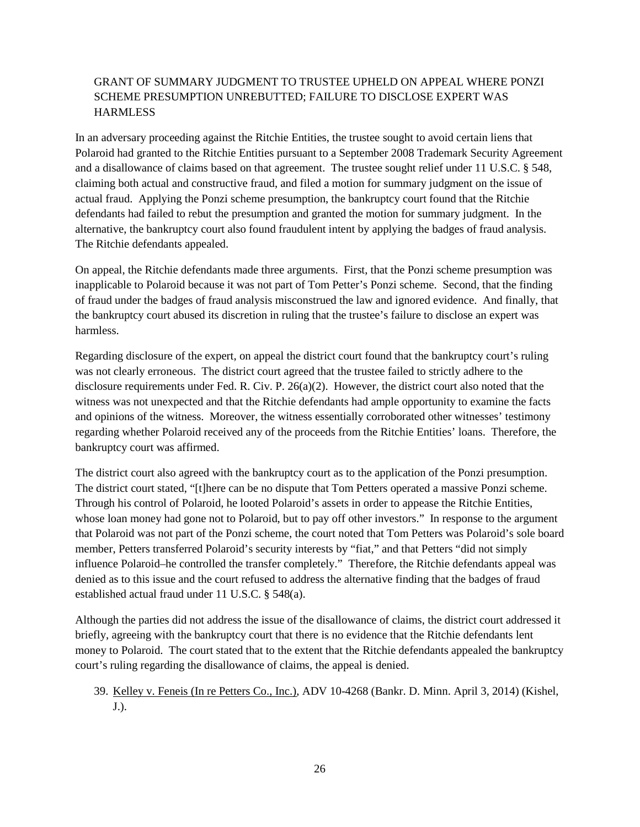### GRANT OF SUMMARY JUDGMENT TO TRUSTEE UPHELD ON APPEAL WHERE PONZI SCHEME PRESUMPTION UNREBUTTED; FAILURE TO DISCLOSE EXPERT WAS **HARMLESS**

In an adversary proceeding against the Ritchie Entities, the trustee sought to avoid certain liens that Polaroid had granted to the Ritchie Entities pursuant to a September 2008 Trademark Security Agreement and a disallowance of claims based on that agreement. The trustee sought relief under 11 U.S.C. § 548, claiming both actual and constructive fraud, and filed a motion for summary judgment on the issue of actual fraud. Applying the Ponzi scheme presumption, the bankruptcy court found that the Ritchie defendants had failed to rebut the presumption and granted the motion for summary judgment. In the alternative, the bankruptcy court also found fraudulent intent by applying the badges of fraud analysis. The Ritchie defendants appealed.

On appeal, the Ritchie defendants made three arguments. First, that the Ponzi scheme presumption was inapplicable to Polaroid because it was not part of Tom Petter's Ponzi scheme. Second, that the finding of fraud under the badges of fraud analysis misconstrued the law and ignored evidence. And finally, that the bankruptcy court abused its discretion in ruling that the trustee's failure to disclose an expert was harmless.

Regarding disclosure of the expert, on appeal the district court found that the bankruptcy court's ruling was not clearly erroneous. The district court agreed that the trustee failed to strictly adhere to the disclosure requirements under Fed. R. Civ. P. 26(a)(2). However, the district court also noted that the witness was not unexpected and that the Ritchie defendants had ample opportunity to examine the facts and opinions of the witness. Moreover, the witness essentially corroborated other witnesses' testimony regarding whether Polaroid received any of the proceeds from the Ritchie Entities' loans. Therefore, the bankruptcy court was affirmed.

The district court also agreed with the bankruptcy court as to the application of the Ponzi presumption. The district court stated, "[t]here can be no dispute that Tom Petters operated a massive Ponzi scheme. Through his control of Polaroid, he looted Polaroid's assets in order to appease the Ritchie Entities, whose loan money had gone not to Polaroid, but to pay off other investors." In response to the argument that Polaroid was not part of the Ponzi scheme, the court noted that Tom Petters was Polaroid's sole board member, Petters transferred Polaroid's security interests by "fiat," and that Petters "did not simply influence Polaroid–he controlled the transfer completely." Therefore, the Ritchie defendants appeal was denied as to this issue and the court refused to address the alternative finding that the badges of fraud established actual fraud under 11 U.S.C. § 548(a).

Although the parties did not address the issue of the disallowance of claims, the district court addressed it briefly, agreeing with the bankruptcy court that there is no evidence that the Ritchie defendants lent money to Polaroid. The court stated that to the extent that the Ritchie defendants appealed the bankruptcy court's ruling regarding the disallowance of claims, the appeal is denied.

### 39. Kelley v. Feneis (In re Petters Co., Inc.), ADV 10-4268 (Bankr. D. Minn. April 3, 2014) (Kishel, J.).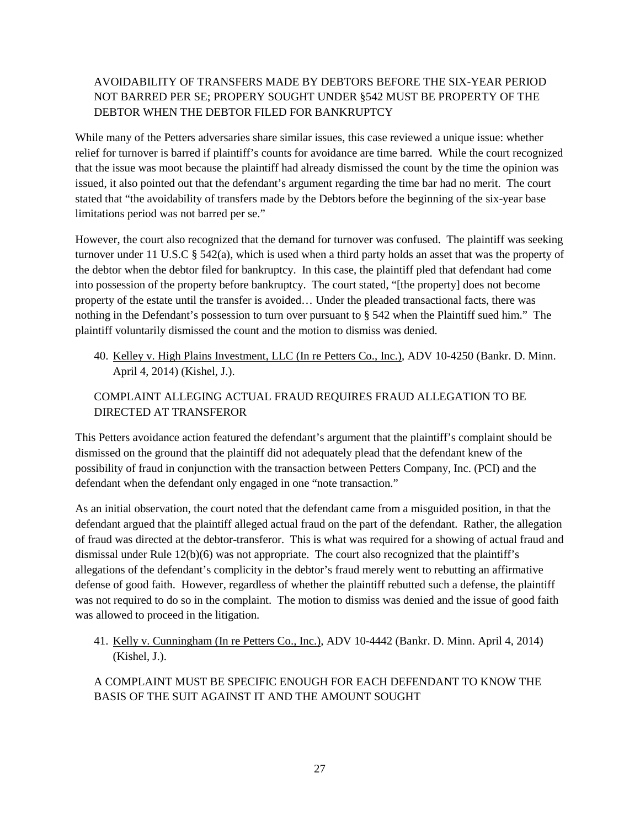### AVOIDABILITY OF TRANSFERS MADE BY DEBTORS BEFORE THE SIX-YEAR PERIOD NOT BARRED PER SE; PROPERY SOUGHT UNDER §542 MUST BE PROPERTY OF THE DEBTOR WHEN THE DEBTOR FILED FOR BANKRUPTCY

While many of the Petters adversaries share similar issues, this case reviewed a unique issue: whether relief for turnover is barred if plaintiff's counts for avoidance are time barred. While the court recognized that the issue was moot because the plaintiff had already dismissed the count by the time the opinion was issued, it also pointed out that the defendant's argument regarding the time bar had no merit. The court stated that "the avoidability of transfers made by the Debtors before the beginning of the six-year base limitations period was not barred per se."

However, the court also recognized that the demand for turnover was confused. The plaintiff was seeking turnover under 11 U.S.C  $\S$  542(a), which is used when a third party holds an asset that was the property of the debtor when the debtor filed for bankruptcy. In this case, the plaintiff pled that defendant had come into possession of the property before bankruptcy. The court stated, "[the property] does not become property of the estate until the transfer is avoided… Under the pleaded transactional facts, there was nothing in the Defendant's possession to turn over pursuant to § 542 when the Plaintiff sued him." The plaintiff voluntarily dismissed the count and the motion to dismiss was denied.

40. Kelley v. High Plains Investment, LLC (In re Petters Co., Inc.), ADV 10-4250 (Bankr. D. Minn. April 4, 2014) (Kishel, J.).

### COMPLAINT ALLEGING ACTUAL FRAUD REQUIRES FRAUD ALLEGATION TO BE DIRECTED AT TRANSFEROR

This Petters avoidance action featured the defendant's argument that the plaintiff's complaint should be dismissed on the ground that the plaintiff did not adequately plead that the defendant knew of the possibility of fraud in conjunction with the transaction between Petters Company, Inc. (PCI) and the defendant when the defendant only engaged in one "note transaction."

As an initial observation, the court noted that the defendant came from a misguided position, in that the defendant argued that the plaintiff alleged actual fraud on the part of the defendant. Rather, the allegation of fraud was directed at the debtor-transferor. This is what was required for a showing of actual fraud and dismissal under Rule 12(b)(6) was not appropriate. The court also recognized that the plaintiff's allegations of the defendant's complicity in the debtor's fraud merely went to rebutting an affirmative defense of good faith. However, regardless of whether the plaintiff rebutted such a defense, the plaintiff was not required to do so in the complaint. The motion to dismiss was denied and the issue of good faith was allowed to proceed in the litigation.

41. Kelly v. Cunningham (In re Petters Co., Inc.), ADV 10-4442 (Bankr. D. Minn. April 4, 2014) (Kishel, J.).

A COMPLAINT MUST BE SPECIFIC ENOUGH FOR EACH DEFENDANT TO KNOW THE BASIS OF THE SUIT AGAINST IT AND THE AMOUNT SOUGHT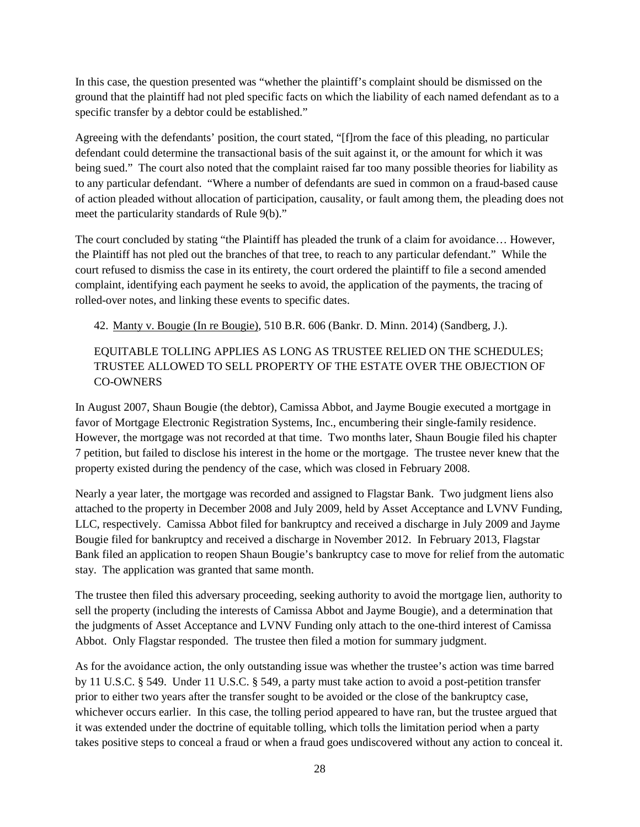In this case, the question presented was "whether the plaintiff's complaint should be dismissed on the ground that the plaintiff had not pled specific facts on which the liability of each named defendant as to a specific transfer by a debtor could be established."

Agreeing with the defendants' position, the court stated, "[f]rom the face of this pleading, no particular defendant could determine the transactional basis of the suit against it, or the amount for which it was being sued." The court also noted that the complaint raised far too many possible theories for liability as to any particular defendant. "Where a number of defendants are sued in common on a fraud-based cause of action pleaded without allocation of participation, causality, or fault among them, the pleading does not meet the particularity standards of Rule 9(b)."

The court concluded by stating "the Plaintiff has pleaded the trunk of a claim for avoidance… However, the Plaintiff has not pled out the branches of that tree, to reach to any particular defendant." While the court refused to dismiss the case in its entirety, the court ordered the plaintiff to file a second amended complaint, identifying each payment he seeks to avoid, the application of the payments, the tracing of rolled-over notes, and linking these events to specific dates.

42. Manty v. Bougie (In re Bougie), 510 B.R. 606 (Bankr. D. Minn. 2014) (Sandberg, J.).

### EQUITABLE TOLLING APPLIES AS LONG AS TRUSTEE RELIED ON THE SCHEDULES; TRUSTEE ALLOWED TO SELL PROPERTY OF THE ESTATE OVER THE OBJECTION OF CO-OWNERS

In August 2007, Shaun Bougie (the debtor), Camissa Abbot, and Jayme Bougie executed a mortgage in favor of Mortgage Electronic Registration Systems, Inc., encumbering their single-family residence. However, the mortgage was not recorded at that time. Two months later, Shaun Bougie filed his chapter 7 petition, but failed to disclose his interest in the home or the mortgage. The trustee never knew that the property existed during the pendency of the case, which was closed in February 2008.

Nearly a year later, the mortgage was recorded and assigned to Flagstar Bank. Two judgment liens also attached to the property in December 2008 and July 2009, held by Asset Acceptance and LVNV Funding, LLC, respectively. Camissa Abbot filed for bankruptcy and received a discharge in July 2009 and Jayme Bougie filed for bankruptcy and received a discharge in November 2012. In February 2013, Flagstar Bank filed an application to reopen Shaun Bougie's bankruptcy case to move for relief from the automatic stay. The application was granted that same month.

The trustee then filed this adversary proceeding, seeking authority to avoid the mortgage lien, authority to sell the property (including the interests of Camissa Abbot and Jayme Bougie), and a determination that the judgments of Asset Acceptance and LVNV Funding only attach to the one-third interest of Camissa Abbot. Only Flagstar responded. The trustee then filed a motion for summary judgment.

As for the avoidance action, the only outstanding issue was whether the trustee's action was time barred by 11 U.S.C. § 549. Under 11 U.S.C. § 549, a party must take action to avoid a post-petition transfer prior to either two years after the transfer sought to be avoided or the close of the bankruptcy case, whichever occurs earlier. In this case, the tolling period appeared to have ran, but the trustee argued that it was extended under the doctrine of equitable tolling, which tolls the limitation period when a party takes positive steps to conceal a fraud or when a fraud goes undiscovered without any action to conceal it.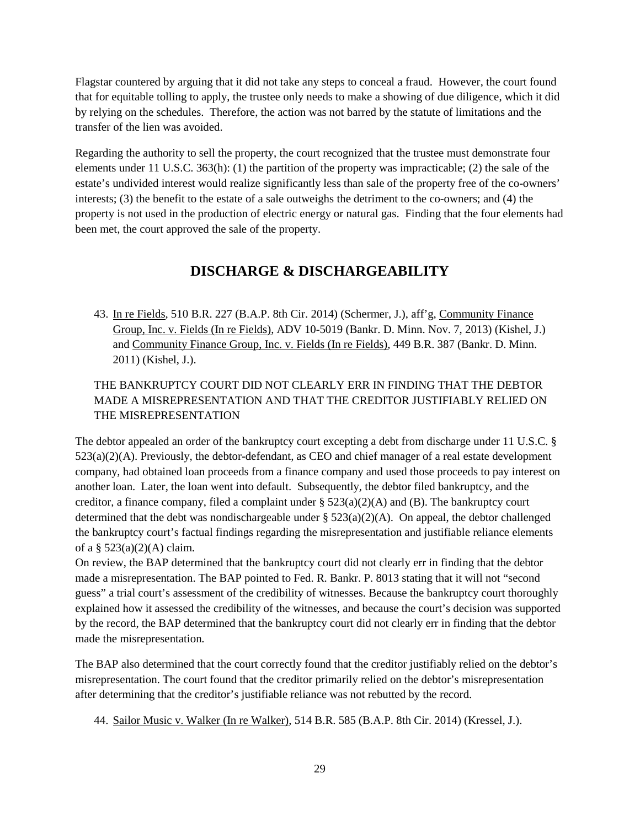Flagstar countered by arguing that it did not take any steps to conceal a fraud. However, the court found that for equitable tolling to apply, the trustee only needs to make a showing of due diligence, which it did by relying on the schedules. Therefore, the action was not barred by the statute of limitations and the transfer of the lien was avoided.

Regarding the authority to sell the property, the court recognized that the trustee must demonstrate four elements under 11 U.S.C. 363(h): (1) the partition of the property was impracticable; (2) the sale of the estate's undivided interest would realize significantly less than sale of the property free of the co-owners' interests; (3) the benefit to the estate of a sale outweighs the detriment to the co-owners; and (4) the property is not used in the production of electric energy or natural gas. Finding that the four elements had been met, the court approved the sale of the property.

# **DISCHARGE & DISCHARGEABILITY**

<span id="page-28-0"></span>43. In re Fields, 510 B.R. 227 (B.A.P. 8th Cir. 2014) (Schermer, J.), aff'g, Community Finance Group, Inc. v. Fields (In re Fields), ADV 10-5019 (Bankr. D. Minn. Nov. 7, 2013) (Kishel, J.) and Community Finance Group, Inc. v. Fields (In re Fields), 449 B.R. 387 (Bankr. D. Minn. 2011) (Kishel, J.).

## THE BANKRUPTCY COURT DID NOT CLEARLY ERR IN FINDING THAT THE DEBTOR MADE A MISREPRESENTATION AND THAT THE CREDITOR JUSTIFIABLY RELIED ON THE MISREPRESENTATION

The debtor appealed an order of the bankruptcy court excepting a debt from discharge under 11 U.S.C. § 523(a)(2)(A). Previously, the debtor-defendant, as CEO and chief manager of a real estate development company, had obtained loan proceeds from a finance company and used those proceeds to pay interest on another loan. Later, the loan went into default. Subsequently, the debtor filed bankruptcy, and the creditor, a finance company, filed a complaint under  $\S$  523(a)(2)(A) and (B). The bankruptcy court determined that the debt was nondischargeable under  $\S 523(a)(2)(A)$ . On appeal, the debtor challenged the bankruptcy court's factual findings regarding the misrepresentation and justifiable reliance elements of a  $\S$  523(a)(2)(A) claim.

On review, the BAP determined that the bankruptcy court did not clearly err in finding that the debtor made a misrepresentation. The BAP pointed to Fed. R. Bankr. P. 8013 stating that it will not "second guess" a trial court's assessment of the credibility of witnesses. Because the bankruptcy court thoroughly explained how it assessed the credibility of the witnesses, and because the court's decision was supported by the record, the BAP determined that the bankruptcy court did not clearly err in finding that the debtor made the misrepresentation.

The BAP also determined that the court correctly found that the creditor justifiably relied on the debtor's misrepresentation. The court found that the creditor primarily relied on the debtor's misrepresentation after determining that the creditor's justifiable reliance was not rebutted by the record.

44. Sailor Music v. Walker (In re Walker), 514 B.R. 585 (B.A.P. 8th Cir. 2014) (Kressel, J.).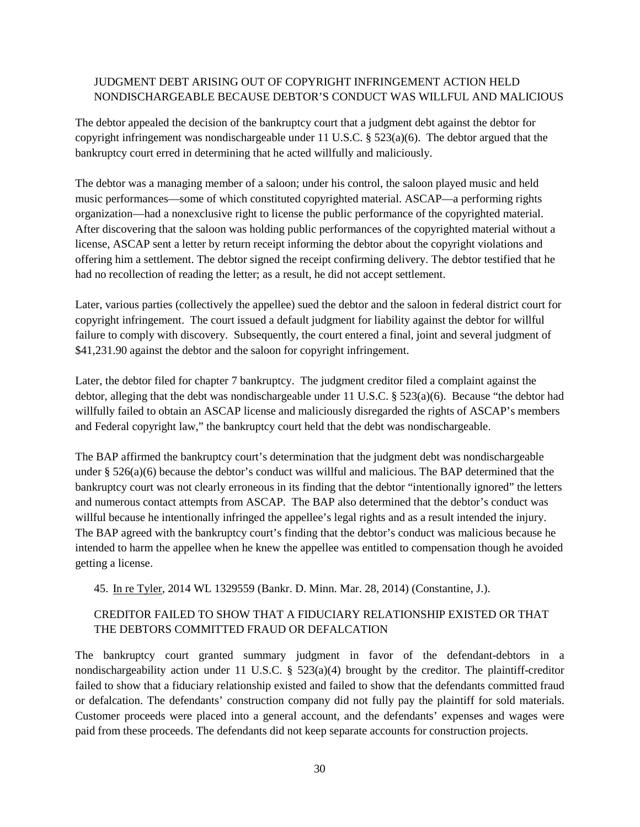### JUDGMENT DEBT ARISING OUT OF COPYRIGHT INFRINGEMENT ACTION HELD NONDISCHARGEABLE BECAUSE DEBTOR'S CONDUCT WAS WILLFUL AND MALICIOUS

The debtor appealed the decision of the bankruptcy court that a judgment debt against the debtor for copyright infringement was nondischargeable under 11 U.S.C.  $\S$  523(a)(6). The debtor argued that the bankruptcy court erred in determining that he acted willfully and maliciously.

The debtor was a managing member of a saloon; under his control, the saloon played music and held music performances—some of which constituted copyrighted material. ASCAP—a performing rights organization—had a nonexclusive right to license the public performance of the copyrighted material. After discovering that the saloon was holding public performances of the copyrighted material without a license, ASCAP sent a letter by return receipt informing the debtor about the copyright violations and offering him a settlement. The debtor signed the receipt confirming delivery. The debtor testified that he had no recollection of reading the letter; as a result, he did not accept settlement.

Later, various parties (collectively the appellee) sued the debtor and the saloon in federal district court for copyright infringement. The court issued a default judgment for liability against the debtor for willful failure to comply with discovery. Subsequently, the court entered a final, joint and several judgment of \$41,231.90 against the debtor and the saloon for copyright infringement.

Later, the debtor filed for chapter 7 bankruptcy. The judgment creditor filed a complaint against the debtor, alleging that the debt was nondischargeable under 11 U.S.C. § 523(a)(6). Because "the debtor had willfully failed to obtain an ASCAP license and maliciously disregarded the rights of ASCAP's members and Federal copyright law," the bankruptcy court held that the debt was nondischargeable.

The BAP affirmed the bankruptcy court's determination that the judgment debt was nondischargeable under § 526(a)(6) because the debtor's conduct was willful and malicious. The BAP determined that the bankruptcy court was not clearly erroneous in its finding that the debtor "intentionally ignored" the letters and numerous contact attempts from ASCAP. The BAP also determined that the debtor's conduct was willful because he intentionally infringed the appellee's legal rights and as a result intended the injury. The BAP agreed with the bankruptcy court's finding that the debtor's conduct was malicious because he intended to harm the appellee when he knew the appellee was entitled to compensation though he avoided getting a license.

45. In re Tyler, 2014 WL 1329559 (Bankr. D. Minn. Mar. 28, 2014) (Constantine, J.).

### CREDITOR FAILED TO SHOW THAT A FIDUCIARY RELATIONSHIP EXISTED OR THAT THE DEBTORS COMMITTED FRAUD OR DEFALCATION

The bankruptcy court granted summary judgment in favor of the defendant-debtors in a nondischargeability action under 11 U.S.C. §  $523(a)(4)$  brought by the creditor. The plaintiff-creditor failed to show that a fiduciary relationship existed and failed to show that the defendants committed fraud or defalcation. The defendants' construction company did not fully pay the plaintiff for sold materials. Customer proceeds were placed into a general account, and the defendants' expenses and wages were paid from these proceeds. The defendants did not keep separate accounts for construction projects.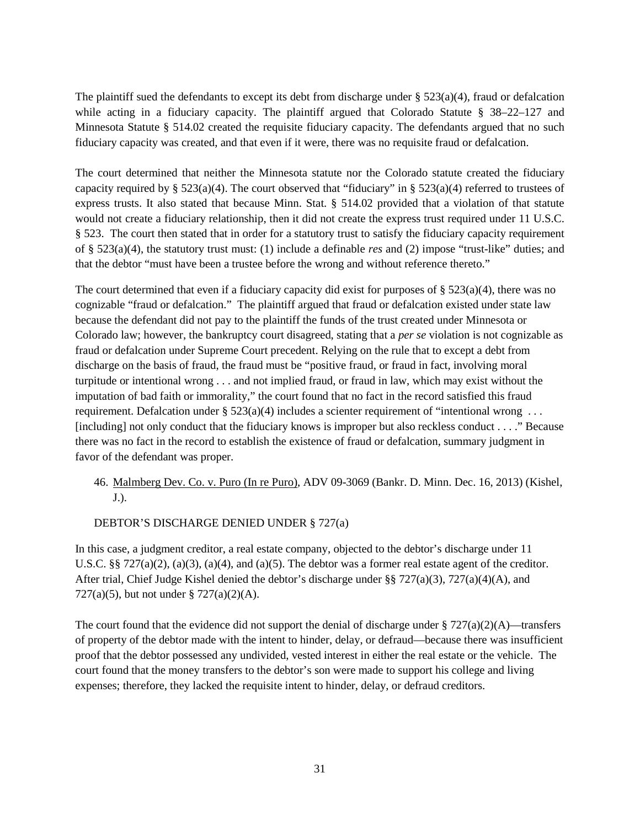The plaintiff sued the defendants to except its debt from discharge under  $\S$  523(a)(4), fraud or defalcation while acting in a fiduciary capacity. The plaintiff argued that Colorado Statute § 38–22–127 and Minnesota Statute § 514.02 created the requisite fiduciary capacity. The defendants argued that no such fiduciary capacity was created, and that even if it were, there was no requisite fraud or defalcation.

The court determined that neither the Minnesota statute nor the Colorado statute created the fiduciary capacity required by § 523(a)(4). The court observed that "fiduciary" in § 523(a)(4) referred to trustees of express trusts. It also stated that because Minn. Stat. § 514.02 provided that a violation of that statute would not create a fiduciary relationship, then it did not create the express trust required under 11 U.S.C. § 523. The court then stated that in order for a statutory trust to satisfy the fiduciary capacity requirement of § 523(a)(4), the statutory trust must: (1) include a definable *res* and (2) impose "trust-like" duties; and that the debtor "must have been a trustee before the wrong and without reference thereto."

The court determined that even if a fiduciary capacity did exist for purposes of  $\S 523(a)(4)$ , there was no cognizable "fraud or defalcation." The plaintiff argued that fraud or defalcation existed under state law because the defendant did not pay to the plaintiff the funds of the trust created under Minnesota or Colorado law; however, the bankruptcy court disagreed, stating that a *per se* violation is not cognizable as fraud or defalcation under Supreme Court precedent. Relying on the rule that to except a debt from discharge on the basis of fraud, the fraud must be "positive fraud, or fraud in fact, involving moral turpitude or intentional wrong . . . and not implied fraud, or fraud in law, which may exist without the imputation of bad faith or immorality," the court found that no fact in the record satisfied this fraud requirement. Defalcation under §  $523(a)(4)$  includes a scienter requirement of "intentional wrong ... [including] not only conduct that the fiduciary knows is improper but also reckless conduct . . . ." Because there was no fact in the record to establish the existence of fraud or defalcation, summary judgment in favor of the defendant was proper.

### 46. Malmberg Dev. Co. v. Puro (In re Puro), ADV 09-3069 (Bankr. D. Minn. Dec. 16, 2013) (Kishel, J.).

#### DEBTOR'S DISCHARGE DENIED UNDER § 727(a)

In this case, a judgment creditor, a real estate company, objected to the debtor's discharge under 11 U.S.C. §§ 727(a)(2), (a)(3), (a)(4), and (a)(5). The debtor was a former real estate agent of the creditor. After trial, Chief Judge Kishel denied the debtor's discharge under §§ 727(a)(3), 727(a)(4)(A), and 727(a)(5), but not under § 727(a)(2)(A).

The court found that the evidence did not support the denial of discharge under  $\S 727(a)(2)(A)$ —transfers of property of the debtor made with the intent to hinder, delay, or defraud—because there was insufficient proof that the debtor possessed any undivided, vested interest in either the real estate or the vehicle. The court found that the money transfers to the debtor's son were made to support his college and living expenses; therefore, they lacked the requisite intent to hinder, delay, or defraud creditors.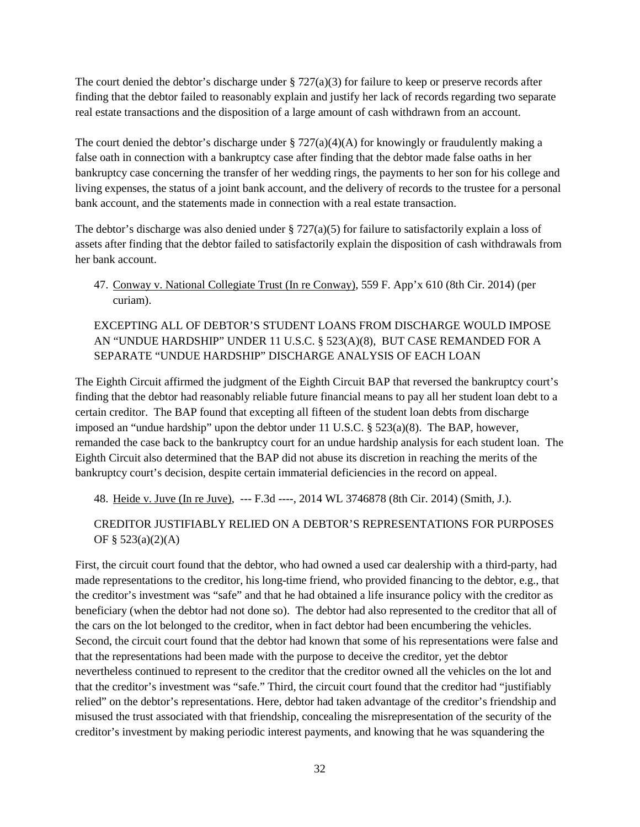The court denied the debtor's discharge under  $\S 727(a)(3)$  for failure to keep or preserve records after finding that the debtor failed to reasonably explain and justify her lack of records regarding two separate real estate transactions and the disposition of a large amount of cash withdrawn from an account.

The court denied the debtor's discharge under  $\S 727(a)(4)(A)$  for knowingly or fraudulently making a false oath in connection with a bankruptcy case after finding that the debtor made false oaths in her bankruptcy case concerning the transfer of her wedding rings, the payments to her son for his college and living expenses, the status of a joint bank account, and the delivery of records to the trustee for a personal bank account, and the statements made in connection with a real estate transaction.

The debtor's discharge was also denied under § 727(a)(5) for failure to satisfactorily explain a loss of assets after finding that the debtor failed to satisfactorily explain the disposition of cash withdrawals from her bank account.

47. Conway v. National Collegiate Trust (In re Conway), 559 F. App'x 610 (8th Cir. 2014) (per curiam).

### EXCEPTING ALL OF DEBTOR'S STUDENT LOANS FROM DISCHARGE WOULD IMPOSE AN "UNDUE HARDSHIP" UNDER 11 U.S.C. § 523(A)(8), BUT CASE REMANDED FOR A SEPARATE "UNDUE HARDSHIP" DISCHARGE ANALYSIS OF EACH LOAN

The Eighth Circuit affirmed the judgment of the Eighth Circuit BAP that reversed the bankruptcy court's finding that the debtor had reasonably reliable future financial means to pay all her student loan debt to a certain creditor. The BAP found that excepting all fifteen of the student loan debts from discharge imposed an "undue hardship" upon the debtor under 11 U.S.C.  $\S$  523(a)(8). The BAP, however, remanded the case back to the bankruptcy court for an undue hardship analysis for each student loan. The Eighth Circuit also determined that the BAP did not abuse its discretion in reaching the merits of the bankruptcy court's decision, despite certain immaterial deficiencies in the record on appeal.

48. Heide v. Juve (In re Juve), --- F.3d ----, 2014 WL 3746878 (8th Cir. 2014) (Smith, J.).

### CREDITOR JUSTIFIABLY RELIED ON A DEBTOR'S REPRESENTATIONS FOR PURPOSES OF § 523(a)(2)(A)

First, the circuit court found that the debtor, who had owned a used car dealership with a third-party, had made representations to the creditor, his long-time friend, who provided financing to the debtor, e.g., that the creditor's investment was "safe" and that he had obtained a life insurance policy with the creditor as beneficiary (when the debtor had not done so). The debtor had also represented to the creditor that all of the cars on the lot belonged to the creditor, when in fact debtor had been encumbering the vehicles. Second, the circuit court found that the debtor had known that some of his representations were false and that the representations had been made with the purpose to deceive the creditor, yet the debtor nevertheless continued to represent to the creditor that the creditor owned all the vehicles on the lot and that the creditor's investment was "safe." Third, the circuit court found that the creditor had "justifiably relied" on the debtor's representations. Here, debtor had taken advantage of the creditor's friendship and misused the trust associated with that friendship, concealing the misrepresentation of the security of the creditor's investment by making periodic interest payments, and knowing that he was squandering the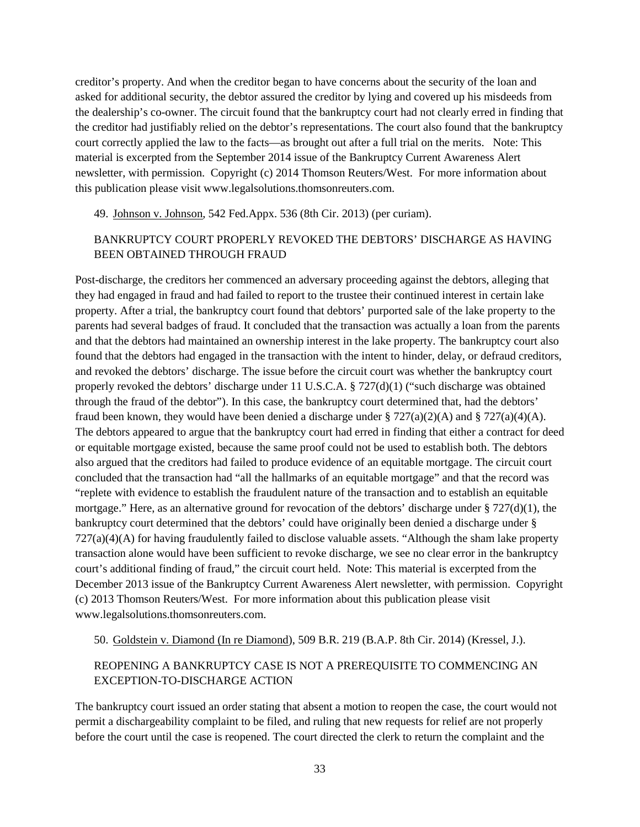creditor's property. And when the creditor began to have concerns about the security of the loan and asked for additional security, the debtor assured the creditor by lying and covered up his misdeeds from the dealership's co-owner. The circuit found that the bankruptcy court had not clearly erred in finding that the creditor had justifiably relied on the debtor's representations. The court also found that the bankruptcy court correctly applied the law to the facts—as brought out after a full trial on the merits. Note: This material is excerpted from the September 2014 issue of the Bankruptcy Current Awareness Alert newsletter, with permission. Copyright (c) 2014 Thomson Reuters/West. For more information about this publication please visit www.legalsolutions.thomsonreuters.com.

#### 49. Johnson v. Johnson, 542 Fed.Appx. 536 (8th Cir. 2013) (per curiam).

#### BANKRUPTCY COURT PROPERLY REVOKED THE DEBTORS' DISCHARGE AS HAVING BEEN OBTAINED THROUGH FRAUD

Post-discharge, the creditors her commenced an adversary proceeding against the debtors, alleging that they had engaged in fraud and had failed to report to the trustee their continued interest in certain lake property. After a trial, the bankruptcy court found that debtors' purported sale of the lake property to the parents had several badges of fraud. It concluded that the transaction was actually a loan from the parents and that the debtors had maintained an ownership interest in the lake property. The bankruptcy court also found that the debtors had engaged in the transaction with the intent to hinder, delay, or defraud creditors, and revoked the debtors' discharge. The issue before the circuit court was whether the bankruptcy court properly revoked the debtors' discharge under 11 U.S.C.A. § 727(d)(1) ("such discharge was obtained through the fraud of the debtor"). In this case, the bankruptcy court determined that, had the debtors' fraud been known, they would have been denied a discharge under  $\S 727(a)(2)(A)$  and  $\S 727(a)(4)(A)$ . The debtors appeared to argue that the bankruptcy court had erred in finding that either a contract for deed or equitable mortgage existed, because the same proof could not be used to establish both. The debtors also argued that the creditors had failed to produce evidence of an equitable mortgage. The circuit court concluded that the transaction had "all the hallmarks of an equitable mortgage" and that the record was "replete with evidence to establish the fraudulent nature of the transaction and to establish an equitable mortgage." Here, as an alternative ground for revocation of the debtors' discharge under  $\S 727(d)(1)$ , the bankruptcy court determined that the debtors' could have originally been denied a discharge under § 727(a)(4)(A) for having fraudulently failed to disclose valuable assets. "Although the sham lake property transaction alone would have been sufficient to revoke discharge, we see no clear error in the bankruptcy court's additional finding of fraud," the circuit court held. Note: This material is excerpted from the December 2013 issue of the Bankruptcy Current Awareness Alert newsletter, with permission. Copyright (c) 2013 Thomson Reuters/West. For more information about this publication please visit www.legalsolutions.thomsonreuters.com.

50. Goldstein v. Diamond (In re Diamond), 509 B.R. 219 (B.A.P. 8th Cir. 2014) (Kressel, J.).

### REOPENING A BANKRUPTCY CASE IS NOT A PREREQUISITE TO COMMENCING AN EXCEPTION-TO-DISCHARGE ACTION

The bankruptcy court issued an order stating that absent a motion to reopen the case, the court would not permit a dischargeability complaint to be filed, and ruling that new requests for relief are not properly before the court until the case is reopened. The court directed the clerk to return the complaint and the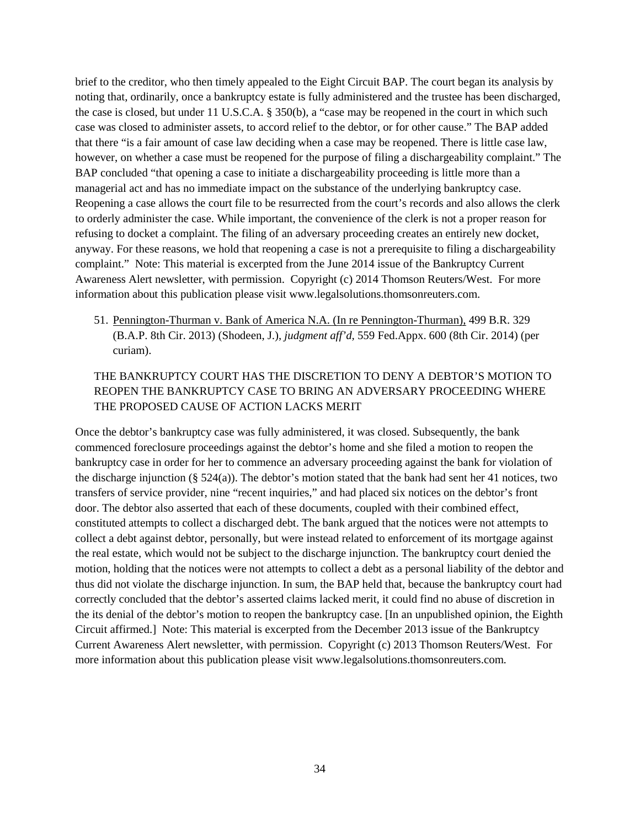brief to the creditor, who then timely appealed to the Eight Circuit BAP. The court began its analysis by noting that, ordinarily, once a bankruptcy estate is fully administered and the trustee has been discharged, the case is closed, but under 11 U.S.C.A. § 350(b), a "case may be reopened in the court in which such case was closed to administer assets, to accord relief to the debtor, or for other cause." The BAP added that there "is a fair amount of case law deciding when a case may be reopened. There is little case law, however, on whether a case must be reopened for the purpose of filing a dischargeability complaint." The BAP concluded "that opening a case to initiate a dischargeability proceeding is little more than a managerial act and has no immediate impact on the substance of the underlying bankruptcy case. Reopening a case allows the court file to be resurrected from the court's records and also allows the clerk to orderly administer the case. While important, the convenience of the clerk is not a proper reason for refusing to docket a complaint. The filing of an adversary proceeding creates an entirely new docket, anyway. For these reasons, we hold that reopening a case is not a prerequisite to filing a dischargeability complaint." Note: This material is excerpted from the June 2014 issue of the Bankruptcy Current Awareness Alert newsletter, with permission. Copyright (c) 2014 Thomson Reuters/West. For more information about this publication please visit www.legalsolutions.thomsonreuters.com.

51. Pennington-Thurman v. Bank of America N.A. (In re Pennington-Thurman), 499 B.R. 329 (B.A.P. 8th Cir. 2013) (Shodeen, J.), *judgment aff'd,* 559 Fed.Appx. 600 (8th Cir. 2014) (per curiam).

### THE BANKRUPTCY COURT HAS THE DISCRETION TO DENY A DEBTOR'S MOTION TO REOPEN THE BANKRUPTCY CASE TO BRING AN ADVERSARY PROCEEDING WHERE THE PROPOSED CAUSE OF ACTION LACKS MERIT

Once the debtor's bankruptcy case was fully administered, it was closed. Subsequently, the bank commenced foreclosure proceedings against the debtor's home and she filed a motion to reopen the bankruptcy case in order for her to commence an adversary proceeding against the bank for violation of the discharge injunction (§  $524(a)$ ). The debtor's motion stated that the bank had sent her 41 notices, two transfers of service provider, nine "recent inquiries," and had placed six notices on the debtor's front door. The debtor also asserted that each of these documents, coupled with their combined effect, constituted attempts to collect a discharged debt. The bank argued that the notices were not attempts to collect a debt against debtor, personally, but were instead related to enforcement of its mortgage against the real estate, which would not be subject to the discharge injunction. The bankruptcy court denied the motion, holding that the notices were not attempts to collect a debt as a personal liability of the debtor and thus did not violate the discharge injunction. In sum, the BAP held that, because the bankruptcy court had correctly concluded that the debtor's asserted claims lacked merit, it could find no abuse of discretion in the its denial of the debtor's motion to reopen the bankruptcy case. [In an unpublished opinion, the Eighth Circuit affirmed.] Note: This material is excerpted from the December 2013 issue of the Bankruptcy Current Awareness Alert newsletter, with permission. Copyright (c) 2013 Thomson Reuters/West. For more information about this publication please visit www.legalsolutions.thomsonreuters.com.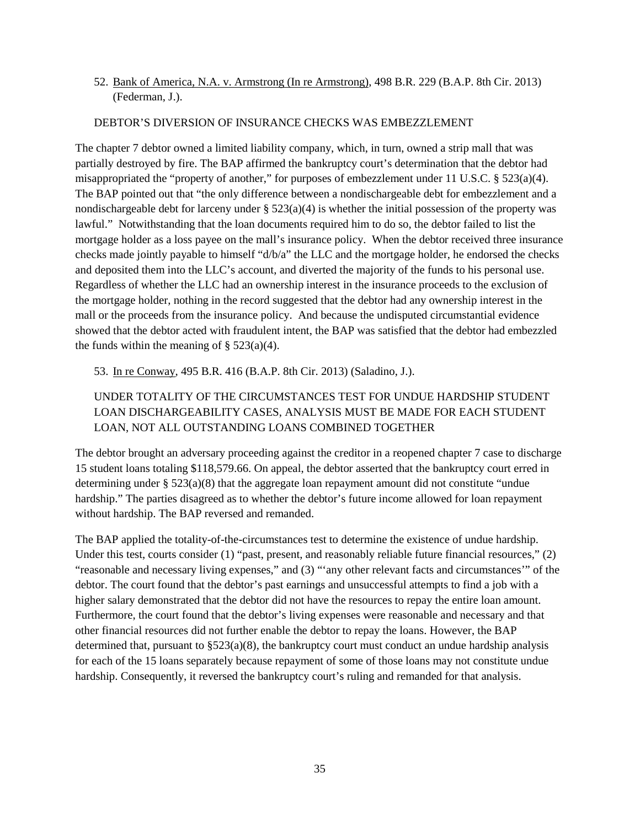### 52. Bank of America, N.A. v. Armstrong (In re Armstrong), 498 B.R. 229 (B.A.P. 8th Cir. 2013) (Federman, J.).

#### DEBTOR'S DIVERSION OF INSURANCE CHECKS WAS EMBEZZLEMENT

The chapter 7 debtor owned a limited liability company, which, in turn, owned a strip mall that was partially destroyed by fire. The BAP affirmed the bankruptcy court's determination that the debtor had misappropriated the "property of another," for purposes of embezzlement under 11 U.S.C. § 523(a)(4). The BAP pointed out that "the only difference between a nondischargeable debt for embezzlement and a nondischargeable debt for larceny under  $\S 523(a)(4)$  is whether the initial possession of the property was lawful." Notwithstanding that the loan documents required him to do so, the debtor failed to list the mortgage holder as a loss payee on the mall's insurance policy. When the debtor received three insurance checks made jointly payable to himself "d/b/a" the LLC and the mortgage holder, he endorsed the checks and deposited them into the LLC's account, and diverted the majority of the funds to his personal use. Regardless of whether the LLC had an ownership interest in the insurance proceeds to the exclusion of the mortgage holder, nothing in the record suggested that the debtor had any ownership interest in the mall or the proceeds from the insurance policy. And because the undisputed circumstantial evidence showed that the debtor acted with fraudulent intent, the BAP was satisfied that the debtor had embezzled the funds within the meaning of  $\S$  523(a)(4).

53. In re Conway, 495 B.R. 416 (B.A.P. 8th Cir. 2013) (Saladino, J.).

### UNDER TOTALITY OF THE CIRCUMSTANCES TEST FOR UNDUE HARDSHIP STUDENT LOAN DISCHARGEABILITY CASES, ANALYSIS MUST BE MADE FOR EACH STUDENT LOAN, NOT ALL OUTSTANDING LOANS COMBINED TOGETHER

The debtor brought an adversary proceeding against the creditor in a reopened chapter 7 case to discharge 15 student loans totaling \$118,579.66. On appeal, the debtor asserted that the bankruptcy court erred in determining under § 523(a)(8) that the aggregate loan repayment amount did not constitute "undue hardship." The parties disagreed as to whether the debtor's future income allowed for loan repayment without hardship. The BAP reversed and remanded.

The BAP applied the totality-of-the-circumstances test to determine the existence of undue hardship. Under this test, courts consider (1) "past, present, and reasonably reliable future financial resources," (2) "reasonable and necessary living expenses," and (3) "'any other relevant facts and circumstances'" of the debtor. The court found that the debtor's past earnings and unsuccessful attempts to find a job with a higher salary demonstrated that the debtor did not have the resources to repay the entire loan amount. Furthermore, the court found that the debtor's living expenses were reasonable and necessary and that other financial resources did not further enable the debtor to repay the loans. However, the BAP determined that, pursuant to  $\S 523(a)(8)$ , the bankruptcy court must conduct an undue hardship analysis for each of the 15 loans separately because repayment of some of those loans may not constitute undue hardship. Consequently, it reversed the bankruptcy court's ruling and remanded for that analysis.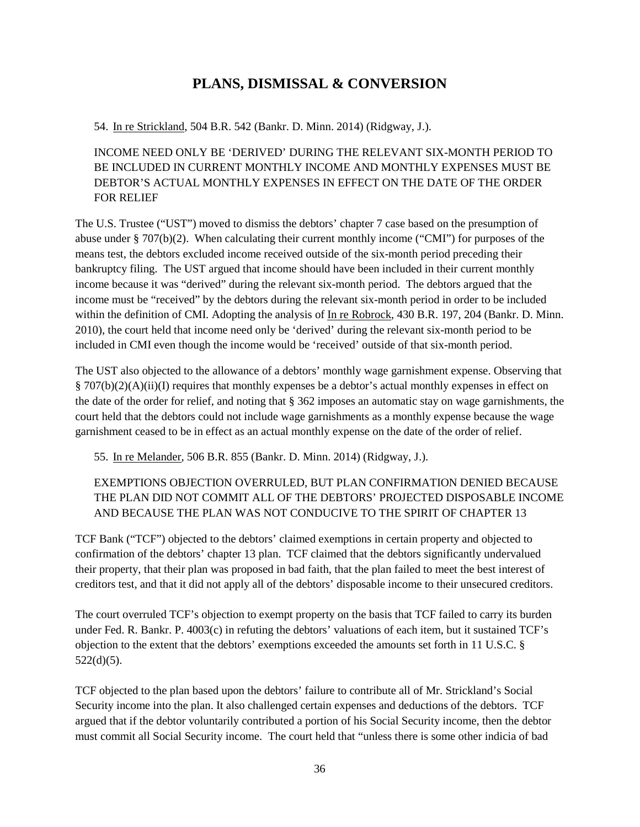# **PLANS, DISMISSAL & CONVERSION**

<span id="page-35-0"></span>54. In re Strickland, 504 B.R. 542 (Bankr. D. Minn. 2014) (Ridgway, J.).

INCOME NEED ONLY BE 'DERIVED' DURING THE RELEVANT SIX-MONTH PERIOD TO BE INCLUDED IN CURRENT MONTHLY INCOME AND MONTHLY EXPENSES MUST BE DEBTOR'S ACTUAL MONTHLY EXPENSES IN EFFECT ON THE DATE OF THE ORDER FOR RELIEF

The U.S. Trustee ("UST") moved to dismiss the debtors' chapter 7 case based on the presumption of abuse under § 707(b)(2). When calculating their current monthly income ("CMI") for purposes of the means test, the debtors excluded income received outside of the six-month period preceding their bankruptcy filing. The UST argued that income should have been included in their current monthly income because it was "derived" during the relevant six-month period. The debtors argued that the income must be "received" by the debtors during the relevant six-month period in order to be included within the definition of CMI. Adopting the analysis of In re Robrock, 430 B.R. 197, 204 (Bankr. D. Minn. 2010), the court held that income need only be 'derived' during the relevant six-month period to be included in CMI even though the income would be 'received' outside of that six-month period.

The UST also objected to the allowance of a debtors' monthly wage garnishment expense. Observing that § 707(b)(2)(A)(ii)(I) requires that monthly expenses be a debtor's actual monthly expenses in effect on the date of the order for relief, and noting that § 362 imposes an automatic stay on wage garnishments, the court held that the debtors could not include wage garnishments as a monthly expense because the wage garnishment ceased to be in effect as an actual monthly expense on the date of the order of relief.

55. In re Melander, 506 B.R. 855 (Bankr. D. Minn. 2014) (Ridgway, J.).

### EXEMPTIONS OBJECTION OVERRULED, BUT PLAN CONFIRMATION DENIED BECAUSE THE PLAN DID NOT COMMIT ALL OF THE DEBTORS' PROJECTED DISPOSABLE INCOME AND BECAUSE THE PLAN WAS NOT CONDUCIVE TO THE SPIRIT OF CHAPTER 13

TCF Bank ("TCF") objected to the debtors' claimed exemptions in certain property and objected to confirmation of the debtors' chapter 13 plan. TCF claimed that the debtors significantly undervalued their property, that their plan was proposed in bad faith, that the plan failed to meet the best interest of creditors test, and that it did not apply all of the debtors' disposable income to their unsecured creditors.

The court overruled TCF's objection to exempt property on the basis that TCF failed to carry its burden under Fed. R. Bankr. P. 4003(c) in refuting the debtors' valuations of each item, but it sustained TCF's objection to the extent that the debtors' exemptions exceeded the amounts set forth in 11 U.S.C. § 522(d)(5).

TCF objected to the plan based upon the debtors' failure to contribute all of Mr. Strickland's Social Security income into the plan. It also challenged certain expenses and deductions of the debtors. TCF argued that if the debtor voluntarily contributed a portion of his Social Security income, then the debtor must commit all Social Security income. The court held that "unless there is some other indicia of bad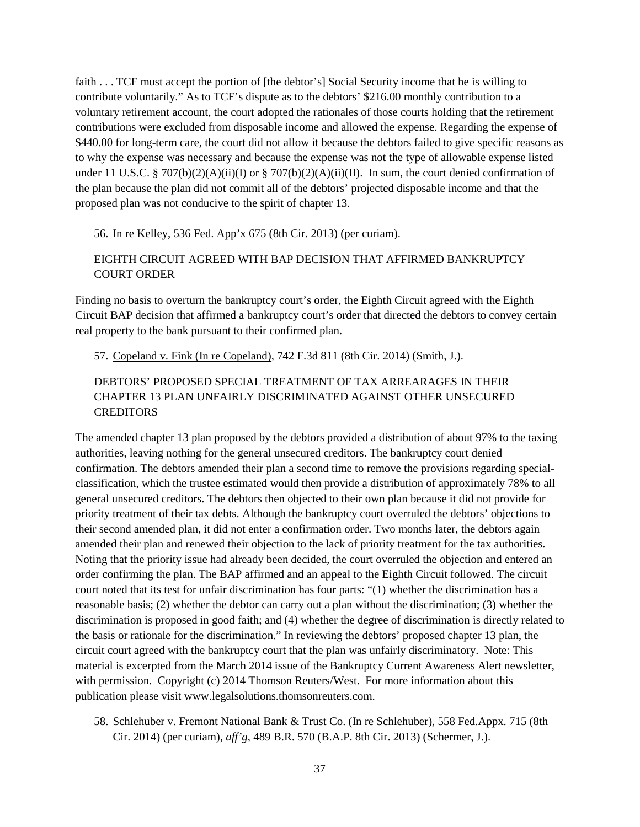faith . . . TCF must accept the portion of [the debtor's] Social Security income that he is willing to contribute voluntarily." As to TCF's dispute as to the debtors' \$216.00 monthly contribution to a voluntary retirement account, the court adopted the rationales of those courts holding that the retirement contributions were excluded from disposable income and allowed the expense. Regarding the expense of \$440.00 for long-term care, the court did not allow it because the debtors failed to give specific reasons as to why the expense was necessary and because the expense was not the type of allowable expense listed under 11 U.S.C. § 707(b)(2)(A)(ii)(I) or § 707(b)(2)(A)(ii)(II). In sum, the court denied confirmation of the plan because the plan did not commit all of the debtors' projected disposable income and that the proposed plan was not conducive to the spirit of chapter 13.

#### 56. In re Kelley, 536 Fed. App'x 675 (8th Cir. 2013) (per curiam).

#### EIGHTH CIRCUIT AGREED WITH BAP DECISION THAT AFFIRMED BANKRUPTCY COURT ORDER

Finding no basis to overturn the bankruptcy court's order, the Eighth Circuit agreed with the Eighth Circuit BAP decision that affirmed a bankruptcy court's order that directed the debtors to convey certain real property to the bank pursuant to their confirmed plan.

57. Copeland v. Fink (In re Copeland), 742 F.3d 811 (8th Cir. 2014) (Smith, J.).

### DEBTORS' PROPOSED SPECIAL TREATMENT OF TAX ARREARAGES IN THEIR CHAPTER 13 PLAN UNFAIRLY DISCRIMINATED AGAINST OTHER UNSECURED **CREDITORS**

The amended chapter 13 plan proposed by the debtors provided a distribution of about 97% to the taxing authorities, leaving nothing for the general unsecured creditors. The bankruptcy court denied confirmation. The debtors amended their plan a second time to remove the provisions regarding specialclassification, which the trustee estimated would then provide a distribution of approximately 78% to all general unsecured creditors. The debtors then objected to their own plan because it did not provide for priority treatment of their tax debts. Although the bankruptcy court overruled the debtors' objections to their second amended plan, it did not enter a confirmation order. Two months later, the debtors again amended their plan and renewed their objection to the lack of priority treatment for the tax authorities. Noting that the priority issue had already been decided, the court overruled the objection and entered an order confirming the plan. The BAP affirmed and an appeal to the Eighth Circuit followed. The circuit court noted that its test for unfair discrimination has four parts: "(1) whether the discrimination has a reasonable basis; (2) whether the debtor can carry out a plan without the discrimination; (3) whether the discrimination is proposed in good faith; and (4) whether the degree of discrimination is directly related to the basis or rationale for the discrimination." In reviewing the debtors' proposed chapter 13 plan, the circuit court agreed with the bankruptcy court that the plan was unfairly discriminatory. Note: This material is excerpted from the March 2014 issue of the Bankruptcy Current Awareness Alert newsletter, with permission. Copyright (c) 2014 Thomson Reuters/West. For more information about this publication please visit www.legalsolutions.thomsonreuters.com.

58. Schlehuber v. Fremont National Bank & Trust Co. (In re Schlehuber), 558 Fed.Appx. 715 (8th Cir. 2014) (per curiam), *aff'g*, 489 B.R. 570 (B.A.P. 8th Cir. 2013) (Schermer, J.).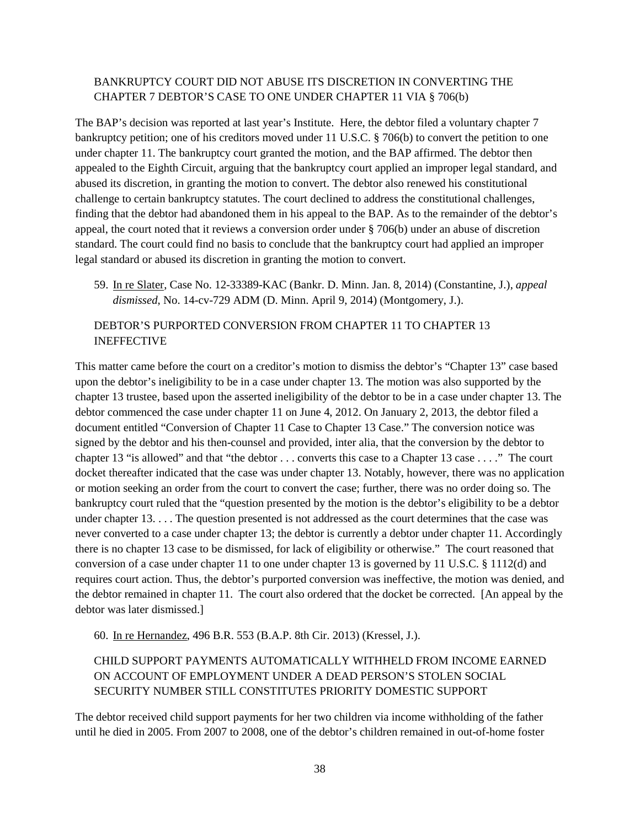### BANKRUPTCY COURT DID NOT ABUSE ITS DISCRETION IN CONVERTING THE CHAPTER 7 DEBTOR'S CASE TO ONE UNDER CHAPTER 11 VIA § 706(b)

The BAP's decision was reported at last year's Institute. Here, the debtor filed a voluntary chapter 7 bankruptcy petition; one of his creditors moved under 11 U.S.C. § 706(b) to convert the petition to one under chapter 11. The bankruptcy court granted the motion, and the BAP affirmed. The debtor then appealed to the Eighth Circuit, arguing that the bankruptcy court applied an improper legal standard, and abused its discretion, in granting the motion to convert. The debtor also renewed his constitutional challenge to certain bankruptcy statutes. The court declined to address the constitutional challenges, finding that the debtor had abandoned them in his appeal to the BAP. As to the remainder of the debtor's appeal, the court noted that it reviews a conversion order under § 706(b) under an abuse of discretion standard. The court could find no basis to conclude that the bankruptcy court had applied an improper legal standard or abused its discretion in granting the motion to convert.

59. In re Slater, Case No. 12-33389-KAC (Bankr. D. Minn. Jan. 8, 2014) (Constantine, J.), *appeal dismissed*, No. 14-cv-729 ADM (D. Minn. April 9, 2014) (Montgomery, J.).

#### DEBTOR'S PURPORTED CONVERSION FROM CHAPTER 11 TO CHAPTER 13 INEFFECTIVE

This matter came before the court on a creditor's motion to dismiss the debtor's "Chapter 13" case based upon the debtor's ineligibility to be in a case under chapter 13. The motion was also supported by the chapter 13 trustee, based upon the asserted ineligibility of the debtor to be in a case under chapter 13. The debtor commenced the case under chapter 11 on June 4, 2012. On January 2, 2013, the debtor filed a document entitled "Conversion of Chapter 11 Case to Chapter 13 Case." The conversion notice was signed by the debtor and his then-counsel and provided, inter alia, that the conversion by the debtor to chapter 13 "is allowed" and that "the debtor . . . converts this case to a Chapter 13 case . . . ." The court docket thereafter indicated that the case was under chapter 13. Notably, however, there was no application or motion seeking an order from the court to convert the case; further, there was no order doing so. The bankruptcy court ruled that the "question presented by the motion is the debtor's eligibility to be a debtor under chapter 13. . . . The question presented is not addressed as the court determines that the case was never converted to a case under chapter 13; the debtor is currently a debtor under chapter 11. Accordingly there is no chapter 13 case to be dismissed, for lack of eligibility or otherwise." The court reasoned that conversion of a case under chapter 11 to one under chapter 13 is governed by 11 U.S.C. § 1112(d) and requires court action. Thus, the debtor's purported conversion was ineffective, the motion was denied, and the debtor remained in chapter 11. The court also ordered that the docket be corrected. [An appeal by the debtor was later dismissed.]

60. In re Hernandez, 496 B.R. 553 (B.A.P. 8th Cir. 2013) (Kressel, J.).

### CHILD SUPPORT PAYMENTS AUTOMATICALLY WITHHELD FROM INCOME EARNED ON ACCOUNT OF EMPLOYMENT UNDER A DEAD PERSON'S STOLEN SOCIAL SECURITY NUMBER STILL CONSTITUTES PRIORITY DOMESTIC SUPPORT

The debtor received child support payments for her two children via income withholding of the father until he died in 2005. From 2007 to 2008, one of the debtor's children remained in out-of-home foster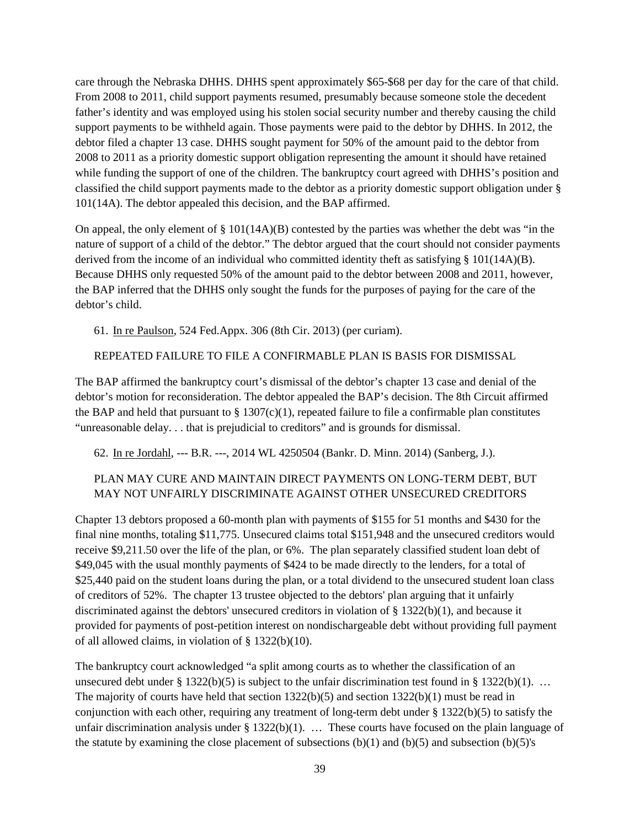care through the Nebraska DHHS. DHHS spent approximately \$65-\$68 per day for the care of that child. From 2008 to 2011, child support payments resumed, presumably because someone stole the decedent father's identity and was employed using his stolen social security number and thereby causing the child support payments to be withheld again. Those payments were paid to the debtor by DHHS. In 2012, the debtor filed a chapter 13 case. DHHS sought payment for 50% of the amount paid to the debtor from 2008 to 2011 as a priority domestic support obligation representing the amount it should have retained while funding the support of one of the children. The bankruptcy court agreed with DHHS's position and classified the child support payments made to the debtor as a priority domestic support obligation under § 101(14A). The debtor appealed this decision, and the BAP affirmed.

On appeal, the only element of  $\S 101(14A)(B)$  contested by the parties was whether the debt was "in the nature of support of a child of the debtor." The debtor argued that the court should not consider payments derived from the income of an individual who committed identity theft as satisfying § 101(14A)(B). Because DHHS only requested 50% of the amount paid to the debtor between 2008 and 2011, however, the BAP inferred that the DHHS only sought the funds for the purposes of paying for the care of the debtor's child.

61. In re Paulson, 524 Fed.Appx. 306 (8th Cir. 2013) (per curiam).

#### REPEATED FAILURE TO FILE A CONFIRMABLE PLAN IS BASIS FOR DISMISSAL

The BAP affirmed the bankruptcy court's dismissal of the debtor's chapter 13 case and denial of the debtor's motion for reconsideration. The debtor appealed the BAP's decision. The 8th Circuit affirmed the BAP and held that pursuant to  $\S 1307(c)(1)$ , repeated failure to file a confirmable plan constitutes "unreasonable delay. . . that is prejudicial to creditors" and is grounds for dismissal.

62. In re Jordahl, --- B.R. ---, 2014 WL 4250504 (Bankr. D. Minn. 2014) (Sanberg, J.).

### PLAN MAY CURE AND MAINTAIN DIRECT PAYMENTS ON LONG-TERM DEBT, BUT MAY NOT UNFAIRLY DISCRIMINATE AGAINST OTHER UNSECURED CREDITORS

Chapter 13 debtors proposed a 60-month plan with payments of \$155 for 51 months and \$430 for the final nine months, totaling \$11,775. Unsecured claims total \$151,948 and the unsecured creditors would receive \$9,211.50 over the life of the plan, or 6%. The plan separately classified student loan debt of \$49,045 with the usual monthly payments of \$424 to be made directly to the lenders, for a total of \$25,440 paid on the student loans during the plan, or a total dividend to the unsecured student loan class of creditors of 52%. The chapter 13 trustee objected to the debtors' plan arguing that it unfairly discriminated against the debtors' unsecured creditors in violation of § 1322(b)(1), and because it provided for payments of post-petition interest on nondischargeable debt without providing full payment of all allowed claims, in violation of § 1322(b)(10).

The bankruptcy court acknowledged "a split among courts as to whether the classification of an unsecured debt under § 1322(b)(5) is subject to the unfair discrimination test found in § 1322(b)(1). ... The majority of courts have held that section  $1322(b)(5)$  and section  $1322(b)(1)$  must be read in conjunction with each other, requiring any treatment of long-term debt under § 1322(b)(5) to satisfy the unfair discrimination analysis under § 1322(b)(1). ... These courts have focused on the plain language of the statute by examining the close placement of subsections  $(b)(1)$  and  $(b)(5)$  and subsection  $(b)(5)'s$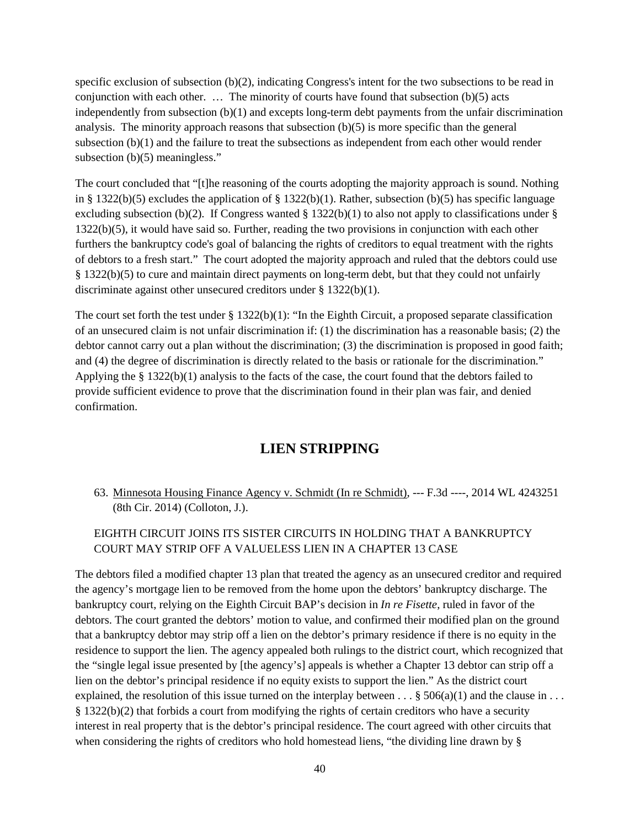specific exclusion of subsection (b)(2), indicating Congress's intent for the two subsections to be read in conjunction with each other. … The minority of courts have found that subsection (b)(5) acts independently from subsection (b)(1) and excepts long-term debt payments from the unfair discrimination analysis. The minority approach reasons that subsection  $(b)(5)$  is more specific than the general subsection  $(b)(1)$  and the failure to treat the subsections as independent from each other would render subsection (b)(5) meaningless."

The court concluded that "[t]he reasoning of the courts adopting the majority approach is sound. Nothing in § 1322(b)(5) excludes the application of § 1322(b)(1). Rather, subsection (b)(5) has specific language excluding subsection (b)(2). If Congress wanted  $\S 1322(b)(1)$  to also not apply to classifications under  $\S$ 1322(b)(5), it would have said so. Further, reading the two provisions in conjunction with each other furthers the bankruptcy code's goal of balancing the rights of creditors to equal treatment with the rights of debtors to a fresh start." The court adopted the majority approach and ruled that the debtors could use § 1322(b)(5) to cure and maintain direct payments on long-term debt, but that they could not unfairly discriminate against other unsecured creditors under § 1322(b)(1).

The court set forth the test under  $\S 1322(b)(1)$ : "In the Eighth Circuit, a proposed separate classification of an unsecured claim is not unfair discrimination if: (1) the discrimination has a reasonable basis; (2) the debtor cannot carry out a plan without the discrimination; (3) the discrimination is proposed in good faith; and (4) the degree of discrimination is directly related to the basis or rationale for the discrimination." Applying the § 1322(b)(1) analysis to the facts of the case, the court found that the debtors failed to provide sufficient evidence to prove that the discrimination found in their plan was fair, and denied confirmation.

# **LIEN STRIPPING**

<span id="page-39-0"></span>63. Minnesota Housing Finance Agency v. Schmidt (In re Schmidt), --- F.3d ----, 2014 WL 4243251 (8th Cir. 2014) (Colloton, J.).

### EIGHTH CIRCUIT JOINS ITS SISTER CIRCUITS IN HOLDING THAT A BANKRUPTCY COURT MAY STRIP OFF A VALUELESS LIEN IN A CHAPTER 13 CASE

The debtors filed a modified chapter 13 plan that treated the agency as an unsecured creditor and required the agency's mortgage lien to be removed from the home upon the debtors' bankruptcy discharge. The bankruptcy court, relying on the Eighth Circuit BAP's decision in *In re Fisette*, ruled in favor of the debtors. The court granted the debtors' motion to value, and confirmed their modified plan on the ground that a bankruptcy debtor may strip off a lien on the debtor's primary residence if there is no equity in the residence to support the lien. The agency appealed both rulings to the district court, which recognized that the "single legal issue presented by [the agency's] appeals is whether a Chapter 13 debtor can strip off a lien on the debtor's principal residence if no equity exists to support the lien." As the district court explained, the resolution of this issue turned on the interplay between  $\dots$  § 506(a)(1) and the clause in  $\dots$ § 1322(b)(2) that forbids a court from modifying the rights of certain creditors who have a security interest in real property that is the debtor's principal residence. The court agreed with other circuits that when considering the rights of creditors who hold homestead liens, "the dividing line drawn by §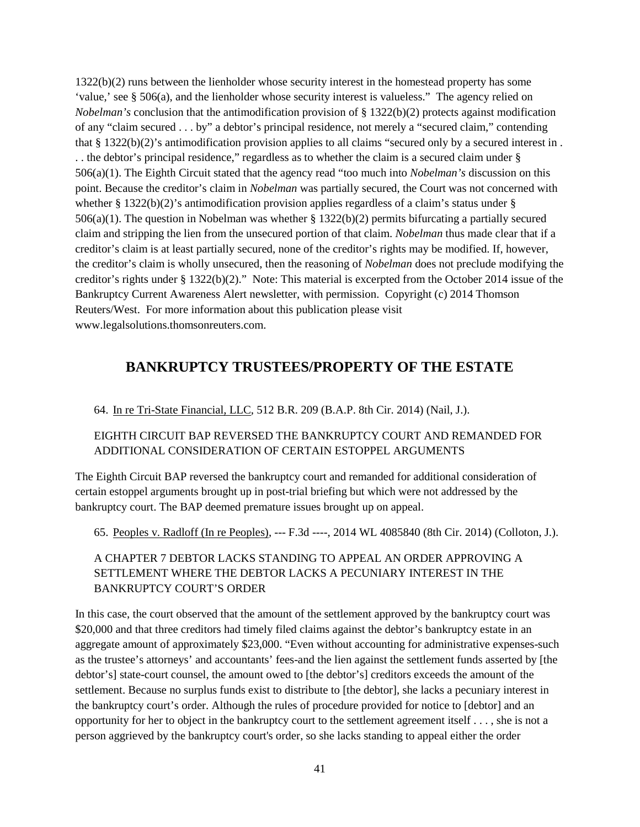1322(b)(2) runs between the lienholder whose security interest in the homestead property has some 'value,' see § 506(a), and the lienholder whose security interest is valueless." The agency relied on *Nobelman's* conclusion that the antimodification provision of § 1322(b)(2) protects against modification of any "claim secured . . . by" a debtor's principal residence, not merely a "secured claim," contending that § 1322(b)(2)'s antimodification provision applies to all claims "secured only by a secured interest in . . . the debtor's principal residence," regardless as to whether the claim is a secured claim under § 506(a)(1). The Eighth Circuit stated that the agency read "too much into *Nobelman's* discussion on this point. Because the creditor's claim in *Nobelman* was partially secured, the Court was not concerned with whether  $\S 1322(b)(2)$ 's antimodification provision applies regardless of a claim's status under  $\S$ 506(a)(1). The question in Nobelman was whether § 1322(b)(2) permits bifurcating a partially secured claim and stripping the lien from the unsecured portion of that claim. *Nobelman* thus made clear that if a creditor's claim is at least partially secured, none of the creditor's rights may be modified. If, however, the creditor's claim is wholly unsecured, then the reasoning of *Nobelman* does not preclude modifying the creditor's rights under § 1322(b)(2)." Note: This material is excerpted from the October 2014 issue of the Bankruptcy Current Awareness Alert newsletter, with permission. Copyright (c) 2014 Thomson Reuters/West. For more information about this publication please visit www.legalsolutions.thomsonreuters.com.

# <span id="page-40-0"></span>**BANKRUPTCY TRUSTEES/PROPERTY OF THE ESTATE**

64. In re Tri-State Financial, LLC, 512 B.R. 209 (B.A.P. 8th Cir. 2014) (Nail, J.).

### EIGHTH CIRCUIT BAP REVERSED THE BANKRUPTCY COURT AND REMANDED FOR ADDITIONAL CONSIDERATION OF CERTAIN ESTOPPEL ARGUMENTS

The Eighth Circuit BAP reversed the bankruptcy court and remanded for additional consideration of certain estoppel arguments brought up in post-trial briefing but which were not addressed by the bankruptcy court. The BAP deemed premature issues brought up on appeal.

65. Peoples v. Radloff (In re Peoples), --- F.3d ----, 2014 WL 4085840 (8th Cir. 2014) (Colloton, J.).

### A CHAPTER 7 DEBTOR LACKS STANDING TO APPEAL AN ORDER APPROVING A SETTLEMENT WHERE THE DEBTOR LACKS A PECUNIARY INTEREST IN THE BANKRUPTCY COURT'S ORDER

In this case, the court observed that the amount of the settlement approved by the bankruptcy court was \$20,000 and that three creditors had timely filed claims against the debtor's bankruptcy estate in an aggregate amount of approximately \$23,000. "Even without accounting for administrative expenses-such as the trustee's attorneys' and accountants' fees-and the lien against the settlement funds asserted by [the debtor's] state-court counsel, the amount owed to [the debtor's] creditors exceeds the amount of the settlement. Because no surplus funds exist to distribute to [the debtor], she lacks a pecuniary interest in the bankruptcy court's order. Although the rules of procedure provided for notice to [debtor] and an opportunity for her to object in the bankruptcy court to the settlement agreement itself . . . , she is not a person aggrieved by the bankruptcy court's order, so she lacks standing to appeal either the order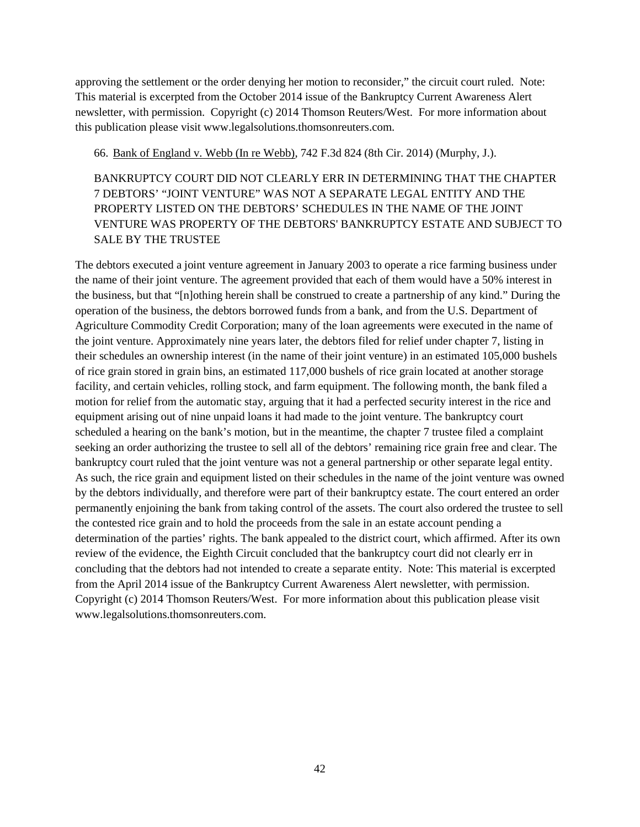approving the settlement or the order denying her motion to reconsider," the circuit court ruled. Note: This material is excerpted from the October 2014 issue of the Bankruptcy Current Awareness Alert newsletter, with permission. Copyright (c) 2014 Thomson Reuters/West. For more information about this publication please visit www.legalsolutions.thomsonreuters.com.

66. Bank of England v. Webb (In re Webb), 742 F.3d 824 (8th Cir. 2014) (Murphy, J.).

BANKRUPTCY COURT DID NOT CLEARLY ERR IN DETERMINING THAT THE CHAPTER 7 DEBTORS' "JOINT VENTURE" WAS NOT A SEPARATE LEGAL ENTITY AND THE PROPERTY LISTED ON THE DEBTORS' SCHEDULES IN THE NAME OF THE JOINT VENTURE WAS PROPERTY OF THE DEBTORS' BANKRUPTCY ESTATE AND SUBJECT TO SALE BY THE TRUSTEE

The debtors executed a joint venture agreement in January 2003 to operate a rice farming business under the name of their joint venture. The agreement provided that each of them would have a 50% interest in the business, but that "[n]othing herein shall be construed to create a partnership of any kind." During the operation of the business, the debtors borrowed funds from a bank, and from the U.S. Department of Agriculture Commodity Credit Corporation; many of the loan agreements were executed in the name of the joint venture. Approximately nine years later, the debtors filed for relief under chapter 7, listing in their schedules an ownership interest (in the name of their joint venture) in an estimated 105,000 bushels of rice grain stored in grain bins, an estimated 117,000 bushels of rice grain located at another storage facility, and certain vehicles, rolling stock, and farm equipment. The following month, the bank filed a motion for relief from the automatic stay, arguing that it had a perfected security interest in the rice and equipment arising out of nine unpaid loans it had made to the joint venture. The bankruptcy court scheduled a hearing on the bank's motion, but in the meantime, the chapter 7 trustee filed a complaint seeking an order authorizing the trustee to sell all of the debtors' remaining rice grain free and clear. The bankruptcy court ruled that the joint venture was not a general partnership or other separate legal entity. As such, the rice grain and equipment listed on their schedules in the name of the joint venture was owned by the debtors individually, and therefore were part of their bankruptcy estate. The court entered an order permanently enjoining the bank from taking control of the assets. The court also ordered the trustee to sell the contested rice grain and to hold the proceeds from the sale in an estate account pending a determination of the parties' rights. The bank appealed to the district court, which affirmed. After its own review of the evidence, the Eighth Circuit concluded that the bankruptcy court did not clearly err in concluding that the debtors had not intended to create a separate entity. Note: This material is excerpted from the April 2014 issue of the Bankruptcy Current Awareness Alert newsletter, with permission. Copyright (c) 2014 Thomson Reuters/West. For more information about this publication please visit www.legalsolutions.thomsonreuters.com.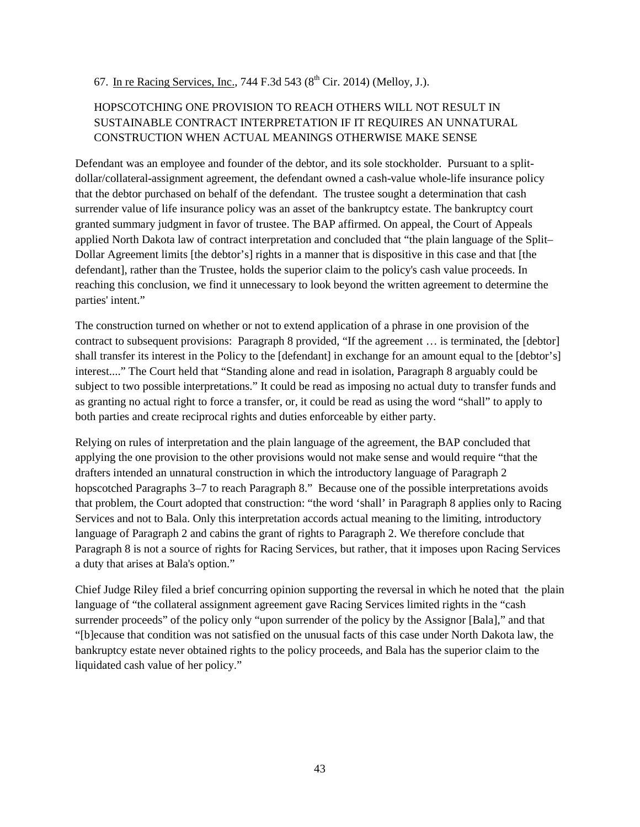#### 67. In re Racing Services, Inc., 744 F.3d 543 ( $8^{th}$  Cir. 2014) (Melloy, J.).

### HOPSCOTCHING ONE PROVISION TO REACH OTHERS WILL NOT RESULT IN SUSTAINABLE CONTRACT INTERPRETATION IF IT REQUIRES AN UNNATURAL CONSTRUCTION WHEN ACTUAL MEANINGS OTHERWISE MAKE SENSE

Defendant was an employee and founder of the debtor, and its sole stockholder. Pursuant to a splitdollar/collateral-assignment agreement, the defendant owned a cash-value whole-life insurance policy that the debtor purchased on behalf of the defendant. The trustee sought a determination that cash surrender value of life insurance policy was an asset of the bankruptcy estate. The bankruptcy court granted summary judgment in favor of trustee. The BAP affirmed. On appeal, the Court of Appeals applied North Dakota law of contract interpretation and concluded that "the plain language of the Split– Dollar Agreement limits [the debtor's] rights in a manner that is dispositive in this case and that [the defendant], rather than the Trustee, holds the superior claim to the policy's cash value proceeds. In reaching this conclusion, we find it unnecessary to look beyond the written agreement to determine the parties' intent."

The construction turned on whether or not to extend application of a phrase in one provision of the contract to subsequent provisions: Paragraph 8 provided, "If the agreement … is terminated, the [debtor] shall transfer its interest in the Policy to the [defendant] in exchange for an amount equal to the [debtor's] interest...." The Court held that "Standing alone and read in isolation, Paragraph 8 arguably could be subject to two possible interpretations." It could be read as imposing no actual duty to transfer funds and as granting no actual right to force a transfer, or, it could be read as using the word "shall" to apply to both parties and create reciprocal rights and duties enforceable by either party.

Relying on rules of interpretation and the plain language of the agreement, the BAP concluded that applying the one provision to the other provisions would not make sense and would require "that the drafters intended an unnatural construction in which the introductory language of Paragraph 2 hopscotched Paragraphs 3–7 to reach Paragraph 8." Because one of the possible interpretations avoids that problem, the Court adopted that construction: "the word 'shall' in Paragraph 8 applies only to Racing Services and not to Bala. Only this interpretation accords actual meaning to the limiting, introductory language of Paragraph 2 and cabins the grant of rights to Paragraph 2. We therefore conclude that Paragraph 8 is not a source of rights for Racing Services, but rather, that it imposes upon Racing Services a duty that arises at Bala's option."

Chief Judge Riley filed a brief concurring opinion supporting the reversal in which he noted that the plain language of "the collateral assignment agreement gave Racing Services limited rights in the "cash surrender proceeds" of the policy only "upon surrender of the policy by the Assignor [Bala]," and that "[b]ecause that condition was not satisfied on the unusual facts of this case under North Dakota law, the bankruptcy estate never obtained rights to the policy proceeds, and Bala has the superior claim to the liquidated cash value of her policy."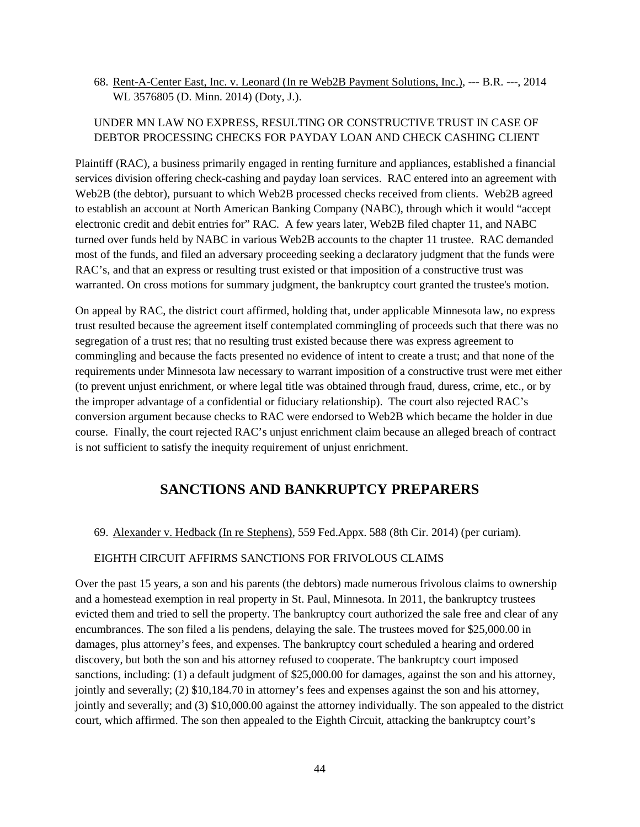68. Rent-A-Center East, Inc. v. Leonard (In re Web2B Payment Solutions, Inc.), --- B.R. ---, 2014 WL 3576805 (D. Minn. 2014) (Doty, J.).

### UNDER MN LAW NO EXPRESS, RESULTING OR CONSTRUCTIVE TRUST IN CASE OF DEBTOR PROCESSING CHECKS FOR PAYDAY LOAN AND CHECK CASHING CLIENT

Plaintiff (RAC), a business primarily engaged in renting furniture and appliances, established a financial services division offering check-cashing and payday loan services. RAC entered into an agreement with Web2B (the debtor), pursuant to which Web2B processed checks received from clients. Web2B agreed to establish an account at North American Banking Company (NABC), through which it would "accept electronic credit and debit entries for" RAC. A few years later, Web2B filed chapter 11, and NABC turned over funds held by NABC in various Web2B accounts to the chapter 11 trustee. RAC demanded most of the funds, and filed an adversary proceeding seeking a declaratory judgment that the funds were RAC's, and that an express or resulting trust existed or that imposition of a constructive trust was warranted. On cross motions for summary judgment, the bankruptcy court granted the trustee's motion.

On appeal by RAC, the district court affirmed, holding that, under applicable Minnesota law, no express trust resulted because the agreement itself contemplated commingling of proceeds such that there was no segregation of a trust res; that no resulting trust existed because there was express agreement to commingling and because the facts presented no evidence of intent to create a trust; and that none of the requirements under Minnesota law necessary to warrant imposition of a constructive trust were met either (to prevent unjust enrichment, or where legal title was obtained through fraud, duress, crime, etc., or by the improper advantage of a confidential or fiduciary relationship). The court also rejected RAC's conversion argument because checks to RAC were endorsed to Web2B which became the holder in due course. Finally, the court rejected RAC's unjust enrichment claim because an alleged breach of contract is not sufficient to satisfy the inequity requirement of unjust enrichment.

# **SANCTIONS AND BANKRUPTCY PREPARERS**

<span id="page-43-0"></span>69. Alexander v. Hedback (In re Stephens), 559 Fed.Appx. 588 (8th Cir. 2014) (per curiam).

#### EIGHTH CIRCUIT AFFIRMS SANCTIONS FOR FRIVOLOUS CLAIMS

Over the past 15 years, a son and his parents (the debtors) made numerous frivolous claims to ownership and a homestead exemption in real property in St. Paul, Minnesota. In 2011, the bankruptcy trustees evicted them and tried to sell the property. The bankruptcy court authorized the sale free and clear of any encumbrances. The son filed a lis pendens, delaying the sale. The trustees moved for \$25,000.00 in damages, plus attorney's fees, and expenses. The bankruptcy court scheduled a hearing and ordered discovery, but both the son and his attorney refused to cooperate. The bankruptcy court imposed sanctions, including: (1) a default judgment of \$25,000.00 for damages, against the son and his attorney, jointly and severally; (2) \$10,184.70 in attorney's fees and expenses against the son and his attorney, jointly and severally; and (3) \$10,000.00 against the attorney individually. The son appealed to the district court, which affirmed. The son then appealed to the Eighth Circuit, attacking the bankruptcy court's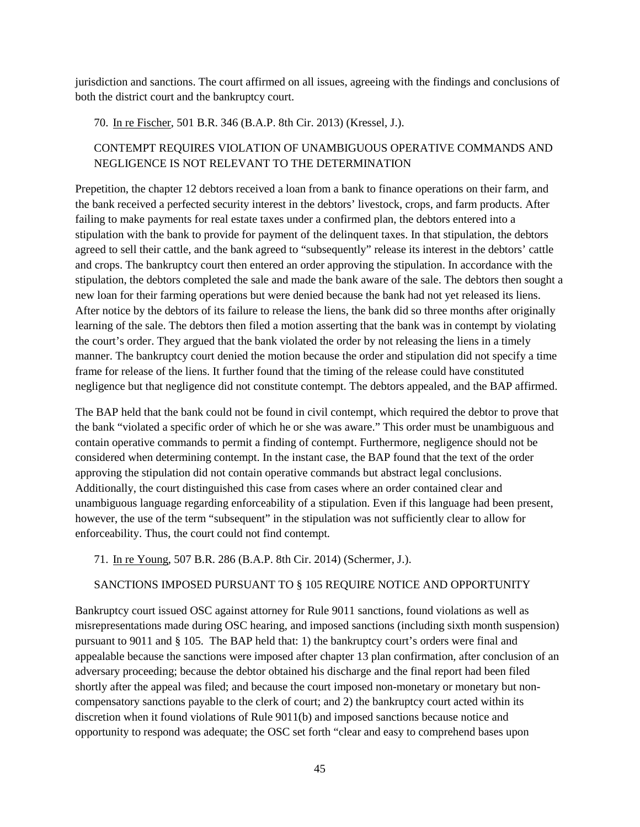jurisdiction and sanctions. The court affirmed on all issues, agreeing with the findings and conclusions of both the district court and the bankruptcy court.

70. In re Fischer, 501 B.R. 346 (B.A.P. 8th Cir. 2013) (Kressel, J.).

### CONTEMPT REQUIRES VIOLATION OF UNAMBIGUOUS OPERATIVE COMMANDS AND NEGLIGENCE IS NOT RELEVANT TO THE DETERMINATION

Prepetition, the chapter 12 debtors received a loan from a bank to finance operations on their farm, and the bank received a perfected security interest in the debtors' livestock, crops, and farm products. After failing to make payments for real estate taxes under a confirmed plan, the debtors entered into a stipulation with the bank to provide for payment of the delinquent taxes. In that stipulation, the debtors agreed to sell their cattle, and the bank agreed to "subsequently" release its interest in the debtors' cattle and crops. The bankruptcy court then entered an order approving the stipulation. In accordance with the stipulation, the debtors completed the sale and made the bank aware of the sale. The debtors then sought a new loan for their farming operations but were denied because the bank had not yet released its liens. After notice by the debtors of its failure to release the liens, the bank did so three months after originally learning of the sale. The debtors then filed a motion asserting that the bank was in contempt by violating the court's order. They argued that the bank violated the order by not releasing the liens in a timely manner. The bankruptcy court denied the motion because the order and stipulation did not specify a time frame for release of the liens. It further found that the timing of the release could have constituted negligence but that negligence did not constitute contempt. The debtors appealed, and the BAP affirmed.

The BAP held that the bank could not be found in civil contempt, which required the debtor to prove that the bank "violated a specific order of which he or she was aware." This order must be unambiguous and contain operative commands to permit a finding of contempt. Furthermore, negligence should not be considered when determining contempt. In the instant case, the BAP found that the text of the order approving the stipulation did not contain operative commands but abstract legal conclusions. Additionally, the court distinguished this case from cases where an order contained clear and unambiguous language regarding enforceability of a stipulation. Even if this language had been present, however, the use of the term "subsequent" in the stipulation was not sufficiently clear to allow for enforceability. Thus, the court could not find contempt.

71. In re Young, 507 B.R. 286 (B.A.P. 8th Cir. 2014) (Schermer, J.).

#### SANCTIONS IMPOSED PURSUANT TO § 105 REQUIRE NOTICE AND OPPORTUNITY

Bankruptcy court issued OSC against attorney for Rule 9011 sanctions, found violations as well as misrepresentations made during OSC hearing, and imposed sanctions (including sixth month suspension) pursuant to 9011 and § 105. The BAP held that: 1) the bankruptcy court's orders were final and appealable because the sanctions were imposed after chapter 13 plan confirmation, after conclusion of an adversary proceeding; because the debtor obtained his discharge and the final report had been filed shortly after the appeal was filed; and because the court imposed non-monetary or monetary but noncompensatory sanctions payable to the clerk of court; and 2) the bankruptcy court acted within its discretion when it found violations of Rule 9011(b) and imposed sanctions because notice and opportunity to respond was adequate; the OSC set forth "clear and easy to comprehend bases upon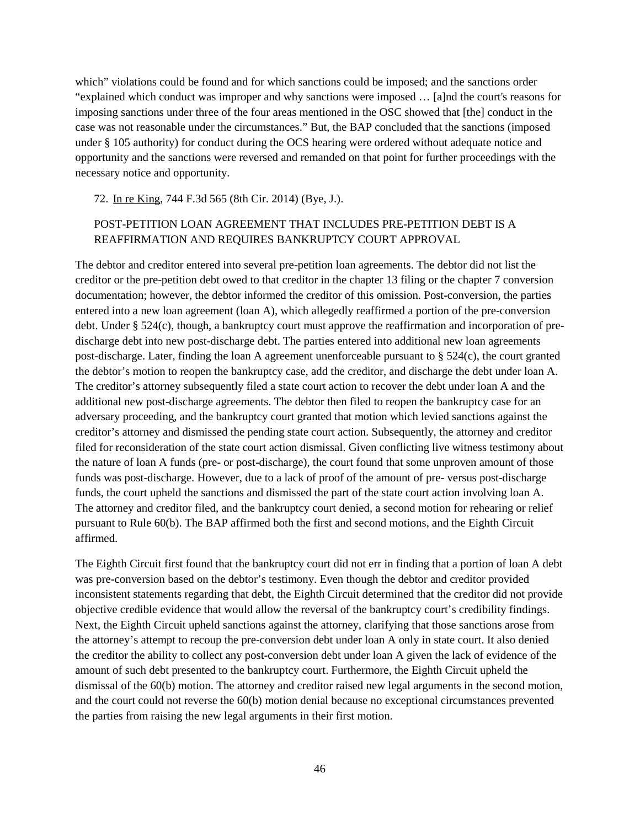which" violations could be found and for which sanctions could be imposed; and the sanctions order "explained which conduct was improper and why sanctions were imposed … [a]nd the court's reasons for imposing sanctions under three of the four areas mentioned in the OSC showed that [the] conduct in the case was not reasonable under the circumstances." But, the BAP concluded that the sanctions (imposed under § 105 authority) for conduct during the OCS hearing were ordered without adequate notice and opportunity and the sanctions were reversed and remanded on that point for further proceedings with the necessary notice and opportunity.

72. In re King, 744 F.3d 565 (8th Cir. 2014) (Bye, J.).

### POST-PETITION LOAN AGREEMENT THAT INCLUDES PRE-PETITION DEBT IS A REAFFIRMATION AND REQUIRES BANKRUPTCY COURT APPROVAL

The debtor and creditor entered into several pre-petition loan agreements. The debtor did not list the creditor or the pre-petition debt owed to that creditor in the chapter 13 filing or the chapter 7 conversion documentation; however, the debtor informed the creditor of this omission. Post-conversion, the parties entered into a new loan agreement (loan A), which allegedly reaffirmed a portion of the pre-conversion debt. Under § 524(c), though, a bankruptcy court must approve the reaffirmation and incorporation of predischarge debt into new post-discharge debt. The parties entered into additional new loan agreements post-discharge. Later, finding the loan A agreement unenforceable pursuant to § 524(c), the court granted the debtor's motion to reopen the bankruptcy case, add the creditor, and discharge the debt under loan A. The creditor's attorney subsequently filed a state court action to recover the debt under loan A and the additional new post-discharge agreements. The debtor then filed to reopen the bankruptcy case for an adversary proceeding, and the bankruptcy court granted that motion which levied sanctions against the creditor's attorney and dismissed the pending state court action. Subsequently, the attorney and creditor filed for reconsideration of the state court action dismissal. Given conflicting live witness testimony about the nature of loan A funds (pre- or post-discharge), the court found that some unproven amount of those funds was post-discharge. However, due to a lack of proof of the amount of pre- versus post-discharge funds, the court upheld the sanctions and dismissed the part of the state court action involving loan A. The attorney and creditor filed, and the bankruptcy court denied, a second motion for rehearing or relief pursuant to Rule 60(b). The BAP affirmed both the first and second motions, and the Eighth Circuit affirmed.

The Eighth Circuit first found that the bankruptcy court did not err in finding that a portion of loan A debt was pre-conversion based on the debtor's testimony. Even though the debtor and creditor provided inconsistent statements regarding that debt, the Eighth Circuit determined that the creditor did not provide objective credible evidence that would allow the reversal of the bankruptcy court's credibility findings. Next, the Eighth Circuit upheld sanctions against the attorney, clarifying that those sanctions arose from the attorney's attempt to recoup the pre-conversion debt under loan A only in state court. It also denied the creditor the ability to collect any post-conversion debt under loan A given the lack of evidence of the amount of such debt presented to the bankruptcy court. Furthermore, the Eighth Circuit upheld the dismissal of the 60(b) motion. The attorney and creditor raised new legal arguments in the second motion, and the court could not reverse the 60(b) motion denial because no exceptional circumstances prevented the parties from raising the new legal arguments in their first motion.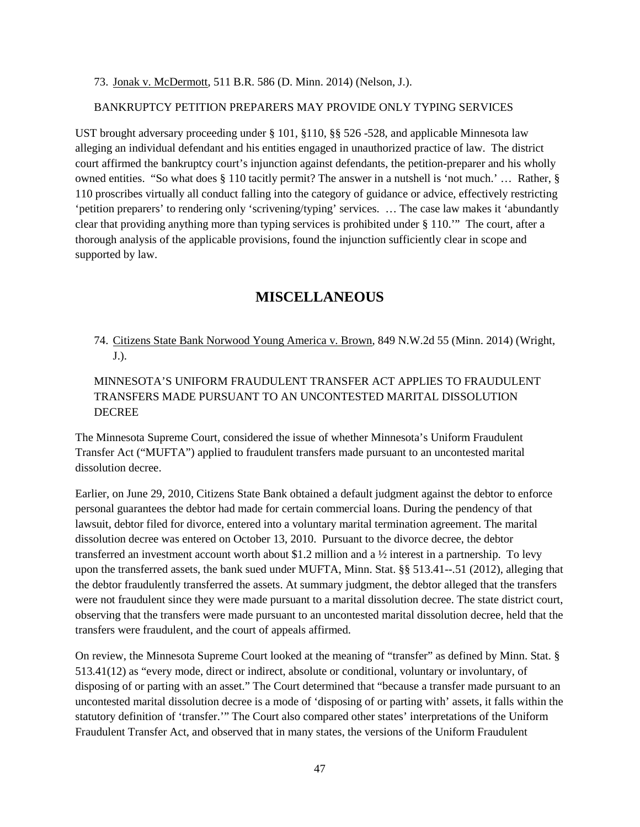73. Jonak v. McDermott, 511 B.R. 586 (D. Minn. 2014) (Nelson, J.).

#### BANKRUPTCY PETITION PREPARERS MAY PROVIDE ONLY TYPING SERVICES

UST brought adversary proceeding under § 101, §110, §§ 526 -528, and applicable Minnesota law alleging an individual defendant and his entities engaged in unauthorized practice of law. The district court affirmed the bankruptcy court's injunction against defendants, the petition-preparer and his wholly owned entities. "So what does § 110 tacitly permit? The answer in a nutshell is 'not much.' … Rather, § 110 proscribes virtually all conduct falling into the category of guidance or advice, effectively restricting 'petition preparers' to rendering only 'scrivening/typing' services. … The case law makes it 'abundantly clear that providing anything more than typing services is prohibited under § 110.'" The court, after a thorough analysis of the applicable provisions, found the injunction sufficiently clear in scope and supported by law.

## **MISCELLANEOUS**

<span id="page-46-0"></span>74. Citizens State Bank Norwood Young America v. Brown, 849 N.W.2d 55 (Minn. 2014) (Wright, J.).

### MINNESOTA'S UNIFORM FRAUDULENT TRANSFER ACT APPLIES TO FRAUDULENT TRANSFERS MADE PURSUANT TO AN UNCONTESTED MARITAL DISSOLUTION DECREE

The Minnesota Supreme Court, considered the issue of whether Minnesota's Uniform Fraudulent Transfer Act ("MUFTA") applied to fraudulent transfers made pursuant to an uncontested marital dissolution decree.

Earlier, on June 29, 2010, Citizens State Bank obtained a default judgment against the debtor to enforce personal guarantees the debtor had made for certain commercial loans. During the pendency of that lawsuit, debtor filed for divorce, entered into a voluntary marital termination agreement. The marital dissolution decree was entered on October 13, 2010. Pursuant to the divorce decree, the debtor transferred an investment account worth about \$1.2 million and a ½ interest in a partnership. To levy upon the transferred assets, the bank sued under MUFTA, Minn. Stat. §§ 513.41--.51 (2012), alleging that the debtor fraudulently transferred the assets. At summary judgment, the debtor alleged that the transfers were not fraudulent since they were made pursuant to a marital dissolution decree. The state district court, observing that the transfers were made pursuant to an uncontested marital dissolution decree, held that the transfers were fraudulent, and the court of appeals affirmed.

On review, the Minnesota Supreme Court looked at the meaning of "transfer" as defined by Minn. Stat. § 513.41(12) as "every mode, direct or indirect, absolute or conditional, voluntary or involuntary, of disposing of or parting with an asset." The Court determined that "because a transfer made pursuant to an uncontested marital dissolution decree is a mode of 'disposing of or parting with' assets, it falls within the statutory definition of 'transfer.'" The Court also compared other states' interpretations of the Uniform Fraudulent Transfer Act, and observed that in many states, the versions of the Uniform Fraudulent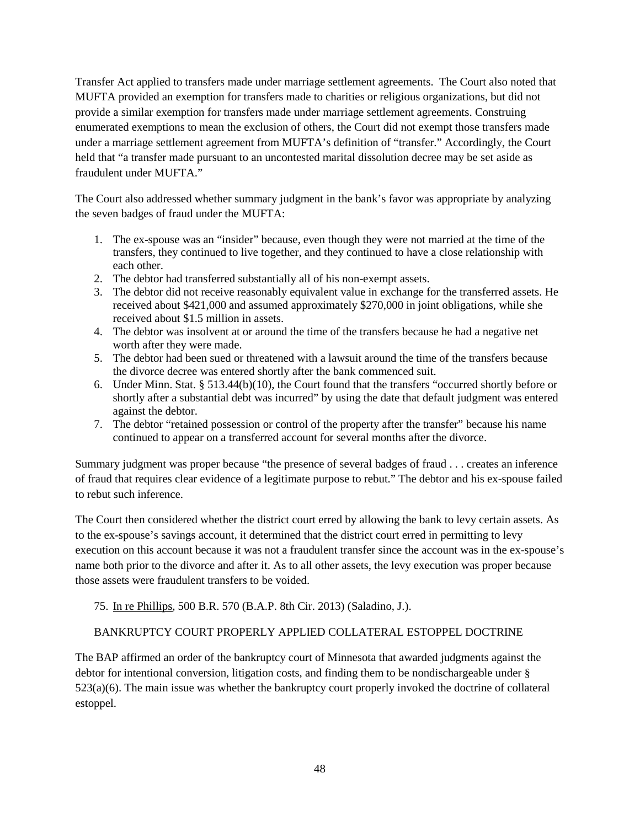Transfer Act applied to transfers made under marriage settlement agreements. The Court also noted that MUFTA provided an exemption for transfers made to charities or religious organizations, but did not provide a similar exemption for transfers made under marriage settlement agreements. Construing enumerated exemptions to mean the exclusion of others, the Court did not exempt those transfers made under a marriage settlement agreement from MUFTA's definition of "transfer." Accordingly, the Court held that "a transfer made pursuant to an uncontested marital dissolution decree may be set aside as fraudulent under MUFTA."

The Court also addressed whether summary judgment in the bank's favor was appropriate by analyzing the seven badges of fraud under the MUFTA:

- 1. The ex-spouse was an "insider" because, even though they were not married at the time of the transfers, they continued to live together, and they continued to have a close relationship with each other.
- 2. The debtor had transferred substantially all of his non-exempt assets.
- 3. The debtor did not receive reasonably equivalent value in exchange for the transferred assets. He received about \$421,000 and assumed approximately \$270,000 in joint obligations, while she received about \$1.5 million in assets.
- 4. The debtor was insolvent at or around the time of the transfers because he had a negative net worth after they were made.
- 5. The debtor had been sued or threatened with a lawsuit around the time of the transfers because the divorce decree was entered shortly after the bank commenced suit.
- 6. Under Minn. Stat. § 513.44(b)(10), the Court found that the transfers "occurred shortly before or shortly after a substantial debt was incurred" by using the date that default judgment was entered against the debtor.
- 7. The debtor "retained possession or control of the property after the transfer" because his name continued to appear on a transferred account for several months after the divorce.

Summary judgment was proper because "the presence of several badges of fraud . . . creates an inference of fraud that requires clear evidence of a legitimate purpose to rebut." The debtor and his ex-spouse failed to rebut such inference.

The Court then considered whether the district court erred by allowing the bank to levy certain assets. As to the ex-spouse's savings account, it determined that the district court erred in permitting to levy execution on this account because it was not a fraudulent transfer since the account was in the ex-spouse's name both prior to the divorce and after it. As to all other assets, the levy execution was proper because those assets were fraudulent transfers to be voided.

75. In re Phillips, 500 B.R. 570 (B.A.P. 8th Cir. 2013) (Saladino, J.).

### BANKRUPTCY COURT PROPERLY APPLIED COLLATERAL ESTOPPEL DOCTRINE

The BAP affirmed an order of the bankruptcy court of Minnesota that awarded judgments against the debtor for intentional conversion, litigation costs, and finding them to be nondischargeable under § 523(a)(6). The main issue was whether the bankruptcy court properly invoked the doctrine of collateral estoppel.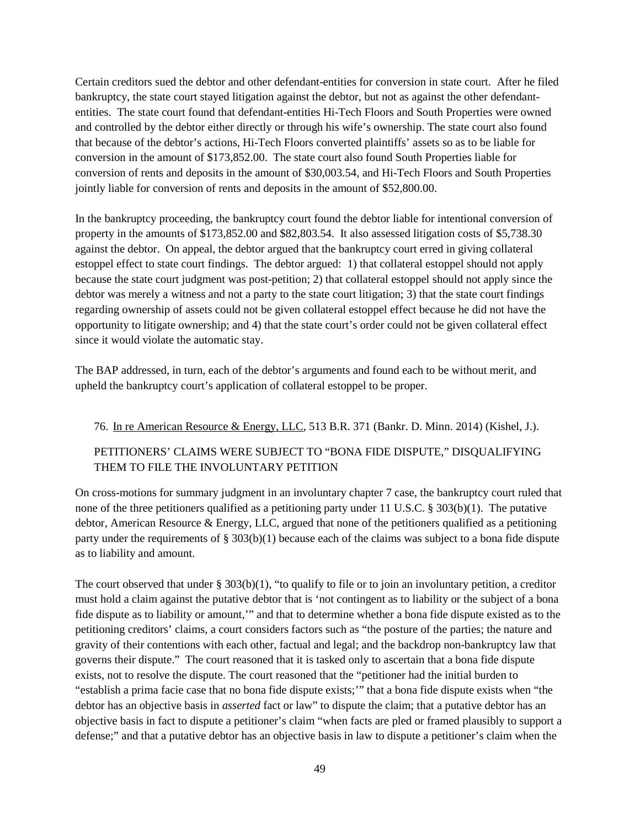Certain creditors sued the debtor and other defendant-entities for conversion in state court. After he filed bankruptcy, the state court stayed litigation against the debtor, but not as against the other defendantentities. The state court found that defendant-entities Hi-Tech Floors and South Properties were owned and controlled by the debtor either directly or through his wife's ownership. The state court also found that because of the debtor's actions, Hi-Tech Floors converted plaintiffs' assets so as to be liable for conversion in the amount of \$173,852.00. The state court also found South Properties liable for conversion of rents and deposits in the amount of \$30,003.54, and Hi-Tech Floors and South Properties jointly liable for conversion of rents and deposits in the amount of \$52,800.00.

In the bankruptcy proceeding, the bankruptcy court found the debtor liable for intentional conversion of property in the amounts of \$173,852.00 and \$82,803.54. It also assessed litigation costs of \$5,738.30 against the debtor. On appeal, the debtor argued that the bankruptcy court erred in giving collateral estoppel effect to state court findings. The debtor argued: 1) that collateral estoppel should not apply because the state court judgment was post-petition; 2) that collateral estoppel should not apply since the debtor was merely a witness and not a party to the state court litigation; 3) that the state court findings regarding ownership of assets could not be given collateral estoppel effect because he did not have the opportunity to litigate ownership; and 4) that the state court's order could not be given collateral effect since it would violate the automatic stay.

The BAP addressed, in turn, each of the debtor's arguments and found each to be without merit, and upheld the bankruptcy court's application of collateral estoppel to be proper.

#### 76. In re American Resource & Energy, LLC, 513 B.R. 371 (Bankr. D. Minn. 2014) (Kishel, J.).

### PETITIONERS' CLAIMS WERE SUBJECT TO "BONA FIDE DISPUTE," DISQUALIFYING THEM TO FILE THE INVOLUNTARY PETITION

On cross-motions for summary judgment in an involuntary chapter 7 case, the bankruptcy court ruled that none of the three petitioners qualified as a petitioning party under 11 U.S.C. § 303(b)(1). The putative debtor, American Resource & Energy, LLC, argued that none of the petitioners qualified as a petitioning party under the requirements of § 303(b)(1) because each of the claims was subject to a bona fide dispute as to liability and amount.

The court observed that under  $\S 303(b)(1)$ , "to qualify to file or to join an involuntary petition, a creditor must hold a claim against the putative debtor that is 'not contingent as to liability or the subject of a bona fide dispute as to liability or amount,'" and that to determine whether a bona fide dispute existed as to the petitioning creditors' claims, a court considers factors such as "the posture of the parties; the nature and gravity of their contentions with each other, factual and legal; and the backdrop non-bankruptcy law that governs their dispute." The court reasoned that it is tasked only to ascertain that a bona fide dispute exists, not to resolve the dispute. The court reasoned that the "petitioner had the initial burden to "establish a prima facie case that no bona fide dispute exists;'" that a bona fide dispute exists when "the debtor has an objective basis in *asserted* fact or law" to dispute the claim; that a putative debtor has an objective basis in fact to dispute a petitioner's claim "when facts are pled or framed plausibly to support a defense;" and that a putative debtor has an objective basis in law to dispute a petitioner's claim when the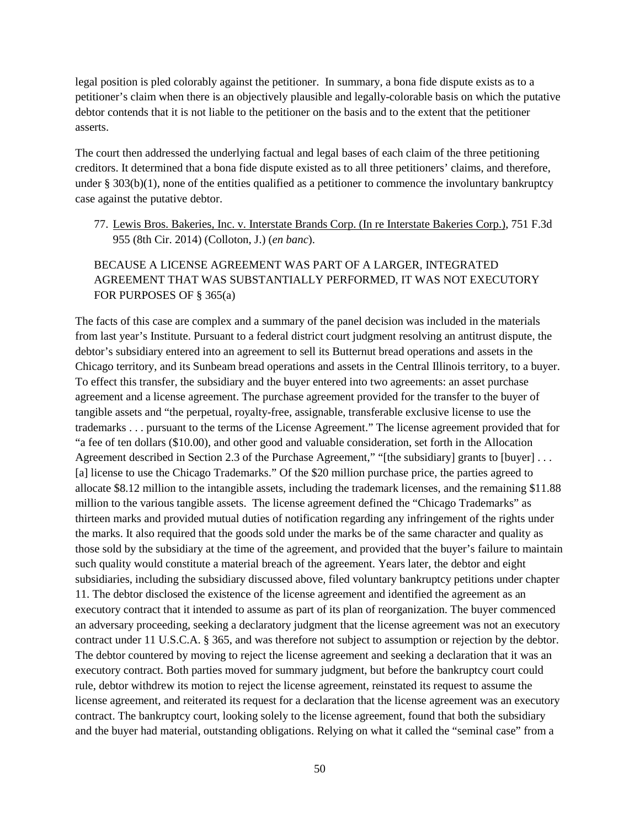legal position is pled colorably against the petitioner. In summary, a bona fide dispute exists as to a petitioner's claim when there is an objectively plausible and legally-colorable basis on which the putative debtor contends that it is not liable to the petitioner on the basis and to the extent that the petitioner asserts.

The court then addressed the underlying factual and legal bases of each claim of the three petitioning creditors. It determined that a bona fide dispute existed as to all three petitioners' claims, and therefore, under  $\S 303(b)(1)$ , none of the entities qualified as a petitioner to commence the involuntary bankruptcy case against the putative debtor.

77. Lewis Bros. Bakeries, Inc. v. Interstate Brands Corp. (In re Interstate Bakeries Corp.), 751 F.3d 955 (8th Cir. 2014) (Colloton, J.) (*en banc*).

### BECAUSE A LICENSE AGREEMENT WAS PART OF A LARGER, INTEGRATED AGREEMENT THAT WAS SUBSTANTIALLY PERFORMED, IT WAS NOT EXECUTORY FOR PURPOSES OF § 365(a)

The facts of this case are complex and a summary of the panel decision was included in the materials from last year's Institute. Pursuant to a federal district court judgment resolving an antitrust dispute, the debtor's subsidiary entered into an agreement to sell its Butternut bread operations and assets in the Chicago territory, and its Sunbeam bread operations and assets in the Central Illinois territory, to a buyer. To effect this transfer, the subsidiary and the buyer entered into two agreements: an asset purchase agreement and a license agreement. The purchase agreement provided for the transfer to the buyer of tangible assets and "the perpetual, royalty-free, assignable, transferable exclusive license to use the trademarks . . . pursuant to the terms of the License Agreement." The license agreement provided that for "a fee of ten dollars (\$10.00), and other good and valuable consideration, set forth in the Allocation Agreement described in Section 2.3 of the Purchase Agreement," "[the subsidiary] grants to [buyer] ... [a] license to use the Chicago Trademarks." Of the \$20 million purchase price, the parties agreed to allocate \$8.12 million to the intangible assets, including the trademark licenses, and the remaining \$11.88 million to the various tangible assets. The license agreement defined the "Chicago Trademarks" as thirteen marks and provided mutual duties of notification regarding any infringement of the rights under the marks. It also required that the goods sold under the marks be of the same character and quality as those sold by the subsidiary at the time of the agreement, and provided that the buyer's failure to maintain such quality would constitute a material breach of the agreement. Years later, the debtor and eight subsidiaries, including the subsidiary discussed above, filed voluntary bankruptcy petitions under chapter 11. The debtor disclosed the existence of the license agreement and identified the agreement as an executory contract that it intended to assume as part of its plan of reorganization. The buyer commenced an adversary proceeding, seeking a declaratory judgment that the license agreement was not an executory contract under 11 U.S.C.A. § 365, and was therefore not subject to assumption or rejection by the debtor. The debtor countered by moving to reject the license agreement and seeking a declaration that it was an executory contract. Both parties moved for summary judgment, but before the bankruptcy court could rule, debtor withdrew its motion to reject the license agreement, reinstated its request to assume the license agreement, and reiterated its request for a declaration that the license agreement was an executory contract. The bankruptcy court, looking solely to the license agreement, found that both the subsidiary and the buyer had material, outstanding obligations. Relying on what it called the "seminal case" from a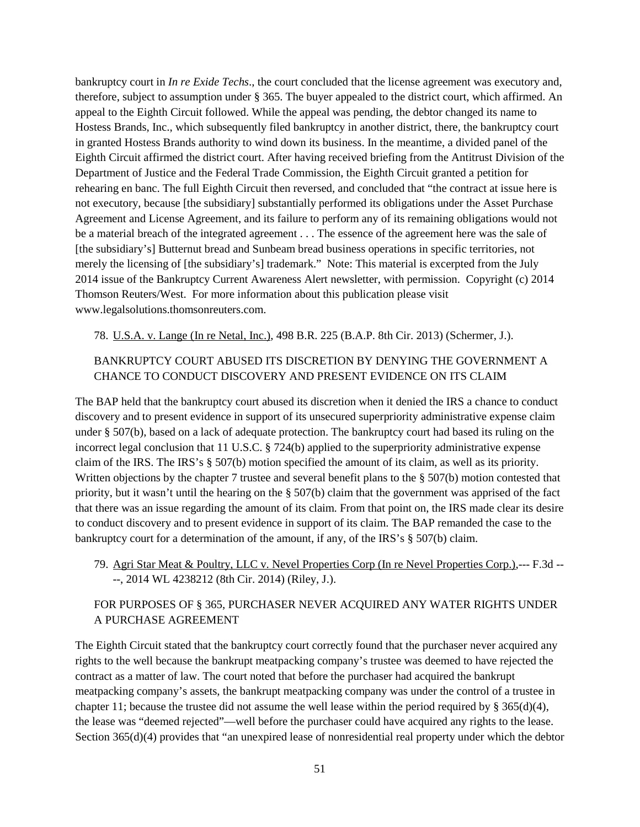bankruptcy court in *In re Exide Techs*., the court concluded that the license agreement was executory and, therefore, subject to assumption under § 365. The buyer appealed to the district court, which affirmed. An appeal to the Eighth Circuit followed. While the appeal was pending, the debtor changed its name to Hostess Brands, Inc., which subsequently filed bankruptcy in another district, there, the bankruptcy court in granted Hostess Brands authority to wind down its business. In the meantime, a divided panel of the Eighth Circuit affirmed the district court. After having received briefing from the Antitrust Division of the Department of Justice and the Federal Trade Commission, the Eighth Circuit granted a petition for rehearing en banc. The full Eighth Circuit then reversed, and concluded that "the contract at issue here is not executory, because [the subsidiary] substantially performed its obligations under the Asset Purchase Agreement and License Agreement, and its failure to perform any of its remaining obligations would not be a material breach of the integrated agreement . . . The essence of the agreement here was the sale of [the subsidiary's] Butternut bread and Sunbeam bread business operations in specific territories, not merely the licensing of [the subsidiary's] trademark." Note: This material is excerpted from the July 2014 issue of the Bankruptcy Current Awareness Alert newsletter, with permission. Copyright (c) 2014 Thomson Reuters/West. For more information about this publication please visit www.legalsolutions.thomsonreuters.com.

78. U.S.A. v. Lange (In re Netal, Inc.), 498 B.R. 225 (B.A.P. 8th Cir. 2013) (Schermer, J.).

### BANKRUPTCY COURT ABUSED ITS DISCRETION BY DENYING THE GOVERNMENT A CHANCE TO CONDUCT DISCOVERY AND PRESENT EVIDENCE ON ITS CLAIM

The BAP held that the bankruptcy court abused its discretion when it denied the IRS a chance to conduct discovery and to present evidence in support of its unsecured superpriority administrative expense claim under § 507(b), based on a lack of adequate protection. The bankruptcy court had based its ruling on the incorrect legal conclusion that 11 U.S.C. § 724(b) applied to the superpriority administrative expense claim of the IRS. The IRS's § 507(b) motion specified the amount of its claim, as well as its priority. Written objections by the chapter 7 trustee and several benefit plans to the § 507(b) motion contested that priority, but it wasn't until the hearing on the § 507(b) claim that the government was apprised of the fact that there was an issue regarding the amount of its claim. From that point on, the IRS made clear its desire to conduct discovery and to present evidence in support of its claim. The BAP remanded the case to the bankruptcy court for a determination of the amount, if any, of the IRS's § 507(b) claim.

79. Agri Star Meat & Poultry, LLC v. Nevel Properties Corp (In re Nevel Properties Corp.),--- F.3d -- --, 2014 WL 4238212 (8th Cir. 2014) (Riley, J.).

### FOR PURPOSES OF § 365, PURCHASER NEVER ACQUIRED ANY WATER RIGHTS UNDER A PURCHASE AGREEMENT

The Eighth Circuit stated that the bankruptcy court correctly found that the purchaser never acquired any rights to the well because the bankrupt meatpacking company's trustee was deemed to have rejected the contract as a matter of law. The court noted that before the purchaser had acquired the bankrupt meatpacking company's assets, the bankrupt meatpacking company was under the control of a trustee in chapter 11; because the trustee did not assume the well lease within the period required by § 365(d)(4), the lease was "deemed rejected"—well before the purchaser could have acquired any rights to the lease. Section 365(d)(4) provides that "an unexpired lease of nonresidential real property under which the debtor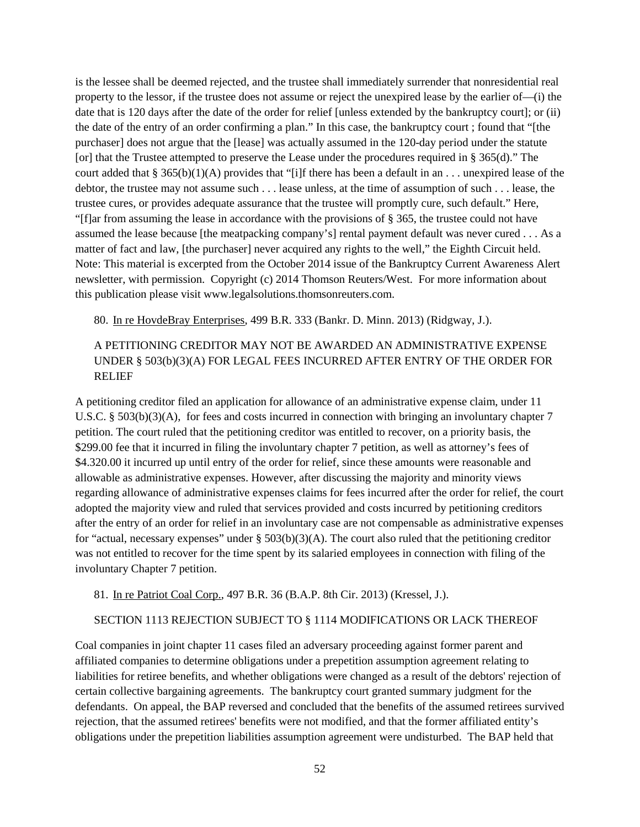is the lessee shall be deemed rejected, and the trustee shall immediately surrender that nonresidential real property to the lessor, if the trustee does not assume or reject the unexpired lease by the earlier of—(i) the date that is 120 days after the date of the order for relief [unless extended by the bankruptcy court]; or (ii) the date of the entry of an order confirming a plan." In this case, the bankruptcy court ; found that "[the purchaser] does not argue that the [lease] was actually assumed in the 120-day period under the statute [or] that the Trustee attempted to preserve the Lease under the procedures required in § 365(d)." The court added that § 365(b)(1)(A) provides that "[i]f there has been a default in an  $\dots$  unexpired lease of the debtor, the trustee may not assume such . . . lease unless, at the time of assumption of such . . . lease, the trustee cures, or provides adequate assurance that the trustee will promptly cure, such default." Here, "[f]ar from assuming the lease in accordance with the provisions of § 365, the trustee could not have assumed the lease because [the meatpacking company's] rental payment default was never cured . . . As a matter of fact and law, [the purchaser] never acquired any rights to the well," the Eighth Circuit held. Note: This material is excerpted from the October 2014 issue of the Bankruptcy Current Awareness Alert newsletter, with permission. Copyright (c) 2014 Thomson Reuters/West. For more information about this publication please visit www.legalsolutions.thomsonreuters.com.

80. In re HovdeBray Enterprises, 499 B.R. 333 (Bankr. D. Minn. 2013) (Ridgway, J.).

### A PETITIONING CREDITOR MAY NOT BE AWARDED AN ADMINISTRATIVE EXPENSE UNDER § 503(b)(3)(A) FOR LEGAL FEES INCURRED AFTER ENTRY OF THE ORDER FOR RELIEF

A petitioning creditor filed an application for allowance of an administrative expense claim, under 11 U.S.C. § 503(b)(3)(A), for fees and costs incurred in connection with bringing an involuntary chapter 7 petition. The court ruled that the petitioning creditor was entitled to recover, on a priority basis, the \$299.00 fee that it incurred in filing the involuntary chapter 7 petition, as well as attorney's fees of \$4.320.00 it incurred up until entry of the order for relief, since these amounts were reasonable and allowable as administrative expenses. However, after discussing the majority and minority views regarding allowance of administrative expenses claims for fees incurred after the order for relief, the court adopted the majority view and ruled that services provided and costs incurred by petitioning creditors after the entry of an order for relief in an involuntary case are not compensable as administrative expenses for "actual, necessary expenses" under § 503(b)(3)(A). The court also ruled that the petitioning creditor was not entitled to recover for the time spent by its salaried employees in connection with filing of the involuntary Chapter 7 petition.

#### 81. In re Patriot Coal Corp., 497 B.R. 36 (B.A.P. 8th Cir. 2013) (Kressel, J.).

### SECTION 1113 REJECTION SUBJECT TO § 1114 MODIFICATIONS OR LACK THEREOF

Coal companies in joint chapter 11 cases filed an adversary proceeding against former parent and affiliated companies to determine obligations under a prepetition assumption agreement relating to liabilities for retiree benefits, and whether obligations were changed as a result of the debtors' rejection of certain collective bargaining agreements. The bankruptcy court granted summary judgment for the defendants. On appeal, the BAP reversed and concluded that the benefits of the assumed retirees survived rejection, that the assumed retirees' benefits were not modified, and that the former affiliated entity's obligations under the prepetition liabilities assumption agreement were undisturbed. The BAP held that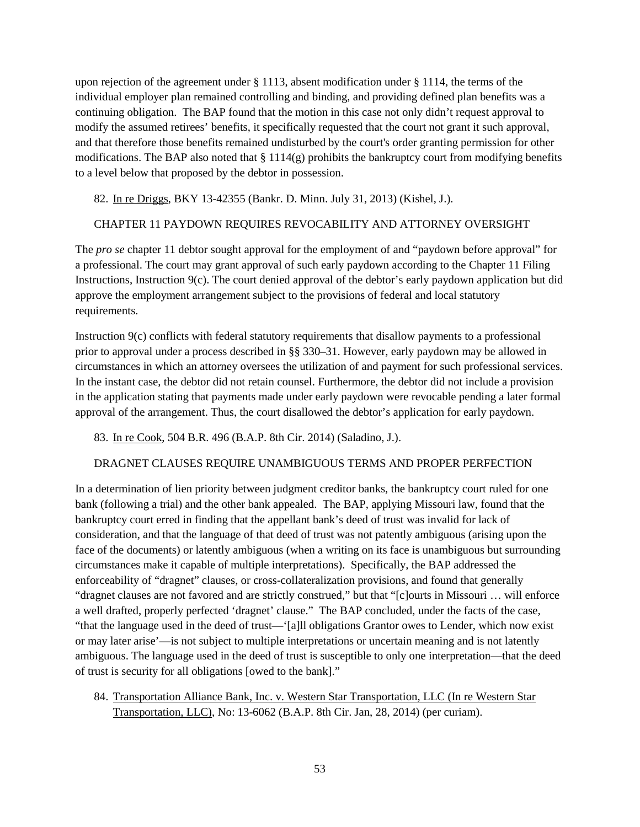upon rejection of the agreement under § 1113, absent modification under § 1114, the terms of the individual employer plan remained controlling and binding, and providing defined plan benefits was a continuing obligation. The BAP found that the motion in this case not only didn't request approval to modify the assumed retirees' benefits, it specifically requested that the court not grant it such approval, and that therefore those benefits remained undisturbed by the court's order granting permission for other modifications. The BAP also noted that  $\S 1114(g)$  prohibits the bankruptcy court from modifying benefits to a level below that proposed by the debtor in possession.

82. In re Driggs, BKY 13-42355 (Bankr. D. Minn. July 31, 2013) (Kishel, J.).

### CHAPTER 11 PAYDOWN REQUIRES REVOCABILITY AND ATTORNEY OVERSIGHT

The *pro se* chapter 11 debtor sought approval for the employment of and "paydown before approval" for a professional. The court may grant approval of such early paydown according to the Chapter 11 Filing Instructions, Instruction 9(c). The court denied approval of the debtor's early paydown application but did approve the employment arrangement subject to the provisions of federal and local statutory requirements.

Instruction 9(c) conflicts with federal statutory requirements that disallow payments to a professional prior to approval under a process described in §§ 330–31. However, early paydown may be allowed in circumstances in which an attorney oversees the utilization of and payment for such professional services. In the instant case, the debtor did not retain counsel. Furthermore, the debtor did not include a provision in the application stating that payments made under early paydown were revocable pending a later formal approval of the arrangement. Thus, the court disallowed the debtor's application for early paydown.

83. In re Cook, 504 B.R. 496 (B.A.P. 8th Cir. 2014) (Saladino, J.).

#### DRAGNET CLAUSES REQUIRE UNAMBIGUOUS TERMS AND PROPER PERFECTION

In a determination of lien priority between judgment creditor banks, the bankruptcy court ruled for one bank (following a trial) and the other bank appealed. The BAP, applying Missouri law, found that the bankruptcy court erred in finding that the appellant bank's deed of trust was invalid for lack of consideration, and that the language of that deed of trust was not patently ambiguous (arising upon the face of the documents) or latently ambiguous (when a writing on its face is unambiguous but surrounding circumstances make it capable of multiple interpretations). Specifically, the BAP addressed the enforceability of "dragnet" clauses, or cross-collateralization provisions, and found that generally "dragnet clauses are not favored and are strictly construed," but that "[c]ourts in Missouri … will enforce a well drafted, properly perfected 'dragnet' clause." The BAP concluded, under the facts of the case, "that the language used in the deed of trust—'[a]ll obligations Grantor owes to Lender, which now exist or may later arise'—is not subject to multiple interpretations or uncertain meaning and is not latently ambiguous. The language used in the deed of trust is susceptible to only one interpretation—that the deed of trust is security for all obligations [owed to the bank]."

84. Transportation Alliance Bank, Inc. v. Western Star Transportation, LLC (In re Western Star Transportation, LLC), No: 13-6062 (B.A.P. 8th Cir. Jan, 28, 2014) (per curiam).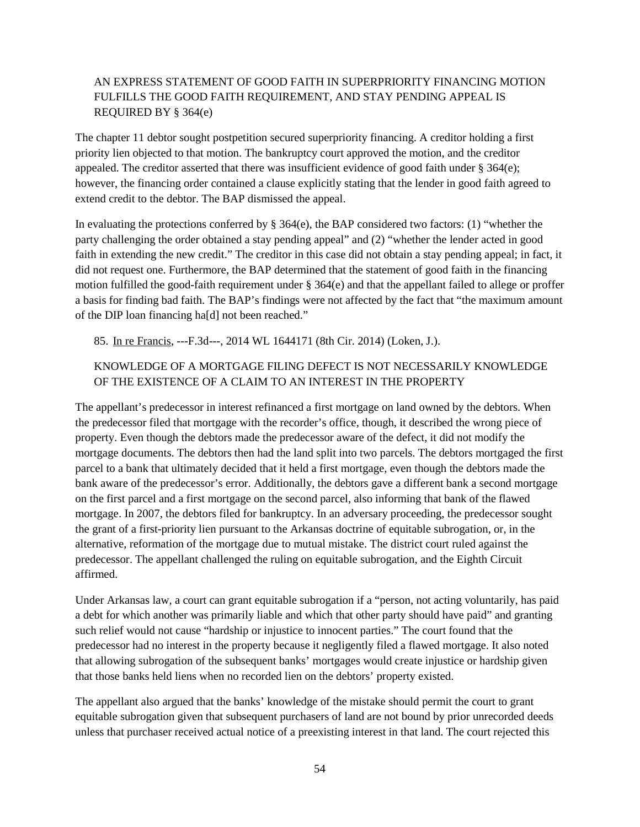### AN EXPRESS STATEMENT OF GOOD FAITH IN SUPERPRIORITY FINANCING MOTION FULFILLS THE GOOD FAITH REQUIREMENT, AND STAY PENDING APPEAL IS REQUIRED BY § 364(e)

The chapter 11 debtor sought postpetition secured superpriority financing. A creditor holding a first priority lien objected to that motion. The bankruptcy court approved the motion, and the creditor appealed. The creditor asserted that there was insufficient evidence of good faith under § 364(e); however, the financing order contained a clause explicitly stating that the lender in good faith agreed to extend credit to the debtor. The BAP dismissed the appeal.

In evaluating the protections conferred by § 364(e), the BAP considered two factors: (1) "whether the party challenging the order obtained a stay pending appeal" and (2) "whether the lender acted in good faith in extending the new credit." The creditor in this case did not obtain a stay pending appeal; in fact, it did not request one. Furthermore, the BAP determined that the statement of good faith in the financing motion fulfilled the good-faith requirement under § 364(e) and that the appellant failed to allege or proffer a basis for finding bad faith. The BAP's findings were not affected by the fact that "the maximum amount of the DIP loan financing ha[d] not been reached."

85. In re Francis, ---F.3d---, 2014 WL 1644171 (8th Cir. 2014) (Loken, J.).

### KNOWLEDGE OF A MORTGAGE FILING DEFECT IS NOT NECESSARILY KNOWLEDGE OF THE EXISTENCE OF A CLAIM TO AN INTEREST IN THE PROPERTY

The appellant's predecessor in interest refinanced a first mortgage on land owned by the debtors. When the predecessor filed that mortgage with the recorder's office, though, it described the wrong piece of property. Even though the debtors made the predecessor aware of the defect, it did not modify the mortgage documents. The debtors then had the land split into two parcels. The debtors mortgaged the first parcel to a bank that ultimately decided that it held a first mortgage, even though the debtors made the bank aware of the predecessor's error. Additionally, the debtors gave a different bank a second mortgage on the first parcel and a first mortgage on the second parcel, also informing that bank of the flawed mortgage. In 2007, the debtors filed for bankruptcy. In an adversary proceeding, the predecessor sought the grant of a first-priority lien pursuant to the Arkansas doctrine of equitable subrogation, or, in the alternative, reformation of the mortgage due to mutual mistake. The district court ruled against the predecessor. The appellant challenged the ruling on equitable subrogation, and the Eighth Circuit affirmed.

Under Arkansas law, a court can grant equitable subrogation if a "person, not acting voluntarily, has paid a debt for which another was primarily liable and which that other party should have paid" and granting such relief would not cause "hardship or injustice to innocent parties." The court found that the predecessor had no interest in the property because it negligently filed a flawed mortgage. It also noted that allowing subrogation of the subsequent banks' mortgages would create injustice or hardship given that those banks held liens when no recorded lien on the debtors' property existed.

The appellant also argued that the banks' knowledge of the mistake should permit the court to grant equitable subrogation given that subsequent purchasers of land are not bound by prior unrecorded deeds unless that purchaser received actual notice of a preexisting interest in that land. The court rejected this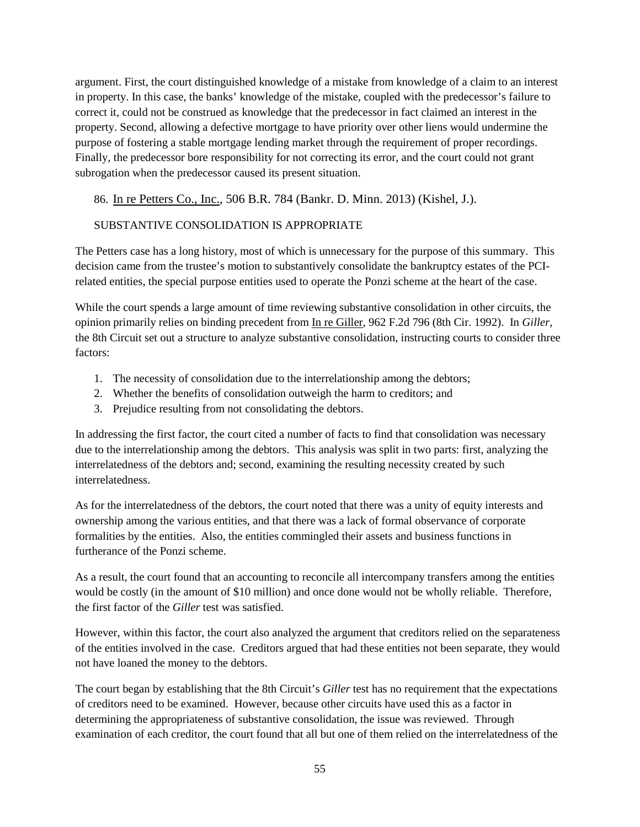argument. First, the court distinguished knowledge of a mistake from knowledge of a claim to an interest in property. In this case, the banks' knowledge of the mistake, coupled with the predecessor's failure to correct it, could not be construed as knowledge that the predecessor in fact claimed an interest in the property. Second, allowing a defective mortgage to have priority over other liens would undermine the purpose of fostering a stable mortgage lending market through the requirement of proper recordings. Finally, the predecessor bore responsibility for not correcting its error, and the court could not grant subrogation when the predecessor caused its present situation.

86. In re Petters Co., Inc., 506 B.R. 784 (Bankr. D. Minn. 2013) (Kishel, J.).

#### SUBSTANTIVE CONSOLIDATION IS APPROPRIATE

The Petters case has a long history, most of which is unnecessary for the purpose of this summary. This decision came from the trustee's motion to substantively consolidate the bankruptcy estates of the PCIrelated entities, the special purpose entities used to operate the Ponzi scheme at the heart of the case.

While the court spends a large amount of time reviewing substantive consolidation in other circuits, the opinion primarily relies on binding precedent from In re Giller, 962 F.2d 796 (8th Cir. 1992). In *Giller*, the 8th Circuit set out a structure to analyze substantive consolidation, instructing courts to consider three factors:

- 1. The necessity of consolidation due to the interrelationship among the debtors;
- 2. Whether the benefits of consolidation outweigh the harm to creditors; and
- 3. Prejudice resulting from not consolidating the debtors.

In addressing the first factor, the court cited a number of facts to find that consolidation was necessary due to the interrelationship among the debtors. This analysis was split in two parts: first, analyzing the interrelatedness of the debtors and; second, examining the resulting necessity created by such interrelatedness.

As for the interrelatedness of the debtors, the court noted that there was a unity of equity interests and ownership among the various entities, and that there was a lack of formal observance of corporate formalities by the entities. Also, the entities commingled their assets and business functions in furtherance of the Ponzi scheme.

As a result, the court found that an accounting to reconcile all intercompany transfers among the entities would be costly (in the amount of \$10 million) and once done would not be wholly reliable. Therefore, the first factor of the *Giller* test was satisfied.

However, within this factor, the court also analyzed the argument that creditors relied on the separateness of the entities involved in the case. Creditors argued that had these entities not been separate, they would not have loaned the money to the debtors.

The court began by establishing that the 8th Circuit's *Giller* test has no requirement that the expectations of creditors need to be examined. However, because other circuits have used this as a factor in determining the appropriateness of substantive consolidation, the issue was reviewed. Through examination of each creditor, the court found that all but one of them relied on the interrelatedness of the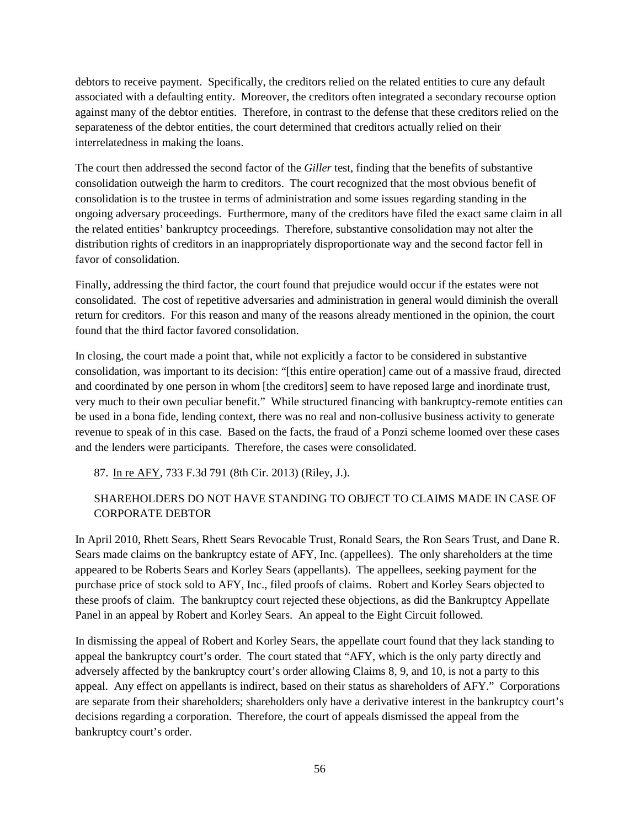debtors to receive payment. Specifically, the creditors relied on the related entities to cure any default associated with a defaulting entity. Moreover, the creditors often integrated a secondary recourse option against many of the debtor entities. Therefore, in contrast to the defense that these creditors relied on the separateness of the debtor entities, the court determined that creditors actually relied on their interrelatedness in making the loans.

The court then addressed the second factor of the *Giller* test, finding that the benefits of substantive consolidation outweigh the harm to creditors. The court recognized that the most obvious benefit of consolidation is to the trustee in terms of administration and some issues regarding standing in the ongoing adversary proceedings. Furthermore, many of the creditors have filed the exact same claim in all the related entities' bankruptcy proceedings. Therefore, substantive consolidation may not alter the distribution rights of creditors in an inappropriately disproportionate way and the second factor fell in favor of consolidation.

Finally, addressing the third factor, the court found that prejudice would occur if the estates were not consolidated. The cost of repetitive adversaries and administration in general would diminish the overall return for creditors. For this reason and many of the reasons already mentioned in the opinion, the court found that the third factor favored consolidation.

In closing, the court made a point that, while not explicitly a factor to be considered in substantive consolidation, was important to its decision: "[this entire operation] came out of a massive fraud, directed and coordinated by one person in whom [the creditors] seem to have reposed large and inordinate trust, very much to their own peculiar benefit." While structured financing with bankruptcy-remote entities can be used in a bona fide, lending context, there was no real and non-collusive business activity to generate revenue to speak of in this case. Based on the facts, the fraud of a Ponzi scheme loomed over these cases and the lenders were participants. Therefore, the cases were consolidated.

87. In re AFY, 733 F.3d 791 (8th Cir. 2013) (Riley, J.).

### SHAREHOLDERS DO NOT HAVE STANDING TO OBJECT TO CLAIMS MADE IN CASE OF CORPORATE DEBTOR

In April 2010, Rhett Sears, Rhett Sears Revocable Trust, Ronald Sears, the Ron Sears Trust, and Dane R. Sears made claims on the bankruptcy estate of AFY, Inc. (appellees). The only shareholders at the time appeared to be Roberts Sears and Korley Sears (appellants). The appellees, seeking payment for the purchase price of stock sold to AFY, Inc., filed proofs of claims. Robert and Korley Sears objected to these proofs of claim. The bankruptcy court rejected these objections, as did the Bankruptcy Appellate Panel in an appeal by Robert and Korley Sears. An appeal to the Eight Circuit followed.

In dismissing the appeal of Robert and Korley Sears, the appellate court found that they lack standing to appeal the bankruptcy court's order. The court stated that "AFY, which is the only party directly and adversely affected by the bankruptcy court's order allowing Claims 8, 9, and 10, is not a party to this appeal. Any effect on appellants is indirect, based on their status as shareholders of AFY." Corporations are separate from their shareholders; shareholders only have a derivative interest in the bankruptcy court's decisions regarding a corporation. Therefore, the court of appeals dismissed the appeal from the bankruptcy court's order.